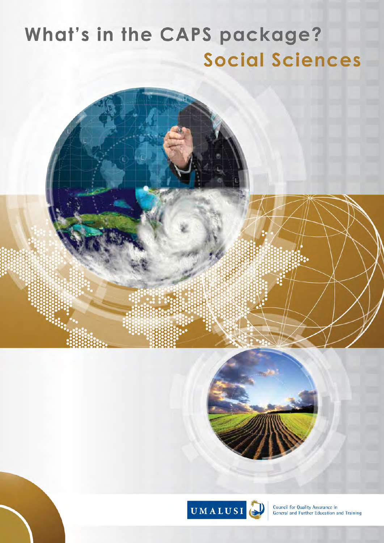# What's in the CAPS package? **Social Sciences**



Council for Quality Assurance in General and Further Education and Training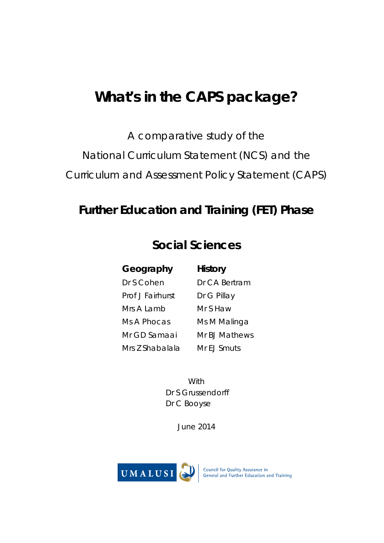## **What's in the CAPS package?**

A comparative study of the

National Curriculum Statement (NCS) and the

Curriculum and Assessment Policy Statement (CAPS)

### **Further Education and Training (FET) Phase**

### **Social Sciences**

**Geography History** Dr S Cohen Dr CA Bertram Prof J Fairhurst Dr G Pillay Mrs A Lamb Mr S Haw Ms A Phocas Ms M Malinga Mr GD Samaai Mr BJ Mathews Mrs Z Shabalala Mr EJ Smuts

**With**  Dr S Grussendorff Dr C Booyse

June 2014

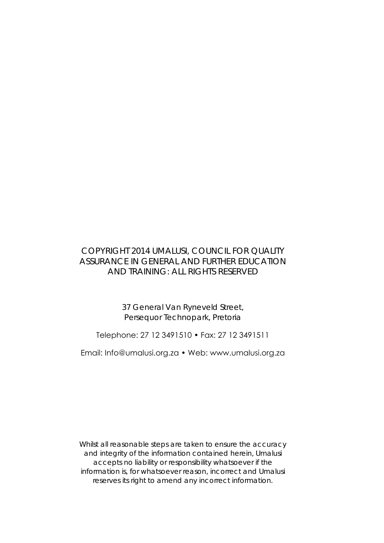### COPYRIGHT 2014 UMALUSI, COUNCIL FOR QUALITY ASSURANCE IN GENERAL AND FURTHER EDUCATION AND TRAINING: ALL RIGHTS RESERVED

37 General Van Ryneveld Street, Persequor Technopark, Pretoria

Telephone: 27 12 3491510 • Fax: 27 12 3491511

Email: Info@umalusi.org.za • Web: www.umalusi.org.za

Whilst all reasonable steps are taken to ensure the accuracy and integrity of the information contained herein, Umalusi accepts no liability or responsibility whatsoever if the information is, for whatsoever reason, incorrect and Umalusi reserves its right to amend any incorrect information.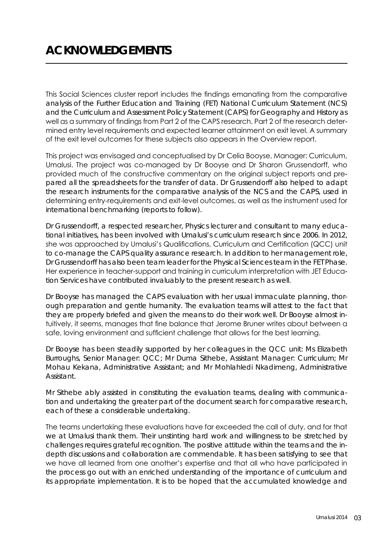This Social Sciences cluster report includes the findings emanating from the comparative analysis of the Further Education and Training (FET) National Curriculum Statement (NCS) and the Curriculum and Assessment Policy Statement (CAPS) for Geography and History as well as a summary of findings from Part 2 of the CAPS research. Part 2 of the research determined entry level requirements and expected learner attainment on exit level. A summary of the exit level outcomes for these subjects also appears in the Overview report.

This project was envisaged and conceptualised by Dr Celia Booyse, Manager: Curriculum, Umalusi. The project was co-managed by Dr Booyse and Dr Sharon Grussendorff, who provided much of the constructive commentary on the original subject reports and prepared all the spreadsheets for the transfer of data. Dr Grussendorff also helped to adapt the research instruments for the comparative analysis of the NCS and the CAPS, used in determining entry-requirements and exit-level outcomes, as well as the instrument used for international benchmarking (reports to follow).

Dr Grussendorff, a respected researcher, Physics lecturer and consultant to many educational initiatives, has been involved with Umalusi's curriculum research since 2006. In 2012, she was approached by Umalusi's Qualifications, Curriculum and Certification (QCC) unit to co-manage the CAPS quality assurance research. In addition to her management role, Dr Grussendorff has also been team leader for the Physical Sciences team in the FET Phase. Her experience in teacher-support and training in curriculum interpretation with JET Education Services have contributed invaluably to the present research as well.

Dr Booyse has managed the CAPS evaluation with her usual immaculate planning, thorough preparation and gentle humanity. The evaluation teams will attest to the fact that they are properly briefed and given the means to do their work well. Dr Booyse almost intuitively, it seems, manages that fine balance that Jerome Bruner writes about between a safe, loving environment and sufficient challenge that allows for the best learning.

Dr Booyse has been steadily supported by her colleagues in the QCC unit: Ms Elizabeth Burroughs, Senior Manager: QCC; Mr Duma Sithebe, Assistant Manager: Curriculum; Mr Mohau Kekana, Administrative Assistant; and Mr Mohlahledi Nkadimeng, Administrative Assistant.

Mr Sithebe ably assisted in constituting the evaluation teams, dealing with communication and undertaking the greater part of the document search for comparative research, each of these a considerable undertaking.

The teams undertaking these evaluations have far exceeded the call of duty, and for that we at Umalusi thank them. Their unstinting hard work and willingness to be stretched by challenges requires grateful recognition. The positive attitude within the teams and the indepth discussions and collaboration are commendable. It has been satisfying to see that we have all learned from one another's expertise and that all who have participated in the process go out with an enriched understanding of the importance of curriculum and its appropriate implementation. It is to be hoped that the accumulated knowledge and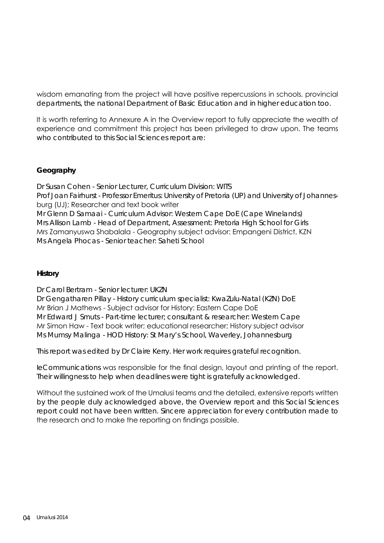wisdom emanating from the project will have positive repercussions in schools, provincial departments, the national Department of Basic Education and in higher education too.

It is worth referring to Annexure A in the Overview report to fully appreciate the wealth of experience and commitment this project has been privileged to draw upon. The teams who contributed to this Social Sciences report are:

#### **Geography**

Dr Susan Cohen - Senior Lecturer, Curriculum Division: WITS Prof Joan Fairhurst - Professor Emeritus: University of Pretoria (UP) and University of Johannesburg (UJ); Researcher and text book writer Mr Glenn D Samaai - Curriculum Advisor: Western Cape DoE (Cape Winelands) Mrs Allison Lamb - Head of Department, Assessment: Pretoria High School for Girls Mrs Zamanyuswa Shabalala - Geography subject advisor: Empangeni District, KZN Ms Angela Phocas - Senior teacher: Saheti School

#### **History**

Dr Carol Bertram - Senior lecturer: UKZN

Dr Gengatharen Pillay - History curriculum specialist: KwaZulu-Natal (KZN) DoE Mr Brian J Mathews - Subject advisor for History: Eastern Cape DoE Mr Edward J Smuts - Part-time lecturer; consultant & researcher: Western Cape Mr Simon Haw - Text book writer; educational researcher; History subject advisor Ms Mumsy Malinga - HOD History: St Mary's School, Waverley, Johannesburg

This report was edited by Dr Claire Kerry. Her work requires grateful recognition.

*IeCommunications* was responsible for the final design, layout and printing of the report. Their willingness to help when deadlines were tight is gratefully acknowledged.

Without the sustained work of the Umalusi teams and the detailed, extensive reports written by the people duly acknowledged above, the Overview report and this Social Sciences report could not have been written. Sincere appreciation for every contribution made to the research and to make the reporting on findings possible.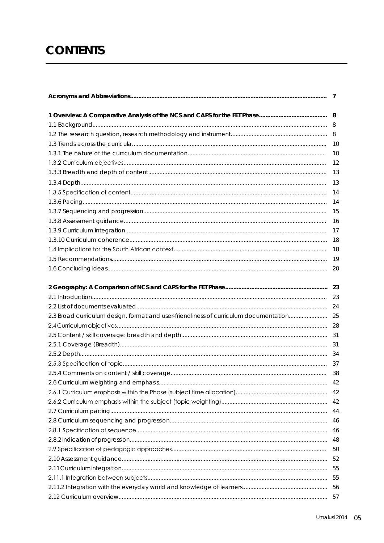### **CONTENTS**

|                                                                                          | 10   |
|------------------------------------------------------------------------------------------|------|
|                                                                                          | 12   |
|                                                                                          |      |
|                                                                                          | 13   |
|                                                                                          |      |
|                                                                                          | -14  |
|                                                                                          | - 15 |
|                                                                                          | 16   |
|                                                                                          | -17  |
|                                                                                          |      |
|                                                                                          |      |
|                                                                                          |      |
|                                                                                          | 20   |
|                                                                                          | 23   |
|                                                                                          |      |
|                                                                                          |      |
| 2.3 Broad curriculum design, format and user-friendliness of curriculum documentation 25 |      |
|                                                                                          |      |
|                                                                                          |      |
|                                                                                          |      |
|                                                                                          |      |
|                                                                                          |      |
|                                                                                          | 38   |
|                                                                                          |      |
|                                                                                          | 42   |
|                                                                                          | 42   |
|                                                                                          | 44   |
|                                                                                          | 46   |
|                                                                                          | 46   |
|                                                                                          | 48   |
|                                                                                          | 50   |
|                                                                                          | 52   |
|                                                                                          | 55   |
|                                                                                          | 55   |
|                                                                                          | 56   |
|                                                                                          |      |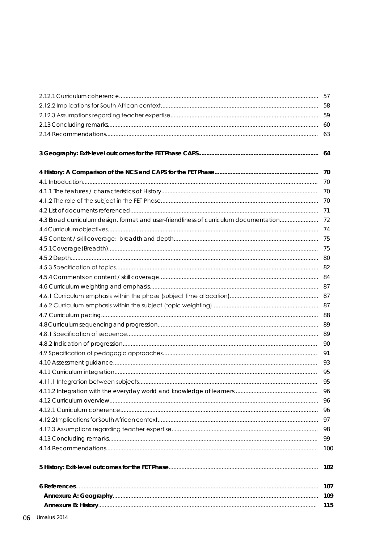|                                                                                          | 63  |
|------------------------------------------------------------------------------------------|-----|
|                                                                                          |     |
|                                                                                          |     |
|                                                                                          | 70  |
|                                                                                          | 70  |
|                                                                                          | 70  |
|                                                                                          |     |
|                                                                                          | 71  |
| 4.3 Broad curriculum design, format and user-friendliness of curriculum documentation 72 |     |
|                                                                                          |     |
|                                                                                          |     |
|                                                                                          | 75  |
|                                                                                          |     |
|                                                                                          |     |
|                                                                                          |     |
|                                                                                          |     |
|                                                                                          |     |
|                                                                                          |     |
|                                                                                          |     |
|                                                                                          |     |
|                                                                                          |     |
|                                                                                          | 90  |
|                                                                                          | 91  |
|                                                                                          | 93  |
|                                                                                          | 95  |
|                                                                                          | 95  |
|                                                                                          | 96  |
|                                                                                          | 96  |
|                                                                                          | 96  |
|                                                                                          | 97  |
|                                                                                          | 98  |
|                                                                                          | 99  |
|                                                                                          | 100 |
|                                                                                          | 102 |
|                                                                                          | 107 |
|                                                                                          | 109 |
|                                                                                          | 115 |
|                                                                                          |     |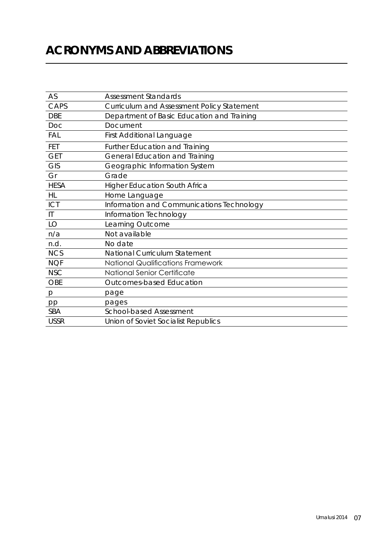### **Acronyms and Abbreviations**

| AS                     | <b>Assessment Standards</b>                |
|------------------------|--------------------------------------------|
| CAPS                   | Curriculum and Assessment Policy Statement |
| <b>DBE</b>             | Department of Basic Education and Training |
| Doc                    | Document                                   |
| <b>FAL</b>             | <b>First Additional Language</b>           |
| FET                    | <b>Further Education and Training</b>      |
| <b>GET</b>             | <b>General Education and Training</b>      |
| <b>GIS</b>             | Geographic Information System              |
| Gr                     | Grade                                      |
| <b>HESA</b>            | <b>Higher Education South Africa</b>       |
| <b>HL</b>              | Home Language                              |
| ICT                    | Information and Communications Technology  |
| $\mathsf{I}\mathsf{I}$ | Information Technology                     |
| LO                     | Learning Outcome                           |
| n/a                    | Not available                              |
| n.d.                   | No date                                    |
| <b>NCS</b>             | <b>National Curriculum Statement</b>       |
| <b>NQF</b>             | <b>National Qualifications Framework</b>   |
| <b>NSC</b>             | National Senior Certificate                |
| <b>OBE</b>             | Outcomes-based Education                   |
| p                      | page                                       |
| pp                     | pages                                      |
| <b>SBA</b>             | <b>School-based Assessment</b>             |
| <b>USSR</b>            | Union of Soviet Socialist Republics        |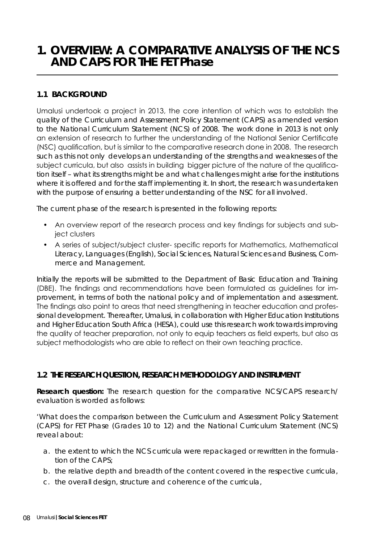### **1. OVERVIEW: A COMPARATIVE ANALYSIS OF THE NCS AND CAPS FOR THE FET Phase**

#### **1.1 BACKGROUND**

Umalusi undertook a project in 2013, the core intention of which was to establish the quality of the Curriculum and Assessment Policy Statement (CAPS) as amended version to the National Curriculum Statement (NCS) of 2008. The work done in 2013 is not only an extension of research to further the understanding of the National Senior Certificate (NSC) qualification, but is similar to the comparative research done in 2008. The research such as this not only develops an understanding of the strengths and weaknesses of the subject curricula, but also assists in building bigger picture of the nature of the qualification itself – what its strengths might be and what challenges might arise for the institutions where it is offered and for the staff implementing it. In short, the research was undertaken with the purpose of ensuring a better understanding of the NSC for all involved.

The current phase of the research is presented in the following reports:

- An overview report of the research process and key findings for subjects and subject clusters
- A series of subject/subject cluster- specific reports for Mathematics, Mathematical Literacy, Languages (English), Social Sciences, Natural Sciences and Business, Commerce and Management.

Initially the reports will be submitted to the Department of Basic Education and Training (DBE). The findings and recommendations have been formulated as guidelines for improvement, in terms of both the national policy and of implementation and assessment. The findings also point to areas that need strengthening in teacher education and professional development. Thereafter, Umalusi, in collaboration with Higher Education Institutions and Higher Education South Africa (HESA), could use this research work towards improving the quality of teacher preparation, not only to equip teachers as field experts, but also as subject methodologists who are able to reflect on their own teaching practice.

#### **1.2 THE RESEARCH QUESTION, RESEARCH METHODOLOGY AND INSTRUMENT**

**Research question:** The research question for the comparative NCS/CAPS research/ evaluation is worded as follows:

*'What does the comparison between the Curriculum and Assessment Policy Statement (CAPS) for FET Phase (Grades 10 to 12) and the National Curriculum Statement (NCS) reveal about:*

- *a. the extent to which the NCS curricula were repackaged or rewritten in the formulation of the CAPS;*
- *b. the relative depth and breadth of the content covered in the respective curricula,*
- *c. the overall design, structure and coherence of the curricula,*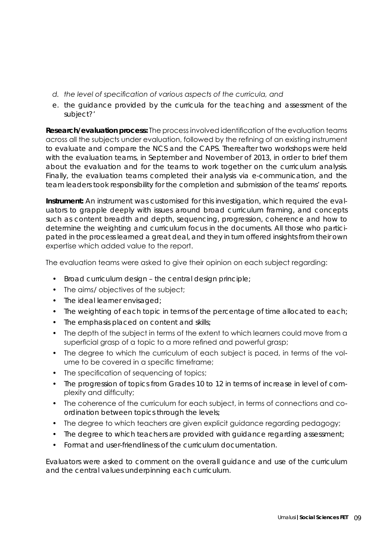- *d. the level of specification of various aspects of the curricula, and*
- *e. the guidance provided by the curricula for the teaching and assessment of the subject?'*

**Research/evaluation process:** The process involved identification of the evaluation teams across all the subjects under evaluation, followed by the refining of an existing instrument to evaluate and compare the NCS and the CAPS. Thereafter two workshops were held with the evaluation teams, in September and November of 2013, in order to brief them about the evaluation and for the teams to work together on the curriculum analysis. Finally, the evaluation teams completed their analysis via e-communication, and the team leaders took responsibility for the completion and submission of the teams' reports.

**Instrument:** An instrument was customised for this investigation, which required the evaluators to grapple deeply with issues around broad curriculum framing, and concepts such as content breadth and depth, sequencing, progression, coherence and how to determine the weighting and curriculum focus in the documents. All those who participated in the process learned a great deal, and they in turn offered insights from their own expertise which added value to the report.

The evaluation teams were asked to give their opinion on each subject regarding:

- Broad curriculum design the central design principle;
- The aims/ objectives of the subject;
- The ideal learner envisaged;
- The weighting of each topic in terms of the percentage of time allocated to each;
- The emphasis placed on content and skills;
- The depth of the subject in terms of the extent to which learners could move from a superficial grasp of a topic to a more refined and powerful grasp;
- The degree to which the curriculum of each subject is paced, in terms of the volume to be covered in a specific timeframe;
- The specification of sequencing of topics;
- The progression of topics from Grades 10 to 12 in terms of increase in level of complexity and difficulty;
- The coherence of the curriculum for each subject, in terms of connections and coordination between topics through the levels;
- The degree to which teachers are given explicit guidance regarding pedagogy;
- The degree to which teachers are provided with guidance regarding assessment;
- Format and user-friendliness of the curriculum documentation.

Evaluators were asked to comment on the overall guidance and use of the curriculum and the central values underpinning each curriculum.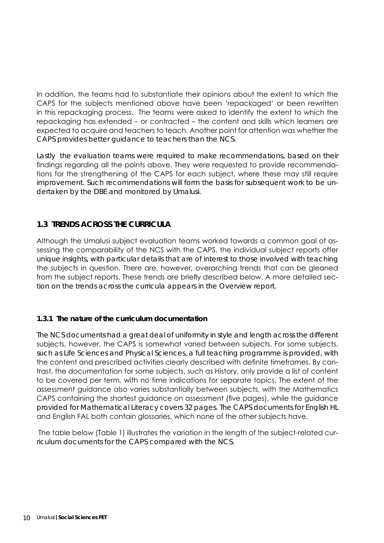In addition, the teams had to substantiate their opinions about the extent to which the CAPS for the subjects mentioned above have been 'repackaged' or been rewritten in this repackaging process. The teams were asked to identify the extent to which the repackaging has extended – or contracted – the content and skills which learners are expected to acquire and teachers to teach. Another point for attention was whether the CAPS provides better guidance to teachers than the NCS.

Lastly the evaluation teams were required to make recommendations, based on their findings regarding all the points above. They were requested to provide recommendations for the strengthening of the CAPS for each subject, where these may still require improvement. Such recommendations will form the basis for subsequent work to be undertaken by the DBE and monitored by Umalusi.

#### **1.3 TRENDS ACROSS THE CURRICULA**

Although the Umalusi subject evaluation teams worked towards a common goal of assessing the comparability of the NCS with the CAPS, the individual subject reports offer unique insights, with particular details that are of interest to those involved with teaching the subjects in question. There are, however, overarching trends that can be gleaned from the subject reports. These trends are briefly described below. A more detailed section on the trends across the curricula appears in the Overview report.

#### **1.3.1 The nature of the curriculum documentation**

The NCS documents had a great deal of uniformity in style and length across the different subjects, however, the CAPS is somewhat varied between subjects. For some subjects, such as Life Sciences and Physical Sciences, a full teaching programme is provided, with the content and prescribed activities clearly described with definite timeframes. By contrast, the documentation for some subjects, such as History, only provide a list of content to be covered per term, with no time indications for separate topics. The extent of the assessment guidance also varies substantially between subjects, with the Mathematics CAPS containing the shortest guidance on assessment (five pages), while the guidance provided for Mathematical Literacy covers 32 pages. The CAPS documents for English HL and English FAL both contain glossaries, which none of the other subjects have.

 The table below (Table 1) illustrates the variation in the length of the subject-related curriculum documents for the CAPS compared with the NCS.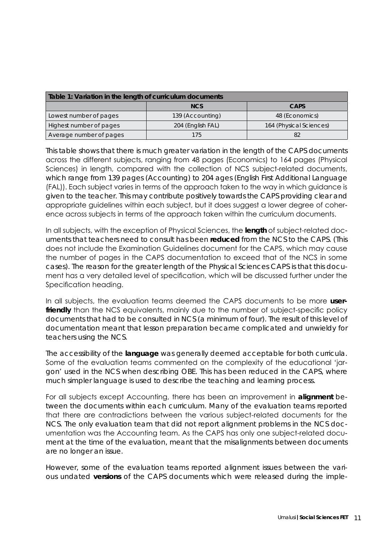| Table 1: Variation in the length of curriculum documents |                   |                         |  |  |  |  |
|----------------------------------------------------------|-------------------|-------------------------|--|--|--|--|
|                                                          | <b>NCS</b>        | <b>CAPS</b>             |  |  |  |  |
| Lowest number of pages                                   | 139 (Accounting)  | 48 (Economics)          |  |  |  |  |
| Highest number of pages                                  | 204 (English FAL) | 164 (Physical Sciences) |  |  |  |  |
| Average number of pages                                  | 175.              | 82                      |  |  |  |  |

This table shows that there is much greater variation in the length of the CAPS documents across the different subjects, ranging from 48 pages (Economics) to 164 pages (Physical Sciences) in length, compared with the collection of NCS subject-related documents, which range from 139 pages (Accounting) to 204 ages (English First Additional Language (FAL)). Each subject varies in terms of the approach taken to the way in which guidance is given to the teacher. This may contribute positively towards the CAPS providing clear and appropriate guidelines within each subject, but it does suggest a lower degree of coherence across subjects in terms of the approach taken within the curriculum documents.

In all subjects, with the exception of Physical Sciences, the **length** of subject-related documents that teachers need to consult has been **reduced** from the NCS to the CAPS. (This does not include the Examination Guidelines document for the CAPS, which may cause the number of pages in the CAPS documentation to exceed that of the NCS in some cases). The reason for the greater length of the Physical Sciences CAPS is that this document has a very detailed level of specification, which will be discussed further under the Specification heading.

In all subjects, the evaluation teams deemed the CAPS documents to be more **user**friendly than the NCS equivalents, mainly due to the number of subject-specific policy documents that had to be consulted in NCS (a minimum of four). The result of this level of documentation meant that lesson preparation became complicated and unwieldy for teachers using the NCS.

The accessibility of the **language** was generally deemed acceptable for both curricula. Some of the evaluation teams commented on the complexity of the educational 'jargon' used in the NCS when describing OBE. This has been reduced in the CAPS, where much simpler language is used to describe the teaching and learning process.

For all subjects except Accounting, there has been an improvement in **alignment** between the documents within each curriculum. Many of the evaluation teams reported that there are contradictions between the various subject-related documents for the NCS. The only evaluation team that did not report alignment problems in the NCS documentation was the Accounting team. As the CAPS has only one subject-related document at the time of the evaluation, meant that the misalignments between documents are no longer an issue.

However, some of the evaluation teams reported alignment issues between the various undated *versions* of the CAPS documents which were released during the imple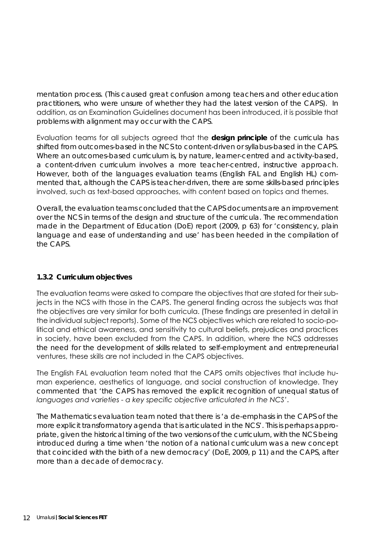mentation process. (This caused great confusion among teachers and other education practitioners, who were unsure of whether they had the latest version of the CAPS). In addition, as an Examination Guidelines document has been introduced, it is possible that problems with alignment may occur with the CAPS.

Evaluation teams for all subjects agreed that the **design principle** of the curricula has shifted from outcomes-based in the NCS to content-driven or syllabus-based in the CAPS. Where an outcomes-based curriculum is, by nature, learner-centred and activity-based, a content-driven curriculum involves a more teacher-centred, instructive approach. However, both of the languages evaluation teams (English FAL and English HL) commented that, although the CAPS is teacher-driven, there are some skills-based principles involved, such as text-based approaches, with content based on topics and themes.

Overall, the evaluation teams concluded that the CAPS documents are an improvement over the NCS in terms of the design and structure of the curricula. The recommendation made in the Department of Education (DoE) report (2009, p 63) for *'consistency, plain language and ease of understanding and use'* has been heeded in the compilation of the CAPS.

#### **1.3.2 Curriculum objectives**

The evaluation teams were asked to compare the objectives that are stated for their subjects in the NCS with those in the CAPS. The general finding across the subjects was that the objectives are very similar for both curricula. (These findings are presented in detail in the individual subject reports). Some of the NCS objectives which are related to socio-political and ethical awareness, and sensitivity to cultural beliefs, prejudices and practices in society, have been excluded from the CAPS. In addition, where the NCS addresses the need for the development of skills related to self-employment and entrepreneurial ventures, these skills are not included in the CAPS objectives.

The English FAL evaluation team noted that the CAPS omits objectives that include human experience, aesthetics of language, and social construction of knowledge. They commented that *'the CAPS has removed the explicit recognition of unequal status of languages and varieties - a key specific objective articulated in the NCS'*.

The Mathematics evaluation team noted that there is *'a de-emphasis in the CAPS of the more explicit transformatory agenda that is articulated in the NCS'*. This is perhaps appropriate, given the historical timing of the two versions of the curriculum, with the NCS being introduced during a time when *'the notion of a national curriculum was a new concept that coincided with the birth of a new democracy'* (DoE, 2009, p 11) and the CAPS, after more than a decade of democracy.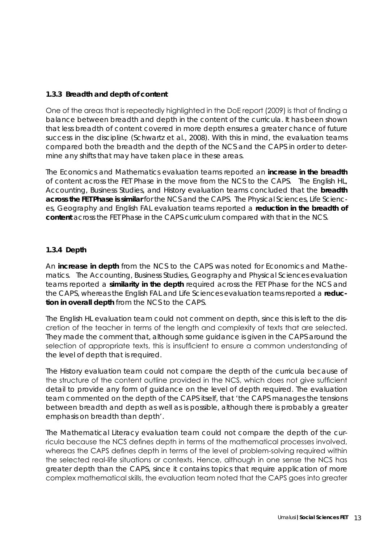#### **1.3.3 Breadth and depth of content**

One of the areas that is repeatedly highlighted in the DoE report (2009) is that of finding a balance between breadth and depth in the content of the curricula. It has been shown that less breadth of content covered in more depth ensures a greater chance of future success in the discipline (Schwartz *et al.*, 2008). With this in mind, the evaluation teams compared both the breadth and the depth of the NCS and the CAPS in order to determine any shifts that may have taken place in these areas.

The Economics and Mathematics evaluation teams reported an **increase in the breadth**  of content across the FET Phase in the move from the NCS to the CAPS. The English HL, Accounting, Business Studies, and History evaluation teams concluded that the **breadth across the FET Phase is similar** for the NCS and the CAPS. The Physical Sciences, Life Sciences, Geography and English FAL evaluation teams reported a **reduction in the breadth of content** across the FET Phase in the CAPS curriculum compared with that in the NCS.

#### **1.3.4 Depth**

An **increase in depth** from the NCS to the CAPS was noted for Economics and Mathematics. The Accounting, Business Studies, Geography and Physical Sciences evaluation teams reported a **similarity in the depth** required across the FET Phase for the NCS and the CAPS, whereas the English FAL and Life Sciences evaluation teams reported a **reduction in overall depth** from the NCS to the CAPS.

The English HL evaluation team could not comment on depth, since this is left to the discretion of the teacher in terms of the length and complexity of texts that are selected. They made the comment that, although some guidance is given in the CAPS around the selection of appropriate texts, this is insufficient to ensure a common understanding of the level of depth that is required.

The History evaluation team could not compare the depth of the curricula because of the structure of the content outline provided in the NCS, which does not give sufficient detail to provide any form of guidance on the level of depth required. The evaluation team commented on the depth of the CAPS itself, that *'the CAPS manages the tensions between breadth and depth as well as is possible, although there is probably a greater emphasis on breadth than depth'*.

The Mathematical Literacy evaluation team could not compare the depth of the curricula because the NCS defines depth in terms of the mathematical processes involved, whereas the CAPS defines depth in terms of the level of problem-solving required within the selected real-life situations or contexts. Hence, although in one sense the NCS has greater depth than the CAPS, since it contains topics that require application of more complex mathematical skills, the evaluation team noted that the CAPS goes into greater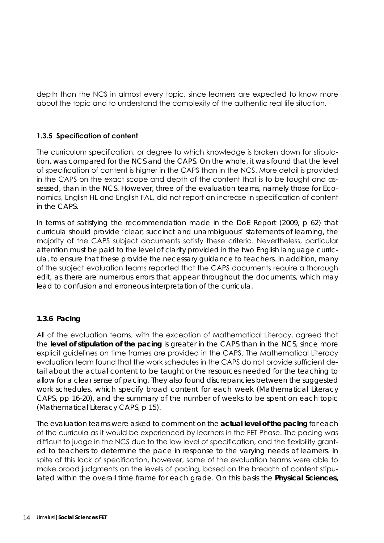depth than the NCS in almost every topic, since learners are expected to know more about the topic and to understand the complexity of the authentic real life situation.

#### **1.3.5 Specification of content**

The curriculum specification, or degree to which knowledge is broken down for stipulation, was compared for the NCS and the CAPS. On the whole, it was found that the level of specification of content is higher in the CAPS than in the NCS. More detail is provided in the CAPS on the exact scope and depth of the content that is to be taught and assessed, than in the NCS. However, three of the evaluation teams, namely those for Economics, English HL and English FAL, did not report an increase in specification of content in the CAPS.

In terms of satisfying the recommendation made in the DoE Report (2009, p 62) that curricula should provide *'clear, succinct and unambiguous'* statements of learning, the majority of the CAPS subject documents satisfy these criteria. Nevertheless, particular attention must be paid to the level of clarity provided in the two English language curricula, to ensure that these provide the necessary guidance to teachers. In addition, many of the subject evaluation teams reported that the CAPS documents require a thorough edit, as there are numerous errors that appear throughout the documents, which may lead to confusion and erroneous interpretation of the curricula.

#### **1.3.6 Pacing**

All of the evaluation teams, with the exception of Mathematical Literacy, agreed that the **level of stipulation of the pacing** is greater in the CAPS than in the NCS, since more explicit guidelines on time frames are provided in the CAPS. The Mathematical Literacy evaluation team found that the work schedules in the CAPS do not provide sufficient detail about the actual content to be taught or the resources needed for the teaching to allow for a clear sense of pacing. They also found discrepancies between the suggested work schedules, which specify broad content for each week (Mathematical Literacy CAPS, pp 16-20), and the summary of the number of weeks to be spent on each topic (Mathematical Literacy CAPS, p 15).

The evaluation teams were asked to comment on the **actual level of the pacing** for each of the curricula as it would be experienced by learners in the FET Phase. The pacing was difficult to judge in the NCS due to the low level of specification, and the flexibility granted to teachers to determine the pace in response to the varying needs of learners. In spite of this lack of specification, however, some of the evaluation teams were able to make broad judgments on the levels of pacing, based on the breadth of content stipulated within the overall time frame for each grade. On this basis the **Physical Sciences,**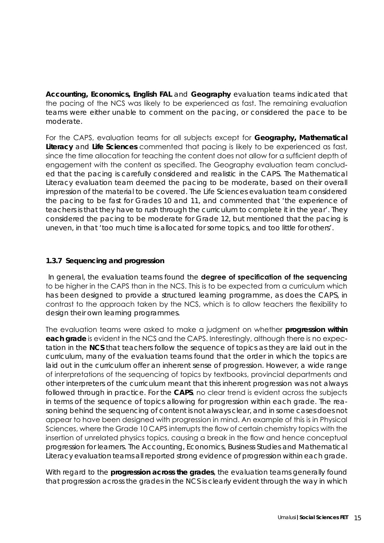**Accounting, Economics, English FAL** and **Geography** evaluation teams indicated that the pacing of the NCS was likely to be experienced as fast. The remaining evaluation teams were either unable to comment on the pacing, or considered the pace to be moderate.

For the CAPS, evaluation teams for all subjects except for **Geography, Mathematical Literacy** and **Life Sciences** commented that pacing is likely to be experienced as fast, since the time allocation for teaching the content does not allow for a sufficient depth of engagement with the content as specified. The Geography evaluation team concluded that the pacing is carefully considered and realistic in the CAPS. The Mathematical Literacy evaluation team deemed the pacing to be moderate, based on their overall impression of the material to be covered. The Life Sciences evaluation team considered the pacing to be fast for Grades 10 and 11, and commented that *'the experience of teachers is that they have to rush through the curriculum to complete it in the year'*. They considered the pacing to be moderate for Grade 12, but mentioned that the pacing is uneven, in that *'too much time is allocated for some topics, and too little for others'*.

#### **1.3.7 Sequencing and progression**

 In general, the evaluation teams found the **degree of specification of the sequencing**  to be higher in the CAPS than in the NCS. This is to be expected from a curriculum which has been designed to provide a structured learning programme, as does the CAPS, in contrast to the approach taken by the NCS, which is to allow teachers the flexibility to design their own learning programmes.

The evaluation teams were asked to make a judgment on whether **progression within each grade** is evident in the NCS and the CAPS. Interestingly, although there is no expectation in the **NCS** that teachers follow the sequence of topics as they are laid out in the curriculum, many of the evaluation teams found that the order in which the topics are laid out in the curriculum offer an inherent sense of progression. However, a wide range of interpretations of the sequencing of topics by textbooks, provincial departments and other interpreters of the curriculum meant that this inherent progression was not always followed through in practice. For the **CAPS**, no clear trend is evident across the subjects in terms of the sequence of topics allowing for progression within each grade. The reasoning behind the sequencing of content is not always clear, and in some cases does not appear to have been designed with progression in mind. An example of this is in Physical Sciences, where the Grade 10 CAPS interrupts the flow of certain chemistry topics with the insertion of unrelated physics topics, causing a break in the flow and hence conceptual progression for learners. The Accounting, Economics, Business Studies and Mathematical Literacy evaluation teams all reported strong evidence of progression within each grade.

With regard to the **progression across the grades**, the evaluation teams generally found that progression across the grades in the NCS is clearly evident through the way in which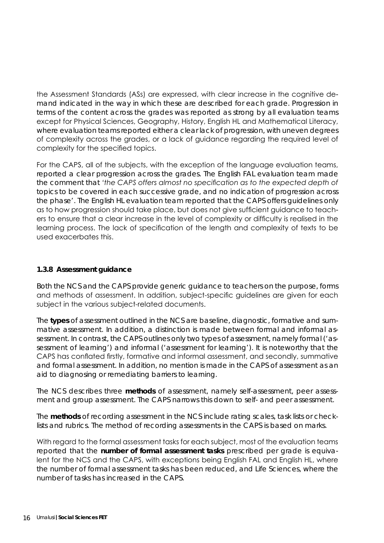the Assessment Standards (ASs) are expressed, with clear increase in the cognitive demand indicated in the way in which these are described for each grade. Progression in terms of the content across the grades was reported as strong by all evaluation teams except for Physical Sciences, Geography, History, English HL and Mathematical Literacy, where evaluation teams reported either a clear lack of progression, with uneven degrees of complexity across the grades, or a lack of guidance regarding the required level of complexity for the specified topics.

For the CAPS, all of the subjects, with the exception of the language evaluation teams, reported a clear progression across the grades. The English FAL evaluation team made the comment that *'the CAPS offers almost no specification as to the expected depth of topics to be covered in each successive grade, and no indication of progression across the phase'*. The English HL evaluation team reported that the CAPS offers guidelines only as to how progression should take place, but does not give sufficient guidance to teachers to ensure that a clear increase in the level of complexity or difficulty is realised in the learning process. The lack of specification of the length and complexity of texts to be used exacerbates this.

#### **1.3.8 Assessment guidance**

Both the NCS and the CAPS provide generic guidance to teachers on the purpose, forms and methods of assessment. In addition, subject-specific guidelines are given for each subject in the various subject-related documents.

The **types** of assessment outlined in the NCS are baseline, diagnostic, formative and summative assessment. In addition, a distinction is made between formal and informal assessment. In contrast, the CAPS outlines only two types of assessment, namely formal (*'assessment of learning'*) and informal (*'assessment for learning'*). It is noteworthy that the CAPS has conflated firstly, formative and informal assessment, and secondly, summative and formal assessment. In addition, no mention is made in the CAPS of assessment as an aid to diagnosing or remediating barriers to learning.

The NCS describes three **methods** of assessment, namely self-assessment, peer assessment and group assessment. The CAPS narrows this down to self- and peer assessment.

The **methods** of recording assessment in the NCS include rating scales, task lists or checklists and rubrics. The method of recording assessments in the CAPS is based on marks.

With regard to the formal assessment tasks for each subject, most of the evaluation teams reported that the **number of formal assessment tasks** prescribed per grade is equivalent for the NCS and the CAPS, with exceptions being English FAL and English HL, where the number of formal assessment tasks has been reduced, and Life Sciences, where the number of tasks has increased in the CAPS.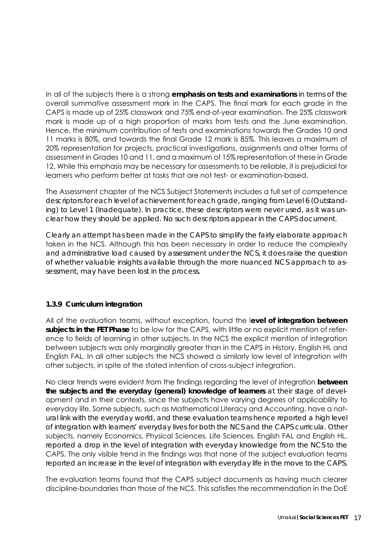In all of the subjects there is a strong **emphasis on tests and examinations** in terms of the overall summative assessment mark in the CAPS. The final mark for each grade in the CAPS is made up of 25% classwork and 75% end-of-year examination. The 25% classwork mark is made up of a high proportion of marks from tests and the June examination. Hence, the minimum contribution of tests and examinations towards the Grades 10 and 11 marks is 80%, and towards the final Grade 12 mark is 85%. This leaves a maximum of 20% representation for projects, practical investigations, assignments and other forms of assessment in Grades 10 and 11, and a maximum of 15% representation of these in Grade 12. While this emphasis may be necessary for assessments to be reliable, it is prejudicial for learners who perform better at tasks that are not test- or examination-based.

The Assessment chapter of the NCS Subject Statements includes a full set of competence descriptors for each level of achievement for each grade, ranging from Level 6 (Outstanding) to Level 1 (Inadequate). In practice, these descriptors were never used, as it was unclear how they should be applied. No such descriptors appear in the CAPS document.

Clearly an attempt has been made in the CAPS to simplify the fairly elaborate approach taken in the NCS. Although this has been necessary in order to reduce the complexity and administrative load caused by assessment under the NCS, it does raise the question of whether valuable insights available through the more nuanced NCS approach to assessment, may have been lost in the process.

#### **1.3.9 Curriculum integration**

All of the evaluation teams, without exception, found the l**evel of integration between subjects in the FET Phase** to be low for the CAPS, with little or no explicit mention of reference to fields of learning in other subjects. In the NCS the explicit mention of integration between subjects was only marginally greater than in the CAPS in History, English HL and English FAL. In all other subjects the NCS showed a similarly low level of integration with other subjects, in spite of the stated intention of cross-subject integration.

No clear trends were evident from the findings regarding the level of integration **between the subjects and the everyday (general) knowledge of learners** at their stage of development and in their contexts, since the subjects have varying degrees of applicability to everyday life. Some subjects, such as Mathematical Literacy and Accounting, have a natural link with the everyday world, and these evaluation teams hence reported a high level of integration with learners' everyday lives for both the NCS and the CAPS curricula. Other subjects, namely Economics, Physical Sciences, Life Sciences, English FAL and English HL, reported a drop in the level of integration with everyday knowledge from the NCS to the CAPS. The only visible trend in the findings was that none of the subject evaluation teams reported an increase in the level of integration with everyday life in the move to the CAPS.

The evaluation teams found that the CAPS subject documents as having much clearer discipline-boundaries than those of the NCS. This satisfies the recommendation in the DoE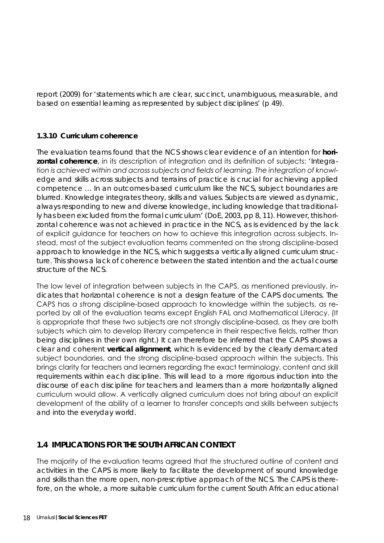report (2009) for *'statements which are clear, succinct, unambiguous, measurable, and based on essential learning as represented by subject disciplines'* (p 49).

#### **1.3.10 Curriculum coherence**

The evaluation teams found that the NCS shows clear evidence of an intention for **horizontal coherence**, in its description of integration and its definition of subjects: *'Integration is achieved within and across subjects and fields of learning. The integration of knowledge and skills across subjects and terrains of practice is crucial for achieving applied competence … In an outcomes-based curriculum like the NCS, subject boundaries are blurred. Knowledge integrates theory, skills and values. Subjects are viewed as dynamic, always responding to new and diverse knowledge, including knowledge that traditionally has been excluded from the formal curriculum'* (DoE, 2003, pp 8, 11). However, this horizontal coherence was not achieved in practice in the NCS, as is evidenced by the lack of explicit guidance for teachers on how to achieve this integration across subjects. Instead, most of the subject evaluation teams commented on the strong discipline-based approach to knowledge in the NCS, which suggests a vertically aligned curriculum structure. This shows a lack of coherence between the stated intention and the actual course structure of the NCS.

The low level of integration between subjects in the CAPS, as mentioned previously, indicates that horizontal coherence is not a design feature of the CAPS documents. The CAPS has a strong discipline-based approach to knowledge within the subjects, as reported by all of the evaluation teams except English FAL and Mathematical Literacy. (It is appropriate that these two subjects are not strongly discipline-based, as they are both subjects which aim to develop literary competence in their respective fields, rather than being disciplines in their own right.) It can therefore be inferred that the CAPS shows a clear and coherent **vertical alignment**, which is evidenced by the clearly demarcated subject boundaries, and the strong discipline-based approach within the subjects. This brings clarity for teachers and learners regarding the exact terminology, content and skill requirements within each discipline. This will lead to a more rigorous induction into the discourse of each discipline for teachers and learners than a more horizontally aligned curriculum would allow. A vertically aligned curriculum does not bring about an explicit development of the ability of a learner to transfer concepts and skills between subjects and into the everyday world.

#### **1.4 IMPLICATIONS FOR THE SOUTH AFRICAN CONTEXT**

The majority of the evaluation teams agreed that the structured outline of content and activities in the CAPS is more likely to facilitate the development of sound knowledge and skills than the more open, non-prescriptive approach of the NCS. The CAPS is therefore, on the whole, a more suitable curriculum for the current South African educational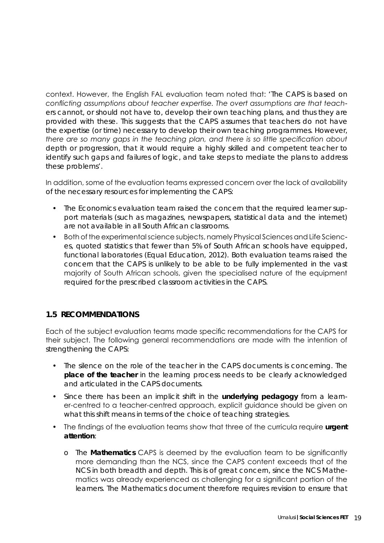context. However, the English FAL evaluation team noted that: *'The CAPS is based on conflicting assumptions about teacher expertise. The overt assumptions are that teachers cannot, or should not have to, develop their own teaching plans, and thus they are provided with these. This suggests that the CAPS assumes that teachers do not have the expertise (or time) necessary to develop their own teaching programmes. However, there are so many gaps in the teaching plan, and there is so little specification about depth or progression, that it would require a highly skilled and competent teacher to identify such gaps and failures of logic, and take steps to mediate the plans to address these problems'*.

In addition, some of the evaluation teams expressed concern over the lack of availability of the necessary resources for implementing the CAPS:

- The Economics evaluation team raised the concern that the required learner support materials (such as magazines, newspapers, statistical data and the internet) are not available in all South African classrooms.
- Both of the experimental science subjects, namely Physical Sciences and Life Sciences, quoted statistics that fewer than 5% of South African schools have equipped, functional laboratories (Equal Education, 2012). Both evaluation teams raised the concern that the CAPS is unlikely to be able to be fully implemented in the vast majority of South African schools, given the specialised nature of the equipment required for the prescribed classroom activities in the CAPS.

#### **1.5 RECOMMENDATIONS**

Each of the subject evaluation teams made specific recommendations for the CAPS for their subject. The following general recommendations are made with the intention of strengthening the CAPS:

- The silence on the role of the teacher in the CAPS documents is concerning. The **place of the teacher** in the learning process needs to be clearly acknowledged and articulated in the CAPS documents.
- Since there has been an implicit shift in the **underlying pedagogy** from a learner-centred to a teacher-centred approach, explicit guidance should be given on what this shift means in terms of the choice of teaching strategies.
- The findings of the evaluation teams show that three of the curricula require **urgent attention**:
	- o The **Mathematics** CAPS is deemed by the evaluation team to be significantly more demanding than the NCS, since the CAPS content exceeds that of the NCS in both breadth and depth. This is of great concern, since the NCS Mathematics was already experienced as challenging for a significant portion of the learners. The Mathematics document therefore requires revision to ensure that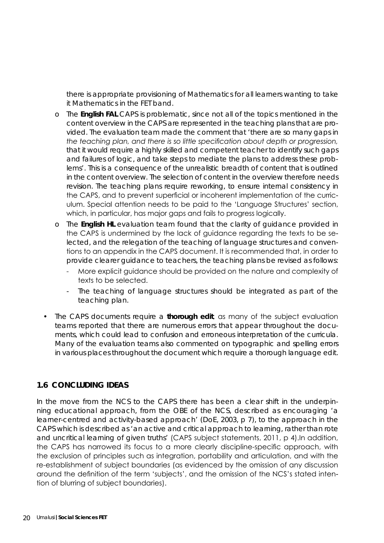there is appropriate provisioning of Mathematics for all learners wanting to take it Mathematics in the FET band.

- o The **English FAL** CAPS is problematic, since not all of the topics mentioned in the content overview in the CAPS are represented in the teaching plans that are provided. The evaluation team made the comment that *'there are so many gaps in the teaching plan, and there is so little specification about depth or progression, that it would require a highly skilled and competent teacher to identify such gaps and failures of logic, and take steps to mediate the plans to address these problems'*. This is a consequence of the unrealistic breadth of content that is outlined in the content overview. The selection of content in the overview therefore needs revision. The teaching plans require reworking, to ensure internal consistency in the CAPS, and to prevent superficial or incoherent implementation of the curriculum. Special attention needs to be paid to the 'Language Structures' section, which, in particular, has major gaps and fails to progress logically.
- o The **English HL** evaluation team found that the clarity of guidance provided in the CAPS is undermined by the lack of guidance regarding the texts to be selected, and the relegation of the teaching of language structures and conventions to an appendix in the CAPS document. It is recommended that, in order to provide clearer guidance to teachers, the teaching plans be revised as follows:
	- More explicit guidance should be provided on the nature and complexity of texts to be selected.
	- The teaching of language structures should be integrated as part of the teaching plan.
- The CAPS documents require a **thorough edit**, as many of the subject evaluation teams reported that there are numerous errors that appear throughout the documents, which could lead to confusion and erroneous interpretation of the curricula. Many of the evaluation teams also commented on typographic and spelling errors in various places throughout the document which require a thorough language edit.

#### **1.6 CONCLUDING IDEAS**

In the move from the NCS to the CAPS there has been a clear shift in the underpinning educational approach, from the OBE of the NCS, described as encouraging *'a learner-centred and activity-based approach'* (DoE, 2003, p 7), to the approach in the CAPS which is described as *'an active and critical approach to learning, rather than rote and uncritical learning of given truths'* (CAPS subject statements, 2011, p 4).In addition, the CAPS has narrowed its focus to a more clearly discipline-specific approach, with the exclusion of principles such as integration, portability and articulation, and with the re-establishment of subject boundaries (as evidenced by the omission of any discussion around the definition of the term 'subjects', and the omission of the NCS's stated intention of blurring of subject boundaries).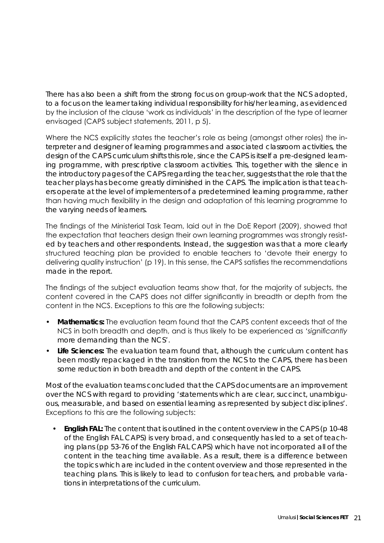There has also been a shift from the strong focus on group-work that the NCS adopted, to a focus on the learner taking individual responsibility for his/her learning, as evidenced by the inclusion of the clause 'work as individuals' in the description of the type of learner envisaged (CAPS subject statements, 2011, p 5).

Where the NCS explicitly states the teacher's role as being (amongst other roles) the interpreter and designer of learning programmes and associated classroom activities, the design of the CAPS curriculum shifts this role, since the CAPS is itself a pre-designed learning programme, with prescriptive classroom activities. This, together with the silence in the introductory pages of the CAPS regarding the teacher, suggests that the role that the teacher plays has become greatly diminished in the CAPS. The implication is that teachers operate at the level of implementers of a predetermined learning programme, rather than having much flexibility in the design and adaptation of this learning programme to the varying needs of learners.

The findings of the Ministerial Task Team, laid out in the DoE Report (2009), showed that the expectation that teachers design their own learning programmes was strongly resisted by teachers and other respondents. Instead, the suggestion was that a more clearly structured teaching plan be provided to enable teachers to 'devote their energy to delivering quality instruction' (p 19). In this sense, the CAPS satisfies the recommendations made in the report.

The findings of the subject evaluation teams show that, for the majority of subjects, the content covered in the CAPS does not differ significantly in breadth or depth from the content in the NCS. Exceptions to this are the following subjects:

- **• Mathematics:** The evaluation team found that the CAPS content exceeds that of the NCS in both breadth and depth, and is thus likely to be experienced as *'significantly more demanding than the NCS'*.
- **• Life Sciences:** The evaluation team found that, although the curriculum content has been mostly repackaged in the transition from the NCS to the CAPS, there has been some reduction in both breadth and depth of the content in the CAPS.

Most of the evaluation teams concluded that the CAPS documents are an improvement over the NCS with regard to providing *'statements which are clear, succinct, unambiguous, measurable, and based on essential learning as represented by subject disciplines'*. Exceptions to this are the following subjects:

**English FAL:** The content that is outlined in the content overview in the CAPS (p 10-48 of the English FAL CAPS) is very broad, and consequently has led to a set of teaching plans (pp 53-76 of the English FAL CAPS) which have not incorporated all of the content in the teaching time available. As a result, there is a difference between the topics which are included in the content overview and those represented in the teaching plans. This is likely to lead to confusion for teachers, and probable variations in interpretations of the curriculum.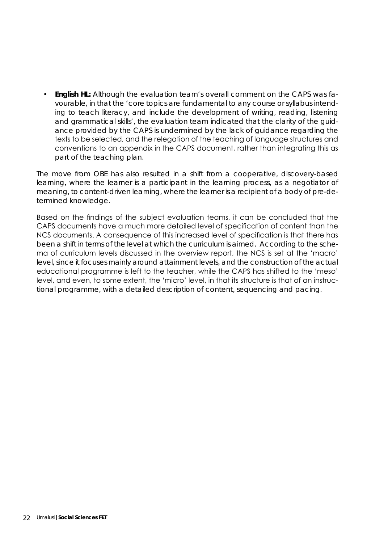**• English HL:** Although the evaluation team's overall comment on the CAPS was favourable, in that the *'core topics are fundamental to any course or syllabus intending to teach literacy, and include the development of writing, reading, listening and grammatical skills'*, the evaluation team indicated that the clarity of the guidance provided by the CAPS is undermined by the lack of guidance regarding the texts to be selected, and the relegation of the teaching of language structures and conventions to an appendix in the CAPS document, rather than integrating this as part of the teaching plan.

The move from OBE has also resulted in a shift from a cooperative, discovery-based learning, where the learner is a participant in the learning process, as a negotiator of meaning, to content-driven learning, where the learner is a recipient of a body of pre-determined knowledge.

Based on the findings of the subject evaluation teams, it can be concluded that the CAPS documents have a much more detailed level of specification of content than the NCS documents. A consequence of this increased level of specification is that there has been a shift in terms of the level at which the curriculum is aimed. According to the schema of curriculum levels discussed in the overview report, the NCS is set at the 'macro' level, since it focuses mainly around attainment levels, and the construction of the actual educational programme is left to the teacher, while the CAPS has shifted to the 'meso' level, and even, to some extent, the 'micro' level, in that its structure is that of an instructional programme, with a detailed description of content, sequencing and pacing.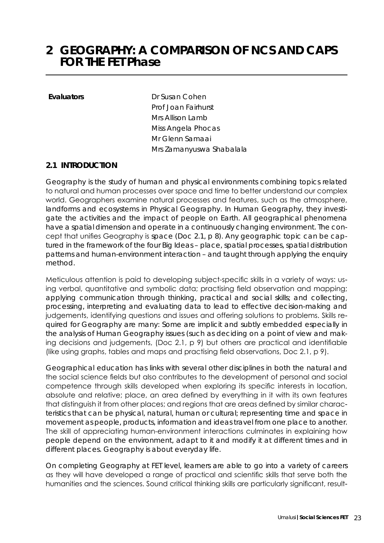### **2 GEOGRAPHY: A COMPARISON OF NCS AND CAPS FOR THE FET Phase**

**Evaluators** Dr Susan Cohen Prof Joan Fairhurst Mrs Allison Lamb Miss Angela Phocas Mr Glenn Samaai Mrs Zamanyuswa Shabalala

#### **2.1 INTRODUCTION**

Geography is the study of human and physical environments combining topics related to natural and human processes over space and time to better understand our complex world. Geographers examine natural processes and features, such as the atmosphere, landforms and ecosystems in Physical Geography. In Human Geography, they investigate the activities and the impact of people on Earth. All geographical phenomena have a spatial dimension and operate in a continuously changing environment. The concept that unifies Geography is *space* (Doc 2.1, p 8). Any geographic topic can be captured in the framework of the four Big Ideas – place, spatial processes, spatial distribution patterns and human-environment interaction – and taught through applying the enquiry method.

Meticulous attention is paid to developing subject-specific skills in a variety of ways: using verbal, quantitative and symbolic data; practising field observation and mapping; applying communication through thinking, practical and social skills; and collecting, processing, interpreting and evaluating data to lead to effective decision-making and judgements, identifying questions and issues and offering solutions to problems. Skills required for Geography are many: Some are implicit and subtly embedded especially in the analysis of Human Geography issues (such as deciding on a point of view and making decisions and judgements, (Doc 2.1, p 9) but others are practical and identifiable (like using graphs, tables and maps and practising field observations, Doc 2.1, p 9).

Geographical education has links with several other disciplines in both the natural and the social science fields but also contributes to the development of personal and social competence through skills developed when exploring its specific interests in location, absolute and relative; place, an area defined by everything in it with its own features that distinguish it from other places; and regions that are areas defined by similar characteristics that can be physical, natural, human or cultural; representing time and space in movement as people, products, information and ideas travel from one place to another. The skill of appreciating human-environment interactions culminates in explaining how people depend on the environment, adapt to it and modify it at different times and in different places. Geography is about everyday life.

On completing Geography at FET level, learners are able to go into a variety of careers as they will have developed a range of practical and scientific skills that serve both the humanities and the sciences. Sound critical thinking skills are particularly significant, result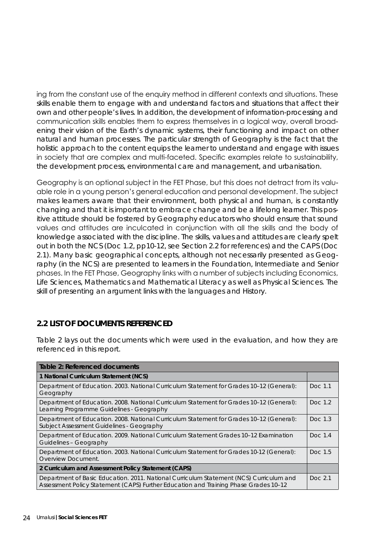ing from the constant use of the enquiry method in different contexts and situations. These skills enable them to engage with and understand factors and situations that affect their own and other people's lives. In addition, the development of information-processing and communication skills enables them to express themselves in a logical way, overall broadening their vision of the Earth's dynamic systems, their functioning and impact on other natural and human processes. The particular strength of Geography is the fact that the holistic approach to the content equips the learner to understand and engage with issues in society that are complex and multi-faceted. Specific examples relate to sustainability, the development process, environmental care and management, and urbanisation.

Geography is an optional subject in the FET Phase, but this does not detract from its valuable role in a young person's general education and personal development. The subject makes learners aware that their environment, both physical and human, is constantly changing and that it is important to embrace change and be a lifelong learner. This positive attitude should be fostered by Geography educators who should ensure that sound values and attitudes are inculcated in conjunction with all the skills and the body of knowledge associated with the discipline. The skills, values and attitudes are clearly spelt out in both the NCS (Doc 1.2, pp10-12, see Section 2.2 for references) and the CAPS (Doc 2.1). Many basic geographical concepts, although not necessarily presented as Geography (in the NCS) are presented to learners in the Foundation, Intermediate and Senior phases. In the FET Phase, Geography links with a number of subjects including Economics, Life Sciences, Mathematics and Mathematical Literacy as well as Physical Sciences. The skill of presenting an argument links with the languages and History.

#### **2.2 LIST OF DOCUMENTS REFERENCED**

Table 2 lays out the documents which were used in the evaluation, and how they are referenced in this report.

| Table 2: Referenced documents                                                                                                                                                   |          |  |  |
|---------------------------------------------------------------------------------------------------------------------------------------------------------------------------------|----------|--|--|
| 1 National Curriculum Statement (NCS)                                                                                                                                           |          |  |  |
| Department of Education. 2003. National Curriculum Statement for Grades 10-12 (General):<br>Geography                                                                           | Doc. 1.1 |  |  |
| Department of Education. 2008. National Curriculum Statement for Grades 10-12 (General):<br>Learning Programme Guidelines - Geography                                           | Doc. 1.2 |  |  |
| Department of Education. 2008. National Curriculum Statement for Grades 10-12 (General):<br>Subject Assessment Guidelines - Geography                                           | Doc. 1.3 |  |  |
| Department of Education. 2009. National Curriculum Statement Grades 10–12 Examination<br>Guidelines - Geography                                                                 | Doc. 1.4 |  |  |
| Department of Education. 2003. National Curriculum Statement for Grades 10-12 (General):<br>Overview Document.                                                                  | Doc. 1.5 |  |  |
| 2 Curriculum and Assessment Policy Statement (CAPS)                                                                                                                             |          |  |  |
| Department of Basic Education. 2011. National Curriculum Statement (NCS) Curriculum and<br>Assessment Policy Statement (CAPS) Further Education and Training Phase Grades 10-12 | Doc. 2.1 |  |  |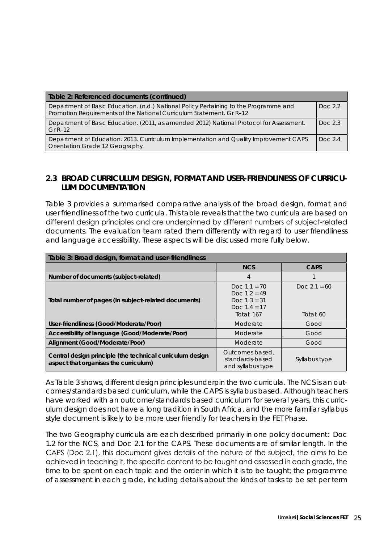| Table 2: Referenced documents (continued)                                                                                                                     |            |
|---------------------------------------------------------------------------------------------------------------------------------------------------------------|------------|
| Department of Basic Education. (n.d.) National Policy Pertaining to the Programme and<br>Promotion Requirements of the National Curriculum Statement. Gr R-12 | Doc $2.2$  |
| Department of Basic Education. (2011, as amended 2012) National Protocol for Assessment.<br>Gr $R-12$                                                         | Doc. 2.3   |
| Department of Education. 2013. Curriculum Implementation and Quality Improvement CAPS<br>Orientation Grade 12 Geography                                       | Doc. $2.4$ |

#### **2.3 BROAD CURRICULUM DESIGN, FORMAT AND USER-FRIENDLINESS OF CURRICU-LUM DOCUMENTATION**

Table 3 provides a summarised comparative analysis of the broad design, format and user friendliness of the two curricula. This table reveals that the two curricula are based on different design principles and are underpinned by different numbers of subject-related documents. The evaluation team rated them differently with regard to user friendliness and language accessibility. These aspects will be discussed more fully below.

| Table 3: Broad design, format and user-friendliness                                                |                                                                                               |                                |  |  |  |
|----------------------------------------------------------------------------------------------------|-----------------------------------------------------------------------------------------------|--------------------------------|--|--|--|
|                                                                                                    | <b>NCS</b>                                                                                    | <b>CAPS</b>                    |  |  |  |
| Number of documents (subject-related)                                                              | 4                                                                                             |                                |  |  |  |
| Total number of pages (in subject-related documents)                                               | Doc. $1.1 = 70$<br>Doc. $1.2 = 49$<br>Doc. $1.3 = 31$<br>Doc. $1.4 = 17$<br><b>Total: 167</b> | Doc. $2.1 = 60$<br>Total: $60$ |  |  |  |
| User-friendliness (Good/Moderate/Poor)                                                             | Moderate                                                                                      | Good                           |  |  |  |
| Accessibility of language (Good/Moderate/Poor)                                                     | Moderate                                                                                      | Good                           |  |  |  |
| Alignment (Good/Moderate/Poor)                                                                     | Moderate                                                                                      | Good                           |  |  |  |
| Central design principle (the technical curriculum design<br>aspect that organises the curriculum) | Outcomes based,<br>standards-based<br>and syllabus type                                       | Syllabus type                  |  |  |  |

As Table 3 shows, different design principles underpin the two curricula. The NCS is an outcomes/standards based curriculum, while the CAPS is syllabus based. Although teachers have worked with an outcome/standards based curriculum for several years, this curriculum design does not have a long tradition in South Africa, and the more familiar syllabus style document is likely to be more user friendly for teachers in the FET Phase.

The two Geography curricula are each described primarily in one policy document: Doc 1.2 for the NCS, and Doc 2.1 for the CAPS. These documents are of similar length. In the CAPS (Doc 2.1), this document gives details of the nature of the subject, the aims to be achieved in teaching it, the specific content to be taught and assessed in each grade, the time to be spent on each topic and the order in which it is to be taught; the programme of assessment in each grade, including details about the kinds of tasks to be set per term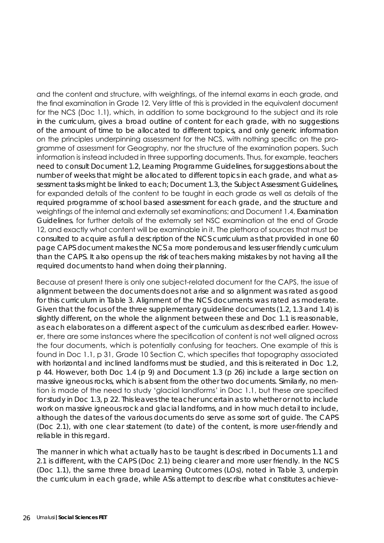and the content and structure, with weightings, of the internal exams in each grade, and the final examination in Grade 12. Very little of this is provided in the equivalent document for the NCS (Doc 1.1), which, in addition to some background to the subject and its role in the curriculum, gives a broad outline of content for each grade, with no suggestions of the amount of time to be allocated to different topics, and only generic information on the principles underpinning assessment for the NCS, with nothing specific on the programme of assessment for Geography, nor the structure of the examination papers. Such information is instead included in three supporting documents. Thus, for example, teachers need to consult Document 1.2, *Learning Programme Guidelines*, for suggestions about the number of weeks that might be allocated to different topics in each grade, and what assessment tasks might be linked to each; Document 1.3, the *Subject Assessment Guidelines*, for expanded details of the content to be taught in each grade as well as details of the required programme of school based assessment for each grade, and the structure and weightings of the internal and externally set examinations; and Document 1.4, *Examination Guidelines*, for further details of the externally set NSC examination at the end of Grade 12, and exactly what content will be examinable in it. The plethora of sources that must be consulted to acquire as full a description of the NCS curriculum as that provided in one 60 page CAPS document makes the NCS a more ponderous and less user friendly curriculum than the CAPS. It also opens up the risk of teachers making mistakes by not having all the required documents to hand when doing their planning.

Because at present there is only one subject-related document for the CAPS, the issue of alignment between the documents does not arise and so alignment was rated as good for this curriculum in Table 3. Alignment of the NCS documents was rated as moderate. Given that the focus of the three supplementary guideline documents (1.2, 1.3 and 1.4) is slightly different, on the whole the alignment between these and Doc 1.1 is reasonable, as each elaborates on a different aspect of the curriculum as described earlier. However, there are some instances where the specification of content is not well aligned across the four documents, which is potentially confusing for teachers. One example of this is found in Doc 1.1, p 31, Grade 10 Section C, which specifies that topography associated with horizontal and inclined landforms must be studied, and this is reiterated in Doc 1.2, p 44. However, both Doc 1.4 (p 9) and Document 1.3 (p 26) include a large section on massive igneous rocks, which is absent from the other two documents. Similarly, no mention is made of the need to study 'glacial landforms' in Doc 1.1, but these are specified for study in Doc 1.3, p 22. This leaves the teacher uncertain as to whether or not to include work on massive igneous rock and glacial landforms, and in how much detail to include, although the dates of the various documents do serve as some sort of guide. The CAPS (Doc 2.1), with one clear statement (to date) of the content, is more user-friendly and reliable in this regard.

The manner in which what actually has to be taught is described in Documents 1.1 and 2.1 is different, with the CAPS (Doc 2.1) being clearer and more user friendly. In the NCS (Doc 1.1), the same three broad Learning Outcomes (LOs), noted in Table 3, underpin the curriculum in each grade, while ASs attempt to describe what constitutes achieve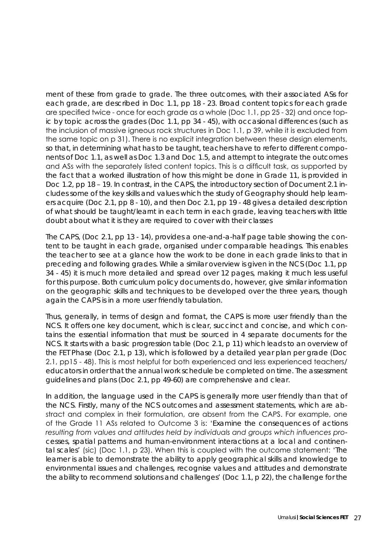ment of these from grade to grade. The three outcomes, with their associated ASs for each grade, are described in Doc 1.1, pp 18 - 23. Broad content topics for each grade are specified twice - once for each grade as a whole (Doc 1.1, pp 25 - 32) and once topic by topic across the grades (Doc 1.1, pp 34 - 45), with occasional differences (such as the inclusion of massive igneous rock structures in Doc 1.1, p 39, while it is excluded from the same topic on p 31). There is no explicit integration between these design elements, so that, in determining what has to be taught, teachers have to refer to different components of Doc 1.1, as well as Doc 1.3 and Doc 1.5, and attempt to integrate the outcomes and ASs with the separately listed content topics. This is a difficult task, as supported by the fact that a worked illustration of how this might be done in Grade 11, is provided in Doc 1.2, pp 18 – 19. In contrast, in the CAPS, the introductory section of Document 2.1 includes some of the key skills and values which the study of Geography should help learners acquire (Doc 2.1, pp 8 - 10), and then Doc 2.1, pp 19 - 48 gives a detailed description of what should be taught/learnt in each term in each grade, leaving teachers with little doubt about what it is they are required to cover with their classes

The CAPS, (Doc 2.1, pp 13 - 14), provides a one-and-a-half page table showing the content to be taught in each grade, organised under comparable headings. This enables the teacher to see at a glance how the work to be done in each grade links to that in preceding and following grades. While a similar overview is given in the NCS (Doc 1.1, pp 34 - 45) it is much more detailed and spread over 12 pages, making it much less useful for this purpose. Both curriculum policy documents do, however, give similar information on the geographic skills and techniques to be developed over the three years, though again the CAPS is in a more user friendly tabulation.

Thus, generally, in terms of design and format, the CAPS is more user friendly than the NCS. It offers one key document, which is clear, succinct and concise, and which contains the essential information that must be sourced in 4 separate documents for the NCS. It starts with a basic progression table (Doc 2.1, p 11) which leads to an overview of the FET Phase (Doc 2.1, p 13), which is followed by a detailed year plan per grade (Doc 2.1, pp15 - 48). This is most helpful for both experienced and less experienced teachers/ educators in order that the annual work schedule be completed on time. The assessment guidelines and plans (Doc 2.1, pp 49-60) are comprehensive and clear.

In addition, the language used in the CAPS is generally more user friendly than that of the NCS. Firstly, many of the NCS outcomes and assessment statements, which are abstract and complex in their formulation, are absent from the CAPS. For example, one of the Grade 11 ASs related to Outcome 3 is: '*Examine the consequences of actions resulting from values and attitudes held by individuals and groups which influences processes, spatial patterns and human-environment interactions at a local and continental scales'* (sic) (Doc 1.1, p 23). When this is coupled with the outcome statement: '*The learner is able to demonstrate the ability to apply geographical skills and knowledge to environmental issues and challenges, recognise values and attitudes and demonstrate the ability to recommend solutions and challenges'* (Doc 1.1, p 22), the challenge for the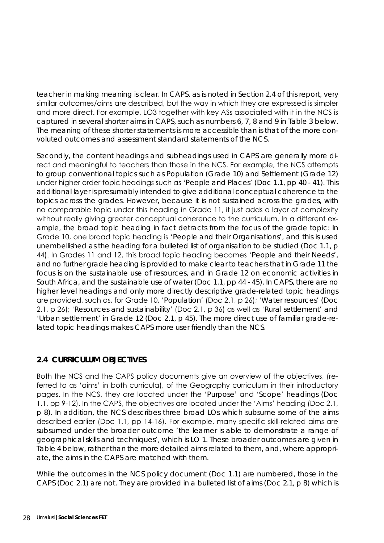teacher in making meaning is clear. In CAPS, as is noted in Section 2.4 of this report, very similar outcomes/aims are described, but the way in which they are expressed is simpler and more direct. For example, LO3 together with key ASs associated with it in the NCS is captured in several shorter aims in CAPS, such as numbers 6, 7, 8 and 9 in Table 3 below. The meaning of these shorter statements is more accessible than is that of the more convoluted outcomes and assessment standard statements of the NCS.

Secondly, the content headings and subheadings used in CAPS are generally more direct and meaningful to teachers than those in the NCS. For example, the NCS attempts to group conventional topics such as Population (Grade 10) and Settlement (Grade 12) under higher order topic headings such as '*People and Places*' (Doc 1.1, pp 40 - 41). This additional layer is presumably intended to give additional conceptual coherence to the topics across the grades. However, because it is not sustained across the grades, with no comparable topic under this heading in Grade 11, it just adds a layer of complexity without really giving greater conceptual coherence to the curriculum. In a different example, the broad topic heading in fact detracts from the focus of the grade topic: In Grade 10, one broad topic heading is '*People and their Organisations*', and this is used unembellished as the heading for a bulleted list of organisation to be studied (Doc 1.1, p 44). In Grades 11 and 12, this broad topic heading becomes '*People and their Needs*', and no further grade heading is provided to make clear to teachers that in Grade 11 the focus is on the sustainable use of resources, and in Grade 12 on economic activities in South Africa, and the sustainable use of water (Doc 1.1, pp 44 - 45). In CAPS, there are no higher level headings and only more directly descriptive grade-related topic headings are provided, such as, for Grade 10, '*Population'* (Doc 2.1, p 26); '*Water resources'* (Doc 2.1, p 26); '*Resources and sustainability*' (Doc 2.1, p 36) as well as '*Rural settlement*' and '*Urban settlement*' in Grade 12 (Doc 2.1, p 45). The more direct use of familiar grade-related topic headings makes CAPS more user friendly than the NCS.

#### **2.4 CURRICULUM OBJECTIVES**

Both the NCS and the CAPS policy documents give an overview of the objectives, (referred to as 'aims' in both curricula), of the Geography curriculum in their introductory pages. In the NCS, they are located under the '*Purpose*' and '*Scope*' headings (Doc 1.1, pp 9-12). In the CAPS, the objectives are located under the 'Aims' heading (Doc 2.1, p 8). In addition, the NCS describes three broad LOs which subsume some of the aims described earlier (Doc 1.1, pp 14-16). For example, many specific skill-related aims are subsumed under the broader outcome '*the learner is able to demonstrate a range of geographical skills and techniques*', which is LO 1. These broader outcomes are given in Table 4 below, rather than the more detailed aims related to them, and, where appropriate, the aims in the CAPS are matched with them.

While the outcomes in the NCS policy document (Doc 1.1) are numbered, those in the CAPS (Doc 2.1) are not. They are provided in a bulleted list of aims (Doc 2.1, p 8) which is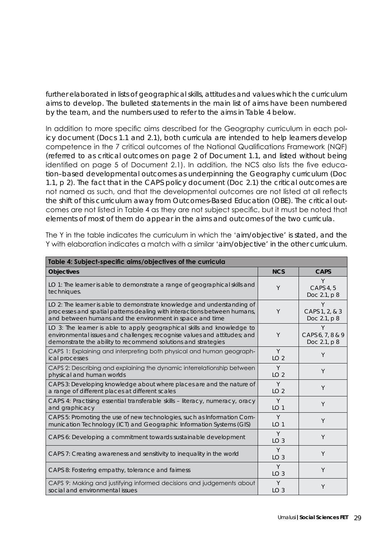further elaborated in lists of geographical skills, attitudes and values which the curriculum aims to develop. The bulleted statements in the main list of aims have been numbered by the team, and the numbers used to refer to the aims in Table 4 below.

In addition to more specific aims described for the Geography curriculum in each policy document (Docs 1.1 and 2.1), both curricula are intended to help learners develop competence in the 7 critical outcomes of the National Qualifications Framework (NQF) (referred to as critical outcomes on page 2 of Document 1.1, and listed without being identified on page 5 of Document 2.1). In addition, the NCS also lists the five education–based developmental outcomes as underpinning the Geography curriculum (Doc 1.1, p 2). The fact that in the CAPS policy document (Doc 2.1) the critical outcomes are not named as such, and that the developmental outcomes are not listed at all reflects the shift of this curriculum away from Outcomes-Based Education (OBE). The critical outcomes are not listed in Table 4 as they are not subject specific, but it must be noted that elements of most of them do appear in the aims and outcomes of the two curricula.

The Y in the table indicates the curriculum in which the '*aim/objective*' is stated, and the Y with elaboration indicates a match with a similar '*aim/objective*' in the other curriculum.

| Table 4: Subject-specific aims/objectives of the curricula                                                                                                                                                           |                      |                                       |  |  |  |
|----------------------------------------------------------------------------------------------------------------------------------------------------------------------------------------------------------------------|----------------------|---------------------------------------|--|--|--|
| <b>Objectives</b>                                                                                                                                                                                                    | <b>NCS</b>           | <b>CAPS</b>                           |  |  |  |
| LO 1: The learner is able to demonstrate a range of geographical skills and<br>techniques.                                                                                                                           | Y                    | Y<br>CAPS 4, 5<br>Doc 2.1, p 8        |  |  |  |
| LO 2: The learner is able to demonstrate knowledge and understanding of<br>processes and spatial patterns dealing with interactions between humans,<br>and between humans and the environment in space and time      | Y                    | Y<br>CAPS 1, 2, & 3<br>Doc 2.1, p 8   |  |  |  |
| LO 3: The learner is able to apply geographical skills and knowledge to<br>environmental issues and challenges; recognise values and attitudes; and<br>demonstrate the ability to recommend solutions and strategies | Y                    | Υ<br>CAPS 6, 7, 8 & 9<br>Doc 2.1, p 8 |  |  |  |
| CAPS 1: Explaining and interpreting both physical and human geograph-<br>ical processes                                                                                                                              | Y<br>LO <sub>2</sub> | Y                                     |  |  |  |
| CAPS 2: Describing and explaining the dynamic interrelationship between<br>physical and human worlds                                                                                                                 | Y<br>LO <sub>2</sub> | Y                                     |  |  |  |
| CAPS 3: Developing knowledge about where places are and the nature of<br>a range of different places at different scales                                                                                             | Y<br>LO <sub>2</sub> | Y                                     |  |  |  |
| CAPS 4: Practising essential transferable skills - literacy, numeracy, oracy<br>and graphicacy                                                                                                                       | Y<br>LO <sub>1</sub> | Y                                     |  |  |  |
| CAPS 5: Promoting the use of new technologies, such as Information Com-<br>munication Technology (ICT) and Geographic Information Systems (GIS)                                                                      | Y<br>LO <sub>1</sub> | Y                                     |  |  |  |
| CAPS 6: Developing a commitment towards sustainable development                                                                                                                                                      | Y<br>LO <sub>3</sub> | Y                                     |  |  |  |
| CAPS 7: Creating awareness and sensitivity to inequality in the world                                                                                                                                                | Y<br>LO <sub>3</sub> | Y                                     |  |  |  |
| CAPS 8: Fostering empathy, tolerance and fairness                                                                                                                                                                    | Y<br>LO <sub>3</sub> | Y                                     |  |  |  |
| CAPS 9: Making and justifying informed decisions and judgements about<br>social and environmental issues                                                                                                             | Y<br>LO <sub>3</sub> | Y                                     |  |  |  |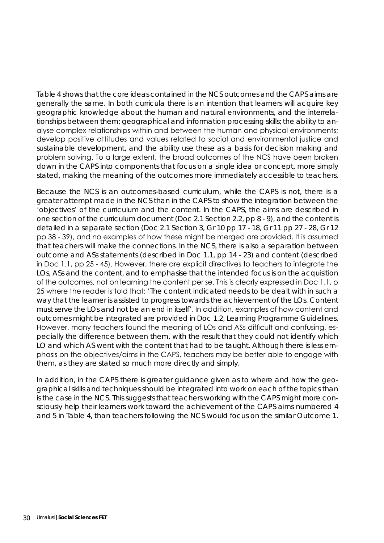Table 4 shows that the core ideas contained in the NCS outcomes and the CAPS aims are generally the same. In both curricula there is an intention that learners will acquire key geographic knowledge about the human and natural environments, and the interrelationships between them; geographical and information processing skills; the ability to analyse complex relationships within and between the human and physical environments; develop positive attitudes and values related to social and environmental justice and sustainable development, and the ability use these as a basis for decision making and problem solving. To a large extent, the broad outcomes of the NCS have been broken down in the CAPS into components that focus on a single idea or concept, more simply stated, making the meaning of the outcomes more immediately accessible to teachers,

Because the NCS is an outcomes-based curriculum, while the CAPS is not, there is a greater attempt made in the NCS than in the CAPS to show the integration between the '*objectives*' of the curriculum and the content. In the CAPS, the aims are described in one section of the curriculum document (Doc 2.1 Section 2.2, pp 8 - 9), and the content is detailed in a separate section (Doc 2.1 Section 3, Gr 10 pp 17 - 18, Gr 11 pp 27 - 28, Gr 12 pp 38 - 39), and no examples of how these might be merged are provided. It is assumed that teachers will make the connections. In the NCS, there is also a separation between outcome and ASs statements (described in Doc 1.1, pp 14 - 23) and content (described in Doc 1.1, pp 25 - 45). However, there are explicit directives to teachers to integrate the LOs, ASs and the content, and to emphasise that the intended focus is on the acquisition of the outcomes, not on learning the content per se. This is clearly expressed in Doc 1.1, p 25 where the reader is told that: '*The content indicated needs to be dealt with in such a way that the learner is assisted to progress towards the achievement of the LOs. Content must serve the LOs and not be an end in itself*'. In addition, examples of how content and outcomes might be integrated are provided in Doc 1.2, Learning Programme Guidelines. However, many teachers found the meaning of LOs and ASs difficult and confusing, especially the difference between them, with the result that they could not identify which LO and which AS went with the content that had to be taught. Although there is less emphasis on the objectives/aims in the CAPS, teachers may be better able to engage with them, as they are stated so much more directly and simply.

In addition, in the CAPS there is greater guidance given as to where and how the geographical skills and techniques should be integrated into work on each of the topics than is the case in the NCS. This suggests that teachers working with the CAPS might more consciously help their learners work toward the achievement of the CAPS aims numbered 4 and 5 in Table 4, than teachers following the NCS would focus on the similar Outcome 1.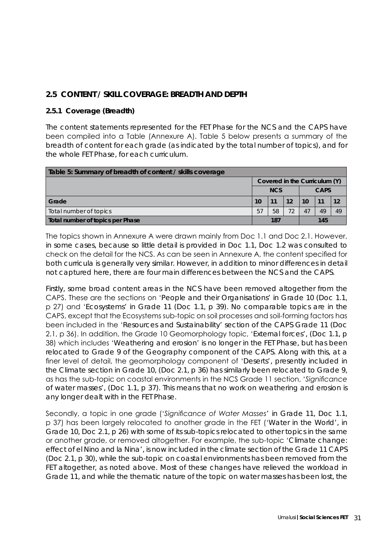#### **2.5 CONTENT / SKILL COVERAGE: BREADTH AND DEPTH**

#### **2.5.1 Coverage (Breadth)**

The content statements represented for the FET Phase for the NCS and the CAPS have been compiled into a Table (Annexure A). Table 5 below presents a summary of the breadth of content for each grade (as indicated by the total number of topics), and for the whole FET Phase, for each curriculum.

| Table 5: Summary of breadth of content / skills coverage |            |    |    |             |    |    |
|----------------------------------------------------------|------------|----|----|-------------|----|----|
| Covered in the Curriculum (Y)                            |            |    |    |             |    |    |
|                                                          | <b>NCS</b> |    |    | <b>CAPS</b> |    |    |
| Grade                                                    | 10         | 11 | 12 | 10          | 11 | 12 |
| Total number of topics                                   | 57         | 58 |    | 47          | 49 | 49 |
| Total number of topics per Phase                         | 145<br>187 |    |    |             |    |    |

The topics shown in Annexure A were drawn mainly from Doc 1.1 and Doc 2.1. However, in some cases, because so little detail is provided in Doc 1.1, Doc 1.2 was consulted to check on the detail for the NCS. As can be seen in Annexure A, the content specified for both curricula is generally very similar. However, in addition to minor differences in detail not captured here, there are four main differences between the NCS and the CAPS.

Firstly, some broad content areas in the NCS have been removed altogether from the CAPS. These are the sections on '*People and their Organisations*' in Grade 10 (Doc 1.1, p 27) and '*Ecosystems*' in Grade 11 (Doc 1.1, p 39). No comparable topics are in the CAPS, except that the Ecosystems sub-topic on soil processes and soil-forming factors has been included in the '*Resources and Sustainability*' section of the CAPS Grade 11 (Doc 2.1, p 36). In addition, the Grade 10 Geomorphology topic, '*External forces*', (Doc 1.1, p 38) which includes '*Weathering and erosion*' is no longer in the FET Phase, but has been relocated to Grade 9 of the Geography component of the CAPS. Along with this, at a finer level of detail, the geomorphology component of '*Deserts*', presently included in the Climate section in Grade 10, (Doc 2.1, p 36) has similarly been relocated to Grade 9, as has the sub-topic on coastal environments in the NCS Grade 11 section, '*Significance of water masses*', (Doc 1.1, p 37). This means that no work on weathering and erosion is any longer dealt with in the FET Phase.

Secondly, a topic in one grade ('*Significance of Water Masses*' in Grade 11, Doc 1.1, p 37) has been largely relocated to another grade in the FET ('*Water in the World*', in Grade 10, Doc 2.1, p 26) with some of its sub-topics relocated to other topics in the same or another grade, or removed altogether. For example, the sub-topic '*Climate change: effect of el Nino and la Nina*', is now included in the climate section of the Grade 11 CAPS (Doc 2.1, p 30), while the sub-topic on coastal environments has been removed from the FET altogether, as noted above. Most of these changes have relieved the workload in Grade 11, and while the thematic nature of the topic on water masses has been lost, the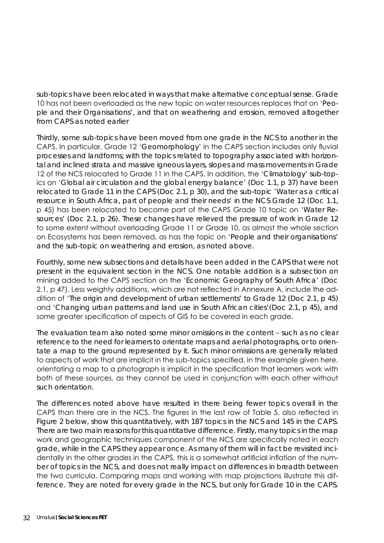sub-topics have been relocated in ways that make alternative conceptual sense. Grade 10 has not been overloaded as the new topic on water resources replaces that on '*People and their Organisations*', and that on weathering and erosion, removed altogether from CAPS as noted earlier

Thirdly, some sub-topics have been moved from one grade in the NCS to another in the CAPS. In particular, Grade 12 '*Geomorphology*' in the CAPS section includes only fluvial processes and landforms; with the topics related to topography associated with horizontal and inclined strata and massive igneous layers, slopes and mass movements in Grade 12 of the NCS relocated to Grade 11 in the CAPS. In addition, the '*Climatology*' sub-topics on '*Global air circulation and the global energy balance*' (Doc 1.1, p 37) have been relocated to Grade 11 in the CAPS (Doc 2.1, p 30), and the sub-topic '*Water as a critical resource in South Africa, part of people and their needs*' in the NCS Grade 12 (Doc 1.1, p 45) has been relocated to become part of the CAPS Grade 10 topic on '*Water Resources*' (Doc 2.1, p 26). These changes have relieved the pressure of work in Grade 12 to some extent without overloading Grade 11 or Grade 10, as almost the whole section on Ecosystems has been removed, as has the topic on '*People and their organisations*' and the sub-topic on weathering and erosion, as noted above.

Fourthly, some new subsections and details have been added in the CAPS that were not present in the equivalent section in the NCS. One notable addition is a subsection on mining added to the CAPS section on the '*Economic Geography of South Africa*' (Doc 2.1, p 47). Less weighty additions, which are not reflected in Annexure A, include the addition of '*The origin and development of urban settlements*' to Grade 12 (Doc 2.1, p 45) and '*Changing urban patterns and land use in South African cities*'(Doc 2.1, p 45), and some greater specification of aspects of GIS to be covered in each grade.

The evaluation team also noted some minor omissions in the content – such as no clear reference to the need for learners to orientate maps and aerial photographs, or to orientate a map to the ground represented by it. Such minor omissions are generally related to aspects of work that are implicit in the sub-topics specified. In the example given here, orientating a map to a photograph is implicit in the specification that learners work with both of these sources, as they cannot be used in conjunction with each other without such orientation.

The differences noted above have resulted in there being fewer topics overall in the CAPS than there are in the NCS. The figures in the last row of Table 5, also reflected in Figure 2 below, show this quantitatively, with 187 topics in the NCS and 145 in the CAPS. There are two main reasons for this quantitative difference. Firstly, many topics in the map work and geographic techniques component of the NCS are specifically noted in each grade, while in the CAPS they appear once. As many of them will in fact be revisited incidentally in the other grades in the CAPS, this is a somewhat artificial inflation of the number of topics in the NCS, and does not really impact on differences in breadth between the two curricula. Comparing maps and working with map projections illustrate this difference. They are noted for every grade in the NCS, but only for Grade 10 in the CAPS.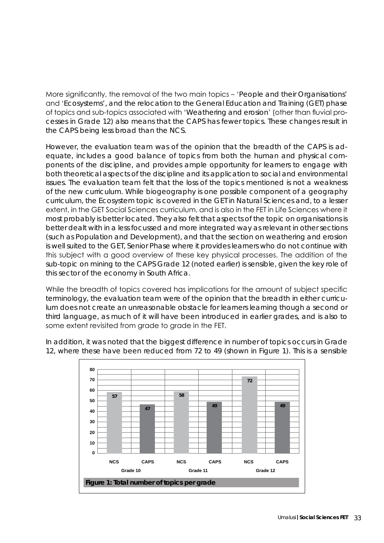More significantly, the removal of the two main topics – '*People and their Organisations*' and '*Ecosystems*', and the relocation to the General Education and Training (GET) phase of topics and sub-topics associated with '*Weathering and erosion*' (other than fluvial processes in Grade 12) also means that the CAPS has fewer topics. These changes result in the CAPS being less broad than the NCS.

However, the evaluation team was of the opinion that the breadth of the CAPS is adequate, includes a good balance of topics from both the human and physical components of the discipline, and provides ample opportunity for learners to engage with both theoretical aspects of the discipline and its application to social and environmental issues. The evaluation team felt that the loss of the topics mentioned is not a weakness of the new curriculum. While biogeography is one possible component of a geography curriculum, the Ecosystem topic is covered in the GET in Natural Sciences and, to a lesser extent, in the GET Social Sciences curriculum, and is also in the FET in Life Sciences where it most probably is better located. They also felt that aspects of the topic on organisations is better dealt with in a less focussed and more integrated way as relevant in other sections (such as Population and Development), and that the section on weathering and erosion is well suited to the GET, Senior Phase where it provides learners who do not continue with this subject with a good overview of these key physical processes. The addition of the sub-topic on mining to the CAPS Grade 12 (noted earlier) is sensible, given the key role of this sector of the economy in South Africa.

While the breadth of topics covered has implications for the amount of subject specific terminology, the evaluation team were of the opinion that the breadth in either curriculum does not create an unreasonable obstacle for learners learning though a second or third language, as much of it will have been introduced in earlier grades, and is also to some extent revisited from grade to grade in the FET.

In addition, it was noted that the biggest difference in number of topics occurs in Grade 12, where these have been reduced from 72 to 49 (shown in Figure 1). This is a sensible

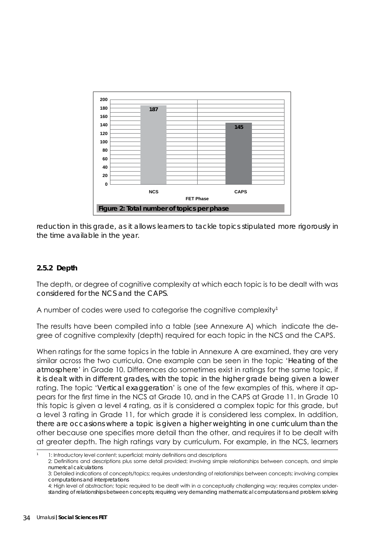

reduction in this grade, as it allows learners to tackle topics stipulated more rigorously in the time available in the year.

#### **2.5.2 Depth**

The depth, or degree of cognitive complexity at which each topic is to be dealt with was considered for the NCS and the CAPS.

A number of codes were used to categorise the cognitive complexity<sup>1</sup>

The results have been compiled into a table (see Annexure A) which indicate the degree of cognitive complexity (depth) required for each topic in the NCS and the CAPS.

When ratings for the same topics in the table in Annexure A are examined, they are very similar across the two curricula. One example can be seen in the topic '*Heating of the atmosphere*' in Grade 10. Differences do sometimes exist in ratings for the same topic, if it is dealt with in different grades, with the topic in the higher grade being given a lower rating. The topic '*Vertical exaggeration*' is one of the few examples of this, where it appears for the first time in the NCS at Grade 10, and in the CAPS at Grade 11. In Grade 10 this topic is given a level 4 rating, as it is considered a complex topic for this grade, but a level 3 rating in Grade 11, for which grade it is considered less complex. In addition, there are occasions where a topic is given a higher weighting in one curriculum than the other because one specifies more detail than the other, and requires it to be dealt with at greater depth. The high ratings vary by curriculum. For example, in the NCS, learners

<sup>1:</sup> Introductory level content; superficial; mainly definitions and descriptions

<sup>2:</sup> Definitions and descriptions plus some detail provided; involving simple relationships between concepts, and simple numerical calculations

<sup>3:</sup> Detailed indications of concepts/topics; requires understanding of relationships between concepts; involving complex computations and interpretations

<sup>4:</sup> High level of abstraction; topic required to be dealt with in a conceptually challenging way; requires complex understanding of relationships between concepts; requiring very demanding mathematical computations and problem solving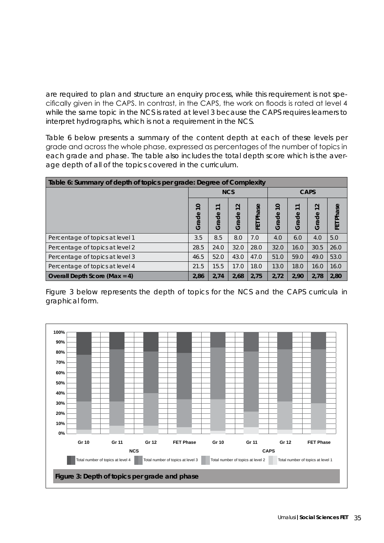are required to plan and structure an enquiry process, while this requirement is not specifically given in the CAPS. In contrast, in the CAPS, the work on floods is rated at level 4 while the same topic in the NCS is rated at level 3 because the CAPS requires learners to interpret hydrographs, which is not a requirement in the NCS.

Table 6 below presents a summary of the content depth at each of these levels per grade and across the whole phase, expressed as percentages of the number of topics in each grade and phase. The table also includes the total depth score which is the average depth of all of the topics covered in the curriculum.

| Table 6: Summary of depth of topics per grade: Degree of Complexity |                         |       |                                             |            |                                              |                                           |                                   |              |
|---------------------------------------------------------------------|-------------------------|-------|---------------------------------------------|------------|----------------------------------------------|-------------------------------------------|-----------------------------------|--------------|
|                                                                     | <b>NCS</b>              |       |                                             |            | <b>CAPS</b>                                  |                                           |                                   |              |
|                                                                     | $\overline{0}$<br>Grade | Grade | $\sim$<br>$\overline{\phantom{0}}$<br>Grade | Phase<br>记 | $\circ$<br>$\overline{\phantom{0}}$<br>Grade | $\overline{ }$<br>$\overline{ }$<br>Grade | $\sim$<br>$\overline{ }$<br>Grade | Phase<br>EET |
| Percentage of topics at level 1                                     | 3.5                     | 8.5   | 8.0                                         | 7.0        | 4.0                                          | 6.0                                       | 4.0                               | 5.0          |
| Percentage of topics at level 2                                     | 28.5                    | 24.0  | 32.0                                        | 28.0       | 32.0                                         | 16.0                                      | 30.5                              | 26.0         |
| Percentage of topics at level 3                                     | 46.5                    | 52.0  | 43.0                                        | 47.0       | 51.0                                         | 59.0                                      | 49.0                              | 53.0         |
| Percentage of topics at level 4                                     | 21.5                    | 15.5  | 17.0                                        | 18.0       | 13.0                                         | 18.0                                      | 16.0                              | 16.0         |
| Overall Depth Score (Max = $4$ )                                    | 2,86                    | 2,74  | 2,68                                        | 2,75       | 2,72                                         | 2,90                                      | 2,78                              | 2,80         |

Figure 3 below represents the depth of topics for the NCS and the CAPS curricula in graphical form.

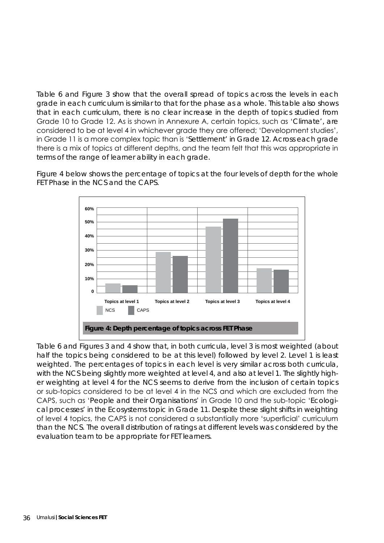Table 6 and Figure 3 show that the overall spread of topics across the levels in each grade in each curriculum is similar to that for the phase as a whole. This table also shows that in each curriculum, there is no clear increase in the depth of topics studied from Grade 10 to Grade 12. As is shown in Annexure A, certain topics, such as '*Climate*', are considered to be at level 4 in whichever grade they are offered; 'Development studies', in Grade 11 is a more complex topic than is '*Settlement*' in Grade 12. Across each grade there is a mix of topics at different depths, and the team felt that this was appropriate in terms of the range of learner ability in each grade.

> **60% 50% 40% 30% 20% 10% 0 Topics at level 1 Topics at level 2 Topics at level 3 Topics at level 4** NCS **CAPS Figure 4: Depth percentage of topics across FET Phase**

Figure 4 below shows the percentage of topics at the four levels of depth for the whole FET Phase in the NCS and the CAPS.

Table 6 and Figures 3 and 4 show that, in both curricula, level 3 is most weighted (about half the topics being considered to be at this level) followed by level 2. Level 1 is least weighted. The percentages of topics in each level is very similar across both curricula, with the NCS being slightly more weighted at level 4, and also at level 1. The slightly higher weighting at level 4 for the NCS seems to derive from the inclusion of certain topics or sub-topics considered to be at level 4 in the NCS and which are excluded from the CAPS, such as '*People and their Organisations*' in Grade 10 and the sub-topic '*Ecological processes*' in the Ecosystems topic in Grade 11. Despite these slight shifts in weighting of level 4 topics, the CAPS is not considered a substantially more 'superficial' curriculum than the NCS. The overall distribution of ratings at different levels was considered by the evaluation team to be appropriate for FET learners.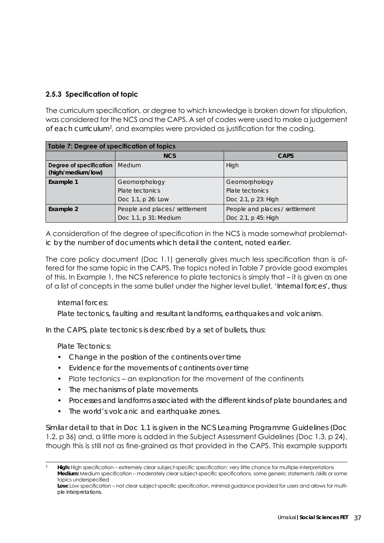# **2.5.3 Specification of topic**

The curriculum specification, or degree to which knowledge is broken down for stipulation, was considered for the NCS and the CAPS. A set of codes were used to make a judgement of each curriculum<sup>2</sup>, and examples were provided as justification for the coding.

| Table 7: Degree of specification of topics   |                                |                                |  |  |
|----------------------------------------------|--------------------------------|--------------------------------|--|--|
|                                              | <b>NCS</b><br><b>CAPS</b>      |                                |  |  |
| Degree of specification<br>(high/medium/low) | Medium                         | High                           |  |  |
| Example 1                                    | Geomorphology                  | Geomorphology                  |  |  |
|                                              | Plate tectonics                | Plate tectonics                |  |  |
|                                              | Doc 1.1, p 26: Low             | Doc 2.1, p 23: High            |  |  |
| Example 2                                    | People and places / settlement | People and places / settlement |  |  |
|                                              | Doc 1.1, p 31: Medium          | Doc 2.1, p 45: High            |  |  |

A consideration of the degree of specification in the NCS is made somewhat problematic by the number of documents which detail the content, noted earlier.

The core policy document (Doc 1.1) generally gives much less specification than is offered for the same topic in the CAPS. The topics noted in Table 7 provide good examples of this. In Example 1, the NCS reference to plate tectonics is simply that – it is given as one of a list of concepts in the same bullet under the higher level bullet, '*Internal forces*', thus:

#### Internal forces:

Plate tectonics, faulting and resultant landforms, earthquakes and volcanism.

In the CAPS, plate tectonics is described by a set of bullets, thus:

Plate Tectonics:

- Change in the position of the continents over time
- Evidence for the movements of continents over time
- Plate tectonics an explanation for the movement of the continents
- The mechanisms of plate movements
- Processes and landforms associated with the different kinds of plate boundaries; and
- The world's volcanic and earthquake zones.

Similar detail to that in Doc 1.1 is given in the NCS Learning Programme Guidelines (Doc 1.2, p 36) and, a little more is added in the Subject Assessment Guidelines (Doc 1.3, p 24), though this is still not as fine-grained as that provided in the CAPS. This example supports

<sup>2</sup> **High:** High specification – extremely clear subject-specific specification: very little chance for multiple interpretations **Medium:** Medium specification – moderately clear subject-specific specifications, some generic statements /skills or some topics underspecified

**Low:** Low specification – not clear subject-specific specification, minimal guidance provided for users and allows for multiple interpretations.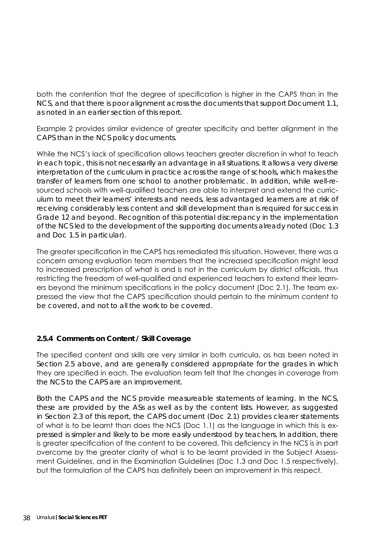both the contention that the degree of specification is higher in the CAPS than in the NCS, and that there is poor alignment across the documents that support Document 1.1, as noted in an earlier section of this report.

Example 2 provides similar evidence of greater specificity and better alignment in the CAPS than in the NCS policy documents.

While the NCS's lack of specification allows teachers greater discretion in what to teach in each topic, this is not necessarily an advantage in all situations. It allows a very diverse interpretation of the curriculum in practice across the range of schools, which makes the transfer of learners from one school to another problematic. In addition, while well-resourced schools with well-qualified teachers are able to interpret and extend the curriculum to meet their learners' interests and needs, less advantaged learners are at risk of receiving considerably less content and skill development than is required for success in Grade 12 and beyond. Recognition of this potential discrepancy in the implementation of the NCS led to the development of the supporting documents already noted (Doc 1.3 and Doc 1.5 in particular).

The greater specification in the CAPS has remediated this situation. However, there was a concern among evaluation team members that the increased specification might lead to increased prescription of what is and is not in the curriculum by district officials, thus restricting the freedom of well-qualified and experienced teachers to extend their learners beyond the minimum specifications in the policy document (Doc 2.1). The team expressed the view that the CAPS specification should pertain to the minimum content to be covered, and not to all the work to be covered.

#### **2.5.4 Comments on Content / Skill Coverage**

The specified content and skills are very similar in both curricula, as has been noted in Section 2.5 above, and are generally considered appropriate for the grades in which they are specified in each. The evaluation team felt that the changes in coverage from the NCS to the CAPS are an improvement.

Both the CAPS and the NCS provide measureable statements of learning. In the NCS, these are provided by the ASs as well as by the content lists. However, as suggested in Section 2.3 of this report, the CAPS document (Doc 2.1) provides clearer statements of what is to be learnt than does the NCS (Doc 1.1) as the language in which this is expressed is simpler and likely to be more easily understood by teachers. In addition, there is greater specification of the content to be covered. This deficiency in the NCS is in part overcome by the greater clarity of what is to be learnt provided in the Subject Assessment Guidelines, and in the Examination Guidelines (Doc 1.3 and Doc 1.5 respectively), but the formulation of the CAPS has definitely been an improvement in this respect.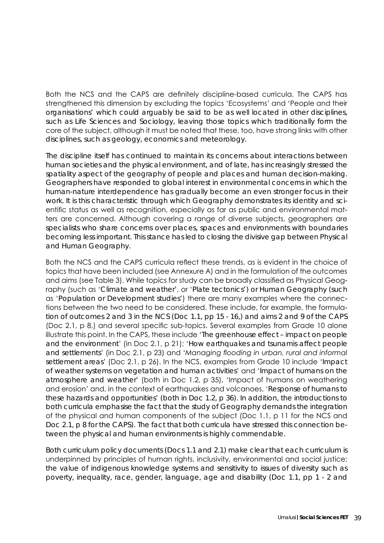Both the NCS and the CAPS are definitely discipline-based curricula. The CAPS has strengthened this dimension by excluding the topics 'Ecosystems' and 'People and their organisations' which could arguably be said to be as well located in other disciplines, such as Life Sciences and Sociology, leaving those topics which traditionally form the core of the subject, although it must be noted that these, too, have strong links with other disciplines, such as geology, economics and meteorology.

The discipline itself has continued to maintain its concerns about interactions between human societies and the physical environment, and of late, has increasingly stressed the spatiality aspect of the geography of people and places and human decision-making. Geographers have responded to global interest in environmental concerns in which the human-nature interdependence has gradually become an even stronger focus in their work. It is this characteristic through which Geography demonstrates its identity and scientific status as well as recognition, especially as far as public and environmental matters are concerned. Although covering a range of diverse subjects, geographers are specialists who share concerns over places, spaces and environments with boundaries becoming less important. This stance has led to closing the divisive gap between Physical and Human Geography.

Both the NCS and the CAPS curricula reflect these trends, as is evident in the choice of topics that have been included (see Annexure A) and in the formulation of the outcomes and aims (see Table 3). While topics for study can be broadly classified as Physical Geography (such as '*Climate and weather*', or '*Plate tectonics*') or Human Geography (such as '*Population or Development studies'*) there are many examples where the connections between the two need to be considered. These include, for example, the formulation of outcomes 2 and 3 in the NCS (Doc 1.1, pp 15 - 16,) and aims 2 and 9 of the CAPS (Doc 2.1, p 8,) and several specific sub-topics. Several examples from Grade 10 alone illustrate this point. In the CAPS, these include '*The greenhouse effect – impact on people and the environment*' (in Doc 2.1, p 21); '*How earthquakes and tsunamis affect people and settlements*' (in Doc 2.1, p 23) and '*Managing flooding in urban, rural and informal settlement areas*' (Doc 2.1, p 26). In the NCS, examples from Grade 10 include '*Impact of weather systems on vegetation and human activities*' and '*Impact of humans on the atmosphere and weather*' (both in Doc 1.2, p 35), 'Impact of humans on weathering and erosion' and, in the context of earthquakes and volcanoes, '*Response of humans to these hazards and opportunities*' (both in Doc 1.2, p 36). In addition, the introductions to both curricula emphasise the fact that the study of Geography demands the integration of the physical and human components of the subject (Doc 1.1, p 11 for the NCS and Doc 2.1, p 8 for the CAPS). The fact that both curricula have stressed this connection between the physical and human environments is highly commendable.

Both curriculum policy documents (Docs 1.1 and 2.1) make clear that each curriculum is underpinned by principles of human rights, inclusivity, environmental and social justice; the value of indigenous knowledge systems and sensitivity to issues of diversity such as poverty, inequality, race, gender, language, age and disability (Doc 1.1, pp 1 - 2 and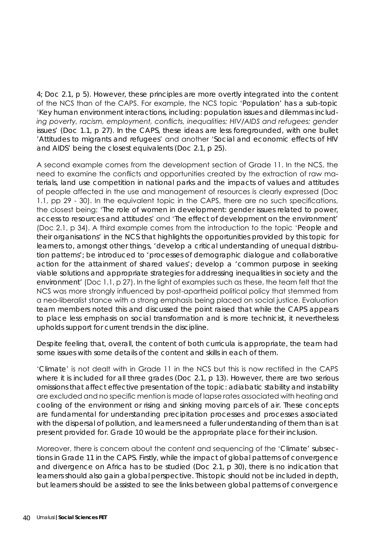4; Doc 2.1, p 5). However, these principles are more overtly integrated into the content of the NCS than of the CAPS. For example, the NCS topic '*Population*' has a sub-topic '*Key human environment interactions, including: population issues and dilemmas including poverty, racism, employment, conflicts, inequalities; HIV/AIDS and refugees; gender issues*' (Doc 1.1, p 27). In the CAPS, these ideas are less foregrounded, with one bullet '*Attitudes to migrants and refugees*' and another '*Social and economic effects of HIV and AIDS*' being the closest equivalents (Doc 2.1, p 25).

A second example comes from the development section of Grade 11. In the NCS, the need to examine the conflicts and opportunities created by the extraction of raw materials, land use competition in national parks and the impacts of values and attitudes of people affected in the use and management of resources is clearly expressed (Doc 1.1, pp 29 - 30). In the equivalent topic in the CAPS, there are no such specifications, the closest being: '*The role of women in development: gender issues related to power, access to resources and attitudes*' and '*The effect of development on the environment*' (Doc 2.1, p 34). A third example comes from the introduction to the topic '*People and their organisations*' in the NCS that highlights the opportunities provided by this topic for learners to, amongst other things, *'develop a critical understanding of unequal distribution patterns'; be introduced to 'processes of demographic dialogue and collaborative action for the attainment of shared values'; develop a 'common purpose in seeking viable solutions and appropriate strategies for addressing inequalities in society and the environment'* (Doc 1.1, p 27). In the light of examples such as these, the team felt that the NCS was more strongly influenced by post-apartheid political policy that stemmed from a neo-liberalist stance with a strong emphasis being placed on social justice. Evaluation team members noted this and discussed the point raised that while the CAPS appears to place less emphasis on social transformation and is more technicist, it nevertheless upholds support for current trends in the discipline.

Despite feeling that, overall, the content of both curricula is appropriate, the team had some issues with some details of the content and skills in each of them.

'*Climate*' is not dealt with in Grade 11 in the NCS but this is now rectified in the CAPS where it is included for all three grades (Doc 2.1, p 13). However, there are two serious omissions that affect effective presentation of the topic: adiabatic stability and instability are excluded and no specific mention is made of lapse rates associated with heating and cooling of the environment or rising and sinking moving parcels of air. These concepts are fundamental for understanding precipitation processes and processes associated with the dispersal of pollution, and learners need a fuller understanding of them than is at present provided for. Grade 10 would be the appropriate place for their inclusion.

Moreover, there is concern about the content and sequencing of the '*Climate*' subsections in Grade 11 in the CAPS. Firstly, while the impact of global patterns of convergence and divergence on Africa has to be studied (Doc 2.1, p 30), there is no indication that learners should also gain a global perspective. This topic should not be included in depth, but learners should be assisted to see the links between global patterns of convergence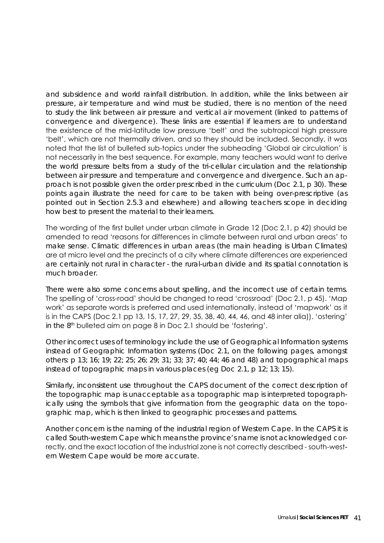and subsidence and world rainfall distribution. In addition, while the links between air pressure, air temperature and wind must be studied, there is no mention of the need to study the link between air pressure and vertical air movement (linked to patterns of convergence and divergence). These links are essential if learners are to understand the existence of the mid-latitude low pressure 'belt' and the subtropical high pressure 'belt', which are not thermally driven, and so they should be included. Secondly, it was noted that the list of bulleted sub-topics under the subheading 'Global air circulation' is not necessarily in the best sequence. For example, many teachers would want to derive the world pressure belts from a study of the tri-cellular circulation and the relationship between air pressure and temperature and convergence and divergence. Such an approach is not possible given the order prescribed in the curriculum (Doc 2.1, p 30). These points again illustrate the need for care to be taken with being over-prescriptive (as pointed out in Section 2.5.3 and elsewhere) and allowing teachers scope in deciding how best to present the material to their learners.

The wording of the first bullet under urban climate in Grade 12 (Doc 2.1, p 42) should be amended to read 'reasons for differences in climate between rural and urban areas' to make sense. Climatic differences in urban areas (the main heading is Urban Climates) are at micro level and the precincts of a city where climate differences are experienced are certainly not rural in character - the rural-urban divide and its spatial connotation is much broader.

There were also some concerns about spelling, and the incorrect use of certain terms. The spelling of 'cross-road' should be changed to read 'crossroad' (Doc 2.1, p 45). 'Map work' as separate words is preferred and used internationally, instead of 'mapwork' as it is in the CAPS (Doc 2.1 pp 13, 15, 17, 27, 29, 35, 38, 40, 44, 46, and 48 inter alia)). 'ostering' in the 8th bulleted aim on page 8 in Doc 2.1 should be 'fostering'.

Other incorrect uses of terminology include the use of *Geographical* Information systems instead of *Geographic* Information systems (Doc 2.1, on the following pages, amongst others: p 13; 16; 19; 22; 25; 26; 29; 31; 33; 37; 40; 44; 46 and 48) and topographical maps instead of topographic maps in various places (eg Doc 2.1, p 12; 13; 15).

Similarly, inconsistent use throughout the CAPS document of the correct description of the topographic map is unacceptable as a topographic map is interpreted topographically using the symbols that give information from the geographic data on the topographic map, which is then linked to geographic processes and patterns.

Another concern is the naming of the industrial region of Western Cape. In the CAPS it is called South-western Cape which means the province's name is not acknowledged correctly, and the exact location of the industrial zone is not correctly described - south-western Western Cape would be more accurate.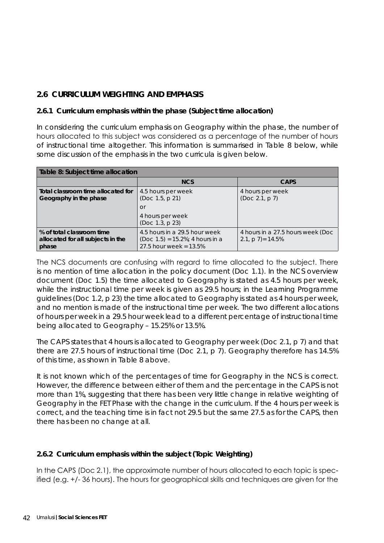# **2.6 CURRICULUM WEIGHTING AND EMPHASIS**

#### **2.6.1 Curriculum emphasis within the phase (Subject time allocation)**

In considering the curriculum emphasis on Geography within the phase, the number of hours allocated to this subject was considered as a percentage of the number of hours of instructional time altogether. This information is summarised in Table 8 below, while some discussion of the emphasis in the two curricula is given below.

| Table 8: Subject time allocation                                        |                                                                                                  |                                                           |  |  |
|-------------------------------------------------------------------------|--------------------------------------------------------------------------------------------------|-----------------------------------------------------------|--|--|
|                                                                         | <b>NCS</b>                                                                                       | <b>CAPS</b>                                               |  |  |
| Total classroom time allocated for<br>Geography in the phase            | 4.5 hours per week<br>(Doc 1.5, p 21)<br>$\Omega$ r<br>4 hours per week<br>(Doc 1.3, p 23)       | 4 hours per week<br>(Doc 2.1, p 7)                        |  |  |
| % of total classroom time<br>allocated for all subjects in the<br>phase | 4.5 hours in a 29.5 hour week<br>$(Doc 1.5) = 15.2\%$ ; 4 hours in a<br>27.5 hour week = $13.5%$ | 4 hours in a 27.5 hours week (Doc<br>2.1, $p 7$ ) = 14.5% |  |  |

The NCS documents are confusing with regard to time allocated to the subject. There is no mention of time allocation in the policy document (Doc 1.1). In the NCS overview document (Doc 1.5) the time allocated to Geography is stated as 4.5 hours per week, while the instructional time per week is given as 29.5 hours; in the Learning Programme guidelines (Doc 1.2, p 23) the time allocated to Geography is stated as 4 hours per week, and no mention is made of the instructional time per week. The two different allocations of hours per week in a 29.5 hour week lead to a different percentage of instructional time being allocated to Geography – 15.25% or 13.5%.

The CAPS states that 4 hours is allocated to Geography per week (Doc 2.1, p 7) and that there are 27.5 hours of instructional time (Doc 2.1, p 7). Geography therefore has 14.5% of this time, as shown in Table 8 above.

It is not known which of the percentages of time for Geography in the NCS is correct. However, the difference between either of them and the percentage in the CAPS is not more than 1%, suggesting that there has been very little change in relative weighting of Geography in the FET Phase with the change in the curriculum. If the 4 hours per week is correct, and the teaching time is in fact not 29.5 but the same 27.5 as for the CAPS, then there has been no change at all.

# **2.6.2 Curriculum emphasis within the subject (Topic Weighting)**

In the CAPS (Doc 2.1), the approximate number of hours allocated to each topic is specified (e.g. +/- 36 hours). The hours for geographical skills and techniques are given for the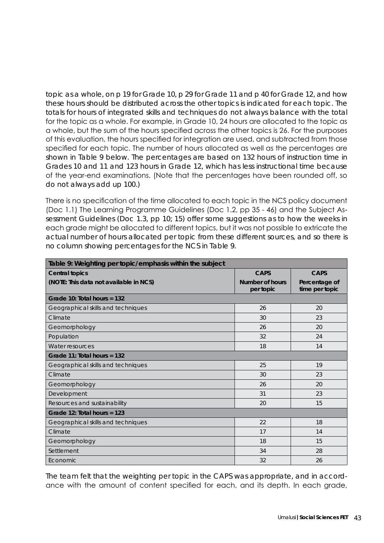topic as a whole, on p 19 for Grade 10, p 29 for Grade 11 and p 40 for Grade 12, and how these hours should be distributed across the other topics is indicated for each topic. The totals for hours of integrated skills and techniques do not always balance with the total for the topic as a whole. For example, in Grade 10, 24 hours are allocated to the topic as a whole, but the sum of the hours specified across the other topics is 26. For the purposes of this evaluation, the hours specified for integration are used, and subtracted from those specified for each topic. The number of hours allocated as well as the percentages are shown in Table 9 below. The percentages are based on 132 hours of instruction time in Grades 10 and 11 and 123 hours in Grade 12, which has less instructional time because of the year-end examinations. (Note that the percentages have been rounded off, so do not always add up 100.)

There is no specification of the time allocated to each topic in the NCS policy document (Doc 1.1) The Learning Programme Guidelines (Doc 1.2, pp 35 - 46) and the Subject Assessment Guidelines (Doc 1.3, pp 10; 15) offer some suggestions as to how the weeks in each grade might be allocated to different topics, but it was not possible to extricate the actual number of hours allocated per topic from these different sources, and so there is no column showing percentages for the NCS in Table 9.

| Table 9: Weighting per topic/emphasis within the subject |                              |                                 |  |  |
|----------------------------------------------------------|------------------------------|---------------------------------|--|--|
| <b>Central topics</b>                                    | <b>CAPS</b>                  | CAPS                            |  |  |
| (NOTE: This data not available in NCS)                   | Number of hours<br>per topic | Percentage of<br>time per topic |  |  |
| Grade 10: Total hours = $132$                            |                              |                                 |  |  |
| Geographical skills and techniques                       | 26                           | 20                              |  |  |
| Climate                                                  | 30                           | 23                              |  |  |
| Geomorphology                                            | 26                           | 20                              |  |  |
| Population                                               | 32                           | 24                              |  |  |
| Water resources                                          | 18                           | 14                              |  |  |
| Grade 11: Total hours = 132                              |                              |                                 |  |  |
| Geographical skills and techniques                       | 25                           | 19                              |  |  |
| Climate                                                  | 30                           | 23                              |  |  |
| Geomorphology                                            | 26                           | 20                              |  |  |
| Development                                              | 31                           | 23                              |  |  |
| Resources and sustainability                             | 20                           | 15                              |  |  |
| Grade 12: Total hours = $123$                            |                              |                                 |  |  |
| Geographical skills and techniques                       | 22                           | 18                              |  |  |
| Climate                                                  | 17                           | 14                              |  |  |
| Geomorphology                                            | 18                           | 15                              |  |  |
| Settlement                                               | 34                           | 28                              |  |  |
| Economic                                                 | 32                           | 26                              |  |  |

The team felt that the weighting per topic in the CAPS was appropriate, and in accordance with the amount of content specified for each, and its depth. In each grade,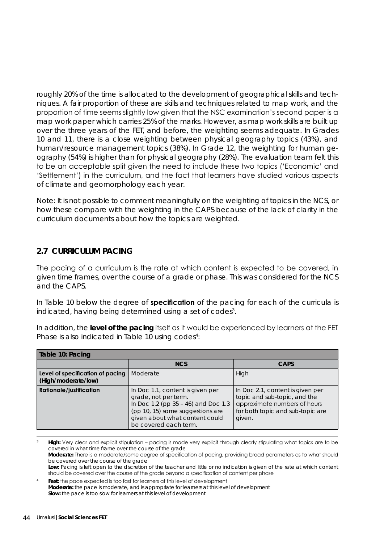roughly 20% of the time is allocated to the development of geographical skills and techniques. A fair proportion of these are skills and techniques related to map work, and the proportion of time seems slightly low given that the NSC examination's second paper is a map work paper which carries 25% of the marks. However, as map work skills are built up over the three years of the FET, and before, the weighting seems adequate. In Grades 10 and 11, there is a close weighting between physical geography topics (43%), and human/resource management topics (38%). In Grade 12, the weighting for human geography (54%) is higher than for physical geography (28%). The evaluation team felt this to be an acceptable split given the need to include these two topics ('Economic' and 'Settlement') in the curriculum, and the fact that learners have studied various aspects of climate and geomorphology each year.

Note: It is not possible to comment meaningfully on the weighting of topics in the NCS, or how these compare with the weighting in the CAPS because of the lack of clarity in the curriculum documents about how the topics are weighted.

#### **2.7 CURRICULUM PACING**

The pacing of a curriculum is the rate at which content is expected to be covered, in given time frames, over the course of a grade or phase. This was considered for the NCS and the CAPS.

In Table 10 below the degree of **specification** of the pacing for each of the curricula is indicated, having being determined using a set of codes<sup>3</sup>.

In addition, the **level of the pacing** itself as it would be experienced by learners at the FET Phase is also indicated in Table 10 using codes<sup>4</sup>:

| Table 10: Pacing                                        |                                                                                                                                                                                                |                                                                                                                                                |  |  |
|---------------------------------------------------------|------------------------------------------------------------------------------------------------------------------------------------------------------------------------------------------------|------------------------------------------------------------------------------------------------------------------------------------------------|--|--|
|                                                         | <b>NCS</b>                                                                                                                                                                                     | <b>CAPS</b>                                                                                                                                    |  |  |
| Level of specification of pacing<br>(High/moderate/low) | Moderate                                                                                                                                                                                       | High                                                                                                                                           |  |  |
| <b>Rationale/justification</b>                          | In Doc 1.1, content is given per<br>grade, not per term.<br>In Doc 1.2 (pp 35 - 46) and Doc 1.3<br>(pp 10, 15) some suggestions are<br>given about what content could<br>be covered each term. | In Doc 2.1, content is given per<br>topic and sub-topic, and the<br>approximate numbers of hours<br>for both topic and sub-topic are<br>given. |  |  |

High: Very clear and explicit stipulation – pacing is made very explicit through clearly stipulating what topics are to be covered in what time frame over the course of the grade **Moderate:** There is a moderate/some degree of specification of pacing, providing broad parameters as to what should be covered over the course of the grade Low: Pacing is left open to the discretion of the teacher and little or no indication is given of the rate at which content should be covered over the course of the grade beyond a specification of content per phase

4 **Fast:** the pace expected is too fast for learners at this level of development **Moderate:** the pace is moderate, and is appropriate for learners at this level of development **Slow:** the pace is too slow for learners at this level of development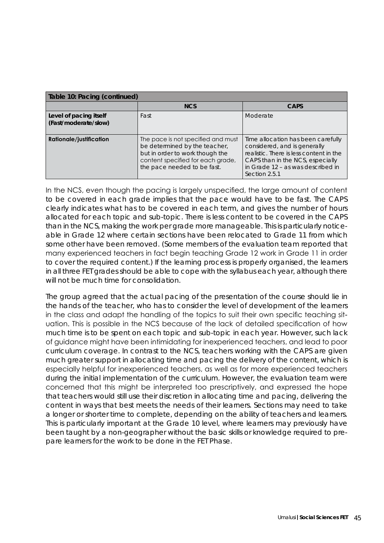| Table 10: Pacing (continued)                   |                                                                                                                                                                            |                                                                                                                                                                                                         |  |  |
|------------------------------------------------|----------------------------------------------------------------------------------------------------------------------------------------------------------------------------|---------------------------------------------------------------------------------------------------------------------------------------------------------------------------------------------------------|--|--|
|                                                | <b>NCS</b>                                                                                                                                                                 | <b>CAPS</b>                                                                                                                                                                                             |  |  |
| Level of pacing itself<br>(Fast/moderate/slow) | Fast                                                                                                                                                                       | Moderate                                                                                                                                                                                                |  |  |
| <b>Rationale/justification</b>                 | The pace is not specified and must<br>be determined by the teacher,<br>but in order to work though the<br>content specified for each grade,<br>the pace needed to be fast. | Time allocation has been carefully<br>considered, and is generally<br>realistic. There is less content in the<br>CAPS than in the NCS, especially<br>in Grade 12 - as was described in<br>Section 2.5.1 |  |  |

In the NCS, even though the pacing is largely unspecified, the large amount of content to be covered in each grade implies that the pace would have to be fast. The CAPS clearly indicates what has to be covered in each term, and gives the number of hours allocated for each topic and sub-topic. There is less content to be covered in the CAPS than in the NCS, making the work per grade more manageable. This is particularly noticeable in Grade 12 where certain sections have been relocated to Grade 11 from which some other have been removed. (Some members of the evaluation team reported that many experienced teachers in fact begin teaching Grade 12 work in Grade 11 in order to cover the required content.) If the learning process is properly organised, the learners in all three FET grades should be able to cope with the syllabus each year, although there will not be much time for consolidation.

The group agreed that the actual pacing of the presentation of the course should lie in the hands of the teacher, who has to consider the level of development of the learners in the class and adapt the handling of the topics to suit their own specific teaching situation. This is possible in the NCS because of the lack of detailed specification of how much time is to be spent on each topic and sub-topic in each year. However, such lack of guidance might have been intimidating for inexperienced teachers, and lead to poor curriculum coverage. In contrast to the NCS, teachers working with the CAPS are given much greater support in allocating time and pacing the delivery of the content, which is especially helpful for inexperienced teachers, as well as for more experienced teachers during the initial implementation of the curriculum. However, the evaluation team were concerned that this might be interpreted too prescriptively, and expressed the hope that teachers would still use their discretion in allocating time and pacing, delivering the content in ways that best meets the needs of their learners. Sections may need to take a longer or shorter time to complete, depending on the ability of teachers and learners. This is particularly important at the Grade 10 level, where learners may previously have been taught by a non-geographer without the basic skills or knowledge required to prepare learners for the work to be done in the FET Phase.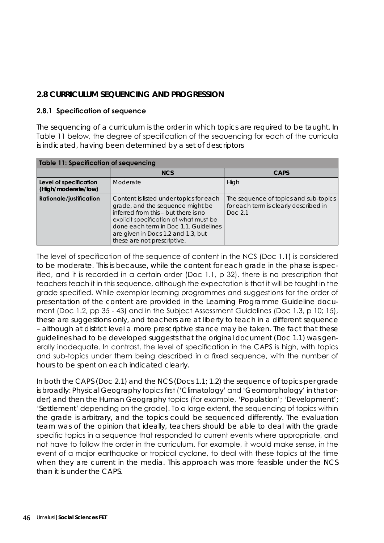# **2.8 CURRICULUM SEQUENCING AND PROGRESSION**

#### **2.8.1 Specification of sequence**

The sequencing of a curriculum is the order in which topics are required to be taught. In Table 11 below, the degree of specification of the sequencing for each of the curricula is indicated, having been determined by a set of descriptors

| <b>Table 11: Specification of sequencing</b>                                                                                                                                                                                                                                                                  |            |                                                                                            |  |  |
|---------------------------------------------------------------------------------------------------------------------------------------------------------------------------------------------------------------------------------------------------------------------------------------------------------------|------------|--------------------------------------------------------------------------------------------|--|--|
|                                                                                                                                                                                                                                                                                                               | <b>NCS</b> | <b>CAPS</b>                                                                                |  |  |
| Level of specification<br>(High/moderate/low)                                                                                                                                                                                                                                                                 | Moderate   | High                                                                                       |  |  |
| <b>Rationale/justification</b><br>Content is listed under topics for each<br>grade, and the sequence might be<br>inferred from this - but there is no<br>explicit specification of what must be<br>done each term in Doc 1.1. Guidelines<br>are given in Docs 1.2 and 1.3, but<br>these are not prescriptive. |            | The sequence of topics and sub-topics<br>for each term is clearly described in<br>Doc. 2.1 |  |  |

The level of specification of the sequence of content in the NCS (Doc 1.1) is considered to be moderate. This is because, while the content for each grade in the phase is specified, and it is recorded in a certain order (Doc 1.1, p 32), there is no prescription that teachers teach it in this sequence, although the expectation is that it will be taught in the grade specified. While exemplar learning programmes and suggestions for the order of presentation of the content are provided in the Learning Programme Guideline document (Doc 1.2, pp 35 - 43) and in the Subject Assessment Guidelines (Doc 1.3, p 10; 15), these are suggestions only, and teachers are at liberty to teach in a different sequence – although at district level a more prescriptive stance may be taken. The fact that these guidelines had to be developed suggests that the original document (Doc 1.1) was generally inadequate. In contrast, the level of specification in the CAPS is high, with topics and sub-topics under them being described in a fixed sequence, with the number of hours to be spent on each indicated clearly.

In both the CAPS (Doc 2.1) and the NCS (Docs 1.1; 1.2) the sequence of topics per grade is broadly: *Physical Geography* topics first ('*Climatology*' and '*Geomorphology*' in that order) and then the *Human Geography* topics (for example, '*Population*'; '*Development*'; '*Settlement*' depending on the grade). To a large extent, the sequencing of topics within the grade is arbitrary, and the topics could be sequenced differently. The evaluation team was of the opinion that ideally, teachers should be able to deal with the grade specific topics in a sequence that responded to current events where appropriate, and not have to follow the order in the curriculum. For example, it would make sense, in the event of a major earthquake or tropical cyclone, to deal with these topics at the time when they are current in the media. This approach was more feasible under the NCS than it is under the CAPS.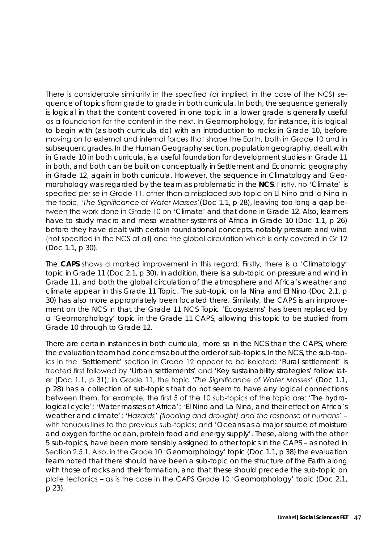There is considerable similarity in the specified (or implied, in the case of the NCS) sequence of topics from grade to grade in both curricula. In both, the sequence generally is logical in that the content covered in one topic in a lower grade is generally useful as a foundation for the content in the next. In *Geomorphology*, for instance, it is logical to begin with (as both curricula do) with an introduction to rocks in Grade 10, before moving on to external and internal forces that shape the Earth, both in Grade 10 and in subsequent grades. In the *Human Geography* section, population geography, dealt with in Grade 10 in both curricula, is a useful foundation for development studies in Grade 11 in both, and both can be built on conceptually in *Settlement* and *Economic geography*  in Grade 12, again in both curricula. However, the sequence in *Climatology* and *Geomorphology* was regarded by the team as problematic in the **NCS**. Firstly, no '*Climate*' is specified per se in Grade 11, other than a misplaced sub-topic on El Nino and la Nina in the topic, '*The Significance of Water Masses*'(Doc 1.1, p 28), leaving too long a gap between the work done in Grade 10 on '*Climate*' and that done in Grade 12. Also, learners have to study macro and meso weather systems of Africa in Grade 10 (Doc 1.1, p 26) before they have dealt with certain foundational concepts, notably pressure and wind (not specified in the NCS at all) and the global circulation which is only covered in Gr 12 (Doc 1.1, p 30).

The **CAPS** shows a marked improvement in this regard. Firstly, there is a '*Climatology*' topic in Grade 11 (Doc 2.1, p 30). In addition, there is a sub-topic on pressure and wind in Grade 11, and both the global circulation of the atmosphere and Africa's weather and climate appear in this Grade 11 Topic. The sub-topic on la Nina and El Nino (Doc 2.1, p 30) has also more appropriately been located there. Similarly, the CAPS is an improvement on the NCS in that the Grade 11 NCS Topic '*Ecosystems*' has been replaced by a '*Geomorphology*' topic in the Grade 11 CAPS, allowing this topic to be studied from Grade 10 through to Grade 12.

There are certain instances in both curricula, more so in the NCS than the CAPS, where the evaluation team had concerns about the order of sub-topics. In the NCS, the sub-topics in the '*Settlement*' section in Grade 12 appear to be isolated: '*Rural settlement*' is treated first followed by '*Urban settlements*' and '*Key sustainability strategies*' follow later (Doc 1.1, p 31); in Grade 11, the topic '*The Significance of Water Masses*' (Doc 1.1, p 28) has a collection of sub-topics that do not seem to have any logical connections between them, for example, the first 5 of the 10 sub-topics of the topic are: '*The hydrological cycle*'; '*Water masses of Africa*'; '*El Nino and La Nina, and their effect on Africa's weather and climate*'; '*Hazards' (flooding and drought) and the response of humans*' – with tenuous links to the previous sub-topics; and '*Oceans as a major source of moisture and oxygen for the ocean, protein food and energy supply*'. These, along with the other 5 sub-topics, have been more sensibly assigned to other topics in the CAPS – as noted in Section 2.5.1. Also, in the Grade 10 '*Geomorphology*' topic (Doc 1.1, p 38) the evaluation team noted that there should have been a sub-topic on the structure of the Earth along with those of rocks and their formation, and that these should precede the sub-topic on plate tectonics – as is the case in the CAPS Grade 10 '*Geomorphology'* topic (Doc 2.1, p 23).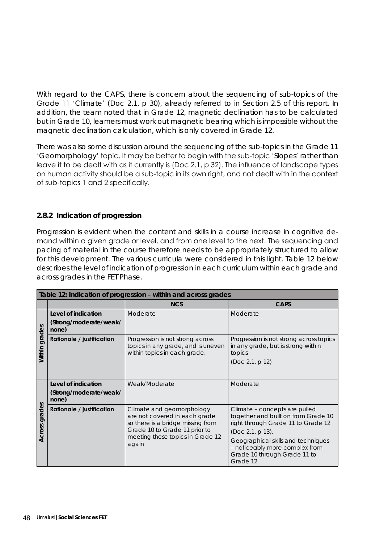With regard to the CAPS, there is concern about the sequencing of sub-topics of the Grade 11 '*Climate*' (Doc 2.1, p 30), already referred to in Section 2.5 of this report. In addition, the team noted that in Grade 12, magnetic declination has to be calculated but in Grade 10, learners must work out magnetic bearing which is impossible without the magnetic declination calculation, which is only covered in Grade 12.

There was also some discussion around the sequencing of the sub-topics in the Grade 11 '*Geomorphology*' topic. It may be better to begin with the sub-topic '*Slopes*' rather than leave it to be dealt with as it currently is (Doc 2.1, p 32). The influence of landscape types on human activity should be a sub-topic in its own right, and not dealt with in the context of sub-topics 1 and 2 specifically.

#### **2.8.2 Indication of progression**

Progression is evident when the content and skills in a course increase in cognitive demand within a given grade or level, and from one level to the next. The sequencing and pacing of material in the course therefore needs to be appropriately structured to allow for this development. The various curricula were considered in this light. Table 12 below describes the level of indication of progression in each curriculum within each grade and across grades in the FET Phase.

|                  | Table 12: Indication of progression - within and across grades |                                                                                                                                  |                                                                                                                                |  |  |
|------------------|----------------------------------------------------------------|----------------------------------------------------------------------------------------------------------------------------------|--------------------------------------------------------------------------------------------------------------------------------|--|--|
|                  |                                                                | <b>NCS</b>                                                                                                                       | <b>CAPS</b>                                                                                                                    |  |  |
|                  | Level of indication                                            | Moderate                                                                                                                         | Moderate                                                                                                                       |  |  |
|                  | (Strong/moderate/weak/<br>none)                                |                                                                                                                                  |                                                                                                                                |  |  |
| grades<br>Within | <b>Rationale / justification</b>                               | Progression is not strong across<br>topics in any grade, and is uneven<br>within topics in each grade.                           | Progression is not strong across topics<br>in any grade, but is strong within<br>topics<br>(Doc 2.1, p 12)                     |  |  |
|                  | Level of indication                                            | Weak/Moderate                                                                                                                    | Moderate                                                                                                                       |  |  |
|                  | (Strong/moderate/weak/<br>none)                                |                                                                                                                                  |                                                                                                                                |  |  |
| grades<br>Across | <b>Rationale / justification</b>                               | Climate and geomorphology<br>are not covered in each grade<br>so there is a bridge missing from<br>Grade 10 to Grade 11 prior to | Climate - concepts are pulled<br>together and built on from Grade 10<br>right through Grade 11 to Grade 12<br>(Doc 2.1, p 13). |  |  |
|                  |                                                                | meeting these topics in Grade 12<br>again                                                                                        | Geographical skills and techniques<br>- noticeably more complex from<br>Grade 10 through Grade 11 to<br>Grade 12               |  |  |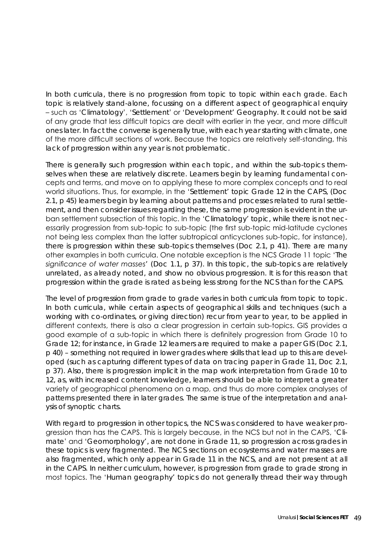In both curricula, there is no progression from topic to topic within each grade. Each topic is relatively stand-alone, focussing on a different aspect of geographical enquiry – such as '*Climatology*', '*Settlement*' or '*Development*' Geography. It could not be said of any grade that less difficult topics are dealt with earlier in the year, and more difficult ones later. In fact the converse is generally true, with each year starting with climate, one of the more difficult sections of work. Because the topics are relatively self-standing, this lack of progression within any year is not problematic.

There is generally such progression within each topic, and within the sub-topics themselves when these are relatively discrete. Learners begin by learning fundamental concepts and terms, and move on to applying these to more complex concepts and to real world situations. Thus, for example, in the '*Settlement*' topic Grade 12 in the CAPS, (Doc 2.1, p 45) learners begin by learning about patterns and processes related to rural settlement, and then consider issues regarding these, the same progression is evident in the urban settlement subsection of this topic. In the '*Climatology*' topic, while there is not necessarily progression from sub-topic to sub-topic (the first sub-topic mid-latitude cyclones not being less complex than the latter subtropical anticyclones sub-topic, for instance), there is progression within these sub-topics themselves (Doc 2.1, p 41). There are many other examples in both curricula. One notable exception is the NCS Grade 11 topic '*The significance of water masses*' (Doc 1.1, p 37). In this topic, the sub-topics are relatively unrelated, as already noted, and show no obvious progression. It is for this reason that progression within the grade is rated as being less strong for the NCS than for the CAPS.

The level of progression from grade to grade varies in both curricula from topic to topic. In both curricula, while certain aspects of geographical skills and techniques (such a working with co-ordinates, or giving direction) recur from year to year, to be applied in different contexts, there is also a clear progression in certain sub-topics. GIS provides a good example of a sub-topic in which there is definitely progression from Grade 10 to Grade 12; for instance, in Grade 12 learners are required to make a paper GIS (Doc 2.1, p 40) – something not required in lower grades where skills that lead up to this are developed (such as capturing different types of data on tracing paper in Grade 11, Doc 2.1, p 37). Also, there is progression implicit in the map work interpretation from Grade 10 to 12, as, with increased content knowledge, learners should be able to interpret a greater variety of geographical phenomena on a map, and thus do more complex analyses of patterns presented there in later grades. The same is true of the interpretation and analysis of synoptic charts.

With regard to progression in other topics, the NCS was considered to have weaker progression than has the CAPS. This is largely because, in the NCS but not in the CAPS, '*Climate*' and '*Geomorphology*', are not done in Grade 11, so progression across grades in these topics is very fragmented. The NCS sections on ecosystems and water masses are also fragmented, which only appear in Grade 11 in the NCS, and are not present at all in the CAPS. In neither curriculum, however, is progression from grade to grade strong in most topics. The '*Human geography*' topics do not generally thread their way through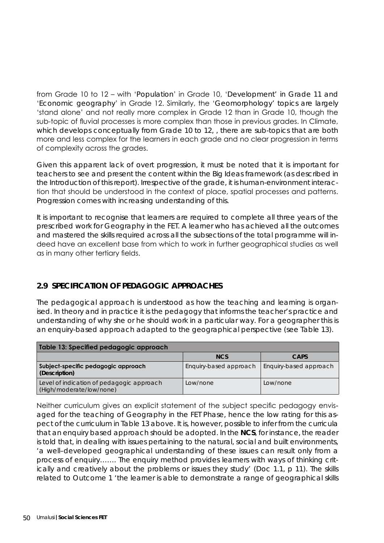from Grade 10 to 12 – with '*Population*' in Grade 10, '*Development*' in Grade 11 and '*Economic geography*' in Grade 12. Similarly, the '*Geomorphology'* topics are largely 'stand alone' and not really more complex in Grade 12 than in Grade 10, though the sub-topic of fluvial processes is more complex than those in previous grades. In Climate, which develops conceptually from Grade 10 to 12, , there are sub-topics that are both more and less complex for the learners in each grade and no clear progression in terms of complexity across the grades.

Given this apparent lack of overt progression, it must be noted that it is important for teachers to see and present the content within the *Big Ideas* framework (as described in the Introduction of this report). Irrespective of the grade, it is human-environment interaction that should be understood in the context of place, spatial processes and patterns. Progression comes with increasing understanding of this.

It is important to recognise that learners are required to complete all three years of the prescribed work for Geography in the FET. A learner who has achieved all the outcomes and mastered the skills required across all the subsections of the total programme will indeed have an excellent base from which to work in further geographical studies as well as in many other tertiary fields.

# **2.9 SPECIFICATION OF PEDAGOGIC APPROACHES**

The pedagogical approach is understood as how the teaching and learning is organised. In theory and in practice it is the pedagogy that informs the teacher's practice and understanding of why she or he should work in a particular way. For a geographer this is an enquiry-based approach adapted to the geographical perspective (see Table 13).

| Table 13: Specified pedagogic approach                                |                        |                        |  |  |
|-----------------------------------------------------------------------|------------------------|------------------------|--|--|
|                                                                       | <b>NCS</b>             | <b>CAPS</b>            |  |  |
| Subject-specific pedagogic approach<br>(Description)                  | Enquiry-based approach | Enquiry-based approach |  |  |
| Level of indication of pedagogic approach<br>(High/moderate/low/none) | Low/none               | Low/none               |  |  |

Neither curriculum gives an explicit statement of the subject specific pedagogy envisaged for the teaching of Geography in the FET Phase, hence the low rating for this aspect of the curriculum in Table 13 above. It is, however, possible to infer from the curricula that an enquiry based approach should be adopted. In the **NCS**, for instance, the reader is told that, in dealing with issues pertaining to the natural, social and built environments, 'a well-developed geographical understanding of these issues can result only from a *process of enquiry……. The enquiry method provides learners with ways of thinking critically and creatively about the problems or issues they study'* (Doc 1.1, p 11). The skills related to Outcome 1 *'the learner is able to demonstrate a range of geographical skills*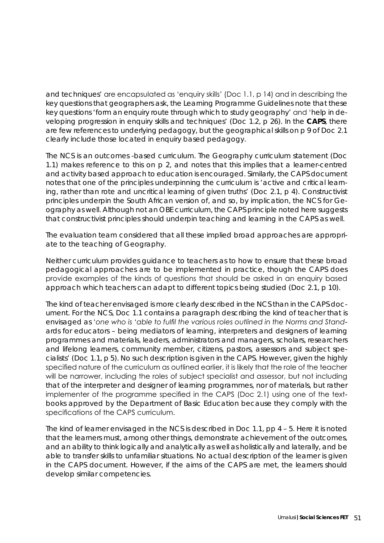*and techniques'* are encapsulated as 'enquiry skills' (Doc 1.1, p 14) and in describing the key questions that geographers ask, the Learning Programme Guidelines note that these key questions *'form an enquiry route through which to study geography'* and '*help in developing progression in enquiry skills and techniques'* (Doc 1.2, p 26). In the **CAPS**, there are few references to underlying pedagogy, but the geographical skills on p 9 of Doc 2.1 clearly include those located in enquiry based pedagogy.

The NCS is an outcomes -based curriculum. The Geography curriculum statement (Doc 1.1) makes reference to this on p 2, and notes that this implies that a learner-centred and activity based approach to education is encouraged. Similarly, the CAPS document notes that one of the principles underpinning the curriculum is *'active and critical learn*ing, rather than rote and uncritical learning of given truths' (Doc 2.1, p 4). Constructivist principles underpin the South African version of, and so, by implication, the NCS for Geography as well. Although not an OBE curriculum, the CAPS principle noted here suggests that constructivist principles should underpin teaching and learning in the CAPS as well.

The evaluation team considered that all these implied broad approaches are appropriate to the teaching of Geography.

Neither curriculum provides guidance to teachers as to how to ensure that these broad pedagogical approaches are to be implemented in practice, though the CAPS does provide examples of the kinds of questions that should be asked in an enquiry based approach which teachers can adapt to different topics being studied (Doc 2.1, p 10).

The kind of teacher envisaged is more clearly described in the NCS than in the CAPS document. For the NCS, Doc 1.1 contains a paragraph describing the kind of teacher that is envisaged as *'one who is 'able to fulfil the various roles outlined in the Norms and Standards for educators – being mediators of learning, interpreters and designers of learning programmes and materials, leaders, administrators and managers, scholars, researchers and lifelong learners, community member, citizens, pastors, assessors and subject specialists'* (Doc 1.1, p 5). No such description is given in the CAPS. However, given the highly specified nature of the curriculum as outlined earlier, it is likely that the role of the teacher will be narrower, including the roles of subject specialist and assessor, but not including that of the interpreter and designer of learning programmes, nor of materials, but rather implementer of the programme specified in the CAPS (Doc 2.1) using one of the textbooks approved by the Department of Basic Education because they comply with the specifications of the CAPS curriculum.

The kind of learner envisaged in the NCS is described in Doc 1.1, pp 4 – 5. Here it is noted that the learners must, among other things, demonstrate achievement of the outcomes, and an ability to think logically and analytically as well as holistically and laterally, and be able to transfer skills to unfamiliar situations. No actual description of the learner is given in the CAPS document. However, if the aims of the CAPS are met, the learners should develop similar competencies.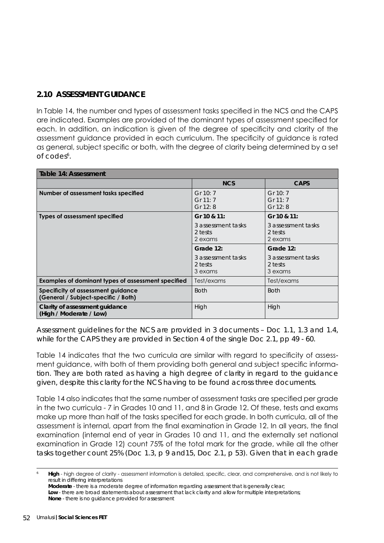# **2.10 ASSESSMENT GUIDANCE**

In Table 14, the number and types of assessment tasks specified in the NCS and the CAPS are indicated. Examples are provided of the dominant types of assessment specified for each. In addition, an indication is given of the degree of specificity and clarity of the assessment guidance provided in each curriculum. The specificity of guidance is rated as general, subject specific or both, with the degree of clarity being determined by a set of codes<sup>6</sup>.

| Table 14: Assessment                                                      |                                          |                                          |  |
|---------------------------------------------------------------------------|------------------------------------------|------------------------------------------|--|
|                                                                           | <b>NCS</b>                               | <b>CAPS</b>                              |  |
| Number of assessment tasks specified                                      | Gr 10: 7<br>Gr $11:7$<br>Gr 12: 8        | Gr 10: 7<br>Gr $11:7$<br>Gr 12: 8        |  |
| Types of assessment specified                                             | Gr 10 & 11:                              | Gr 10 & 11:                              |  |
|                                                                           | 3 assessment tasks<br>2 tests<br>2 exams | 3 assessment tasks<br>2 tests<br>2 exams |  |
|                                                                           | Grade 12:                                | Grade 12:                                |  |
|                                                                           | 3 assessment tasks<br>2 tests<br>3 exams | 3 assessment tasks<br>2 tests<br>3 exams |  |
| Examples of dominant types of assessment specified                        | Test/exams                               | Test/exams                               |  |
| Specificity of assessment guidance<br>(General / Subject-specific / Both) | <b>Both</b>                              | <b>Both</b>                              |  |
| Clarity of assessment guidance<br>(High / Moderate / Low)                 | High                                     | High                                     |  |

Assessment guidelines for the NCS are provided in 3 documents – Doc 1.1, 1.3 and 1.4, while for the CAPS they are provided in Section 4 of the single Doc 2.1, pp 49 - 60.

Table 14 indicates that the two curricula are similar with regard to specificity of assessment guidance, with both of them providing both general and subject specific information. They are both rated as having a high degree of clarity in regard to the guidance given, despite this clarity for the NCS having to be found across three documents.

Table 14 also indicates that the same number of assessment tasks are specified per grade in the two curricula - 7 in Grades 10 and 11, and 8 in Grade 12. Of these, tests and exams make up more than half of the tasks specified for each grade. In both curricula, all of the assessment is internal, apart from the final examination in Grade 12. In all years, the final examination (internal end of year in Grades 10 and 11, and the externally set national examination in Grade 12) count 75% of the total mark for the grade, while all the other tasks together count 25% (Doc 1.3, p 9 and15, Doc 2.1, p 53). Given that in each grade

Low - there are broad statements about assessment that lack clarity and allow for multiple interpretations; **None** - there is no guidance provided for assessment

High - high degree of clarity - assessment information is detailed, specific, clear, and comprehensive, and is not likely to result in differing interpretations

**Moderate** - there is a moderate degree of information regarding assessment that is generally clear;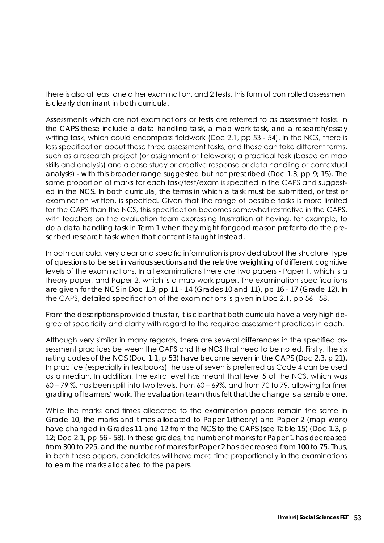there is also at least one other examination, and 2 tests, this form of controlled assessment is clearly dominant in both curricula.

Assessments which are not examinations or tests are referred to as assessment tasks. In the CAPS these include a data handling task, a map work task, and a research/essay writing task, which could encompass fieldwork (Doc 2.1, pp 53 - 54). In the NCS, there is less specification about these three assessment tasks, and these can take different forms, such as a research project (or assignment or fieldwork); a practical task (based on map skills and analysis) and a case study or creative response or data handling or contextual analysis) - with this broader range suggested but not prescribed (Doc 1.3, pp 9; 15). The same proportion of marks for each task/test/exam is specified in the CAPS and suggested in the NCS. In both curricula, the terms in which a task must be submitted, or test or examination written, is specified. Given that the range of possible tasks is more limited for the CAPS than the NCS, this specification becomes somewhat restrictive in the CAPS, with teachers on the evaluation team expressing frustration at having, for example, to do a data handling task in Term 1 when they might for good reason prefer to do the prescribed research task when that content is taught instead.

In both curricula, very clear and specific information is provided about the structure, type of questions to be set in various sections and the relative weighting of different cognitive levels of the examinations. In all examinations there are two papers - Paper 1, which is a theory paper, and Paper 2, which is a map work paper. The examination specifications are given for the NCS in Doc 1.3, pp 11 - 14 (Grades 10 and 11), pp 16 - 17 (Grade 12). In the CAPS, detailed specification of the examinations is given in Doc 2.1, pp 56 - 58.

From the descriptions provided thus far, it is clear that both curricula have a very high degree of specificity and clarity with regard to the required assessment practices in each.

Although very similar in many regards, there are several differences in the specified assessment practices between the CAPS and the NCS that need to be noted. Firstly, the six rating codes of the NCS (Doc 1.1, p 53) have become seven in the CAPS (Doc 2.3, p 21). In practice (especially in textbooks) the use of seven is preferred as Code 4 can be used as a median. In addition, the extra level has meant that level 5 of the NCS, which was 60 – 79 %, has been split into two levels, from 60 – 69%, and from 70 to 79, allowing for finer grading of learners' work. The evaluation team thus felt that the change is a sensible one.

While the marks and times allocated to the examination papers remain the same in Grade 10, the marks and times allocated to Paper 1(theory) and Paper 2 (map work) have changed in Grades 11 and 12 from the NCS to the CAPS (see Table 15) (Doc 1.3, p 12; Doc 2.1, pp 56 - 58). In these grades, the number of marks for Paper 1 has decreased from 300 to 225, and the number of marks for Paper 2 has decreased from 100 to 75. Thus, in both these papers, candidates will have more time proportionally in the examinations to earn the marks allocated to the papers.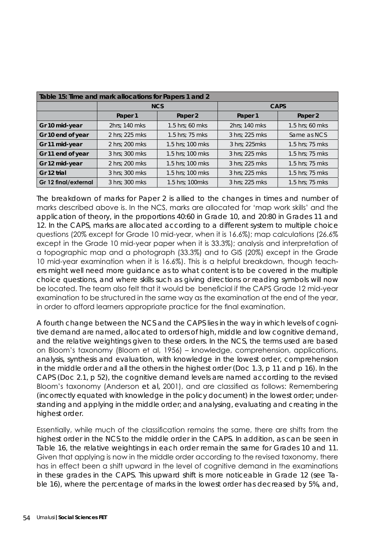| Table 15: Time and mark allocations for Papers 1 and 2 |                    |                  |                |                 |  |
|--------------------------------------------------------|--------------------|------------------|----------------|-----------------|--|
|                                                        |                    | <b>NCS</b>       | <b>CAPS</b>    |                 |  |
|                                                        | Paper 1<br>Paper 2 |                  | Paper 1        | Paper 2         |  |
| Gr 10 mid-year                                         | 2hrs; 140 mks      | 1.5 hrs; 60 mks  | 2hrs; 140 mks  | 1.5 hrs; 60 mks |  |
| Gr 10 end of year                                      | 2 hrs; 225 mks     | 1.5 hrs; 75 mks  | 3 hrs; 225 mks | Same as NCS     |  |
| Gr 11 mid-year                                         | 2 hrs; 200 mks     | 1.5 hrs; 100 mks | 3 hrs; 225mks  | 1.5 hrs; 75 mks |  |
| Gr 11 end of year                                      | 3 hrs; 300 mks     | 1.5 hrs; 100 mks | 3 hrs; 225 mks | 1.5 hrs; 75 mks |  |
| Gr 12 mid-year                                         | 2 hrs; 200 mks     | 1.5 hrs; 100 mks | 3 hrs; 225 mks | 1.5 hrs; 75 mks |  |
| Gr 12 trial                                            | 3 hrs; 300 mks     | 1.5 hrs; 100 mks | 3 hrs; 225 mks | 1.5 hrs; 75 mks |  |
| Gr 12 final/external                                   | 3 hrs; 300 mks     | 1.5 hrs; 100 mks | 3 hrs; 225 mks | 1.5 hrs; 75 mks |  |

The breakdown of marks for Paper 2 is allied to the changes in times and number of marks described above is. In the NCS, marks are allocated for 'map work skills' and the application of theory, in the proportions 40:60 in Grade 10, and 20:80 in Grades 11 and 12. In the CAPS, marks are allocated according to a different system to multiple choice questions (20% except for Grade 10 mid-year, when it is 16.6%); map calculations (26.6% except in the Grade 10 mid-year paper when it is 33.3%); analysis and interpretation of a topographic map and a photograph (33.3%) and to GIS (20%) except in the Grade 10 mid-year examination when it is 16.6%). This is a helpful breakdown, though teachers might well need more guidance as to what content is to be covered in the multiple choice questions, and where skills such as giving directions or reading symbols will now be located. The team also felt that it would be beneficial if the CAPS Grade 12 mid-year examination to be structured in the same way as the examination at the end of the year, in order to afford learners appropriate practice for the final examination.

A fourth change between the NCS and the CAPS lies in the way in which levels of cognitive demand are named, allocated to orders of high, middle and low cognitive demand, and the relative weightings given to these orders. In the NCS, the terms used are based on Bloom's taxonomy (Bloom et al, 1956) – knowledge, comprehension, applications, analysis, synthesis and evaluation, with knowledge in the lowest order, comprehension in the middle order and all the others in the highest order (Doc 1.3, p 11 and p 16). In the CAPS (Doc 2.1, p 52), the cognitive demand levels are named according to the revised Bloom's taxonomy (Anderson *et al,* 2001), and are classified as follows: Remembering (incorrectly equated with knowledge in the policy document) in the lowest order; understanding and applying in the middle order; and analysing, evaluating and creating in the highest order.

Essentially, while much of the classification remains the same, there are shifts from the highest order in the NCS to the middle order in the CAPS. In addition, as can be seen in Table 16, the relative weightings in each order remain the same for Grades 10 and 11. Given that applying is now in the middle order according to the revised taxonomy, there has in effect been a shift upward in the level of cognitive demand in the examinations in these grades in the CAPS. This upward shift is more noticeable in Grade 12 (see Table 16), where the percentage of marks in the lowest order has decreased by 5%, and,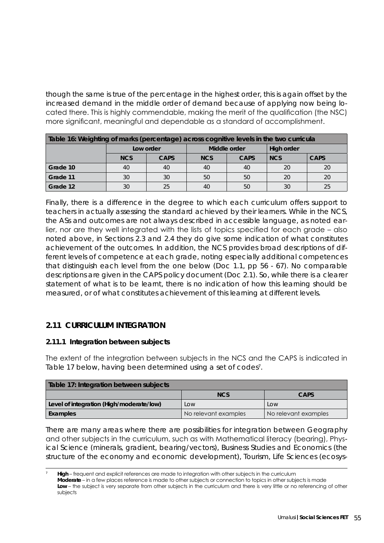though the same is true of the percentage in the highest order, this is again offset by the increased demand in the middle order of demand because of applying now being located there. This is highly commendable, making the merit of the qualification (the NSC) more significant, meaningful and dependable as a standard of accomplishment.

| Table 16: Weighting of marks (percentage) across cognitive levels in the two curricula |            |             |              |             |            |             |
|----------------------------------------------------------------------------------------|------------|-------------|--------------|-------------|------------|-------------|
|                                                                                        | Low order  |             | Middle order |             | High order |             |
|                                                                                        | <b>NCS</b> | <b>CAPS</b> | <b>NCS</b>   | <b>CAPS</b> | <b>NCS</b> | <b>CAPS</b> |
| Grade 10                                                                               | 40         | 40          | 40           | 40          | 20         | 20          |
| Grade 11                                                                               | 30         | 30          | 50           | 50          | 20         | 20          |
| Grade 12                                                                               | 30         | 25          | 40           | 50          | 30         | 25          |

Finally, there is a difference in the degree to which each curriculum offers support to teachers in actually assessing the standard achieved by their learners. While in the NCS, the ASs and outcomes are not always described in accessible language, as noted earlier, nor are they well integrated with the lists of topics specified for each grade – also noted above, in Sections 2.3 and 2.4 they do give some indication of what constitutes achievement of the outcomes. In addition, the NCS provides broad descriptions of different levels of competence at each grade, noting especially additional competences that distinguish each level from the one below (Doc 1.1, pp 56 - 67). No comparable descriptions are given in the CAPS policy document (Doc 2.1). So, while there is a clearer statement of what is to be learnt, there is no indication of how this learning should be measured, or of what constitutes achievement of this learning at different levels.

# **2.11 CURRICULUM INTEGRATION**

#### **2.11.1 Integration between subjects**

The extent of the integration between subjects in the NCS and the CAPS is indicated in Table 17 below, having been determined using a set of codes<sup>7</sup>.

| Table 17: Integration between subjects   |                      |                      |  |  |  |
|------------------------------------------|----------------------|----------------------|--|--|--|
| <b>NCS</b><br><b>CAPS</b>                |                      |                      |  |  |  |
| Level of integration (High/moderate/low) | LOW                  | LOW                  |  |  |  |
| Examples                                 | No relevant examples | No relevant examples |  |  |  |

There are many areas where there are possibilities for integration between Geography and other subjects in the curriculum, such as with Mathematical literacy (bearing), Physical Science (minerals, gradient, bearing/vectors), Business Studies and Economics (the structure of the economy and economic development), Tourism, Life Sciences (ecosys-

High – frequent and explicit references are made to integration with other subjects in the curriculum **Moderate** – in a few places reference is made to other subjects or connection to topics in other subjects is made Low – the subject is very separate from other subjects in the curriculum and there is very little or no referencing of other subjects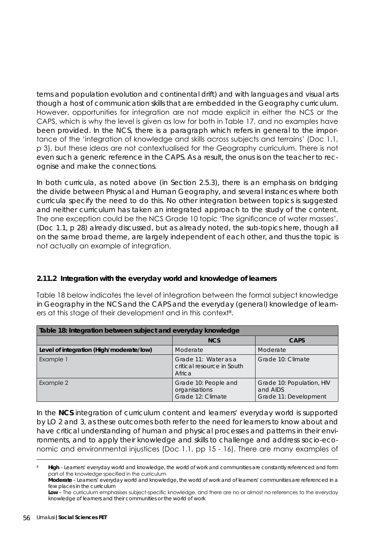tems and population evolution and continental drift) and with languages and visual arts though a host of communication skills that are embedded in the Geography curriculum. However, opportunities for integration are not made explicit in either the NCS or the CAPS, which is why the level is given as low for both in Table 17, and no examples have been provided. In the NCS, there is a paragraph which refers in general to the importance of the 'integration of knowledge and skills across subjects and terrains' (Doc 1.1, p 3), but these ideas are not contextualised for the Geography curriculum. There is not even such a generic reference in the CAPS. As a result, the onus is on the teacher to recognise and make the connections.

In both curricula, as noted above (in Section 2.5.3), there is an emphasis on bridging the divide between Physical and Human Geography, and several instances where both curricula specify the need to do this. No other integration between topics is suggested and neither curriculum has taken an integrated approach to the study of the content. The one exception could be the NCS Grade 10 topic 'The significance of water masses', (Doc 1.1, p 28) already discussed, but as already noted, the sub-topics here, though all on the same broad theme, are largely independent of each other, and thus the topic is not actually an example of integration.

# **2.11.2 Integration with the everyday world and knowledge of learners**

Table 18 below indicates the level of integration between the formal subject knowledge in Geography in the NCS and the CAPS and the everyday (general) knowledge of learners at this stage of their development and in this context $^{\mathrm{s}}$ .

| Table 18: Integration between subject and everyday knowledge |                                                              |                                                                |  |  |
|--------------------------------------------------------------|--------------------------------------------------------------|----------------------------------------------------------------|--|--|
|                                                              | <b>NCS</b>                                                   | <b>CAPS</b>                                                    |  |  |
| Level of integration (High/moderate/low)                     | Moderate                                                     | Moderate                                                       |  |  |
| Example 1                                                    | Grade 11: Water as a<br>critical resource in South<br>Africa | Grade 10: Climate                                              |  |  |
| Example 2                                                    | Grade 10: People and<br>organisations<br>Grade 12: Climate   | Grade 10: Population, HIV<br>and AIDS<br>Grade 11: Development |  |  |

In the **NCS** integration of curriculum content and learners' everyday world is supported by LO 2 and 3, as these outcomes both refer to the need for learners to know about and have critical understanding of human and physical processes and patterns in their environments, and to apply their knowledge and skills to challenge and address socio-economic and environmental injustices (Doc 1.1, pp 15 - 16). There are many examples of

High – Learners' everyday world and knowledge, the world of work and communities are constantly referenced and form part of the knowledge specified in the curriculum

**Moderate** – Learners' everyday world and knowledge, the world of work and of learners' communities are referenced in a few places in the curriculum

Low – The curriculum emphasises subject-specific knowledge, and there are no or almost no references to the everyday knowledge of learners and their communities or the world of work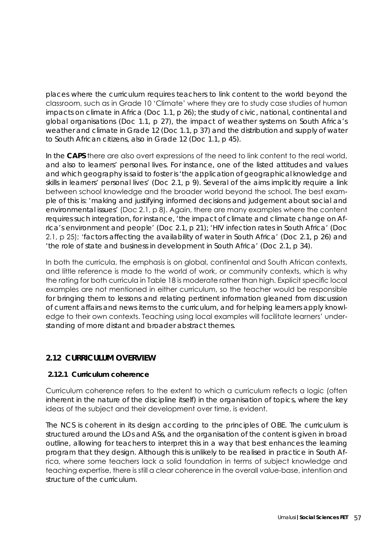places where the curriculum requires teachers to link content to the world beyond the classroom, such as in Grade 10 'Climate' where they are to study case studies of human impacts on climate in Africa (Doc 1.1, p 26); the study of civic, national, continental and global organisations (Doc 1.1, p 27), the impact of weather systems on South Africa's weather and climate in Grade 12 (Doc 1.1, p 37) and the distribution and supply of water to South African citizens, also in Grade 12 (Doc 1.1, p 45).

In the **CAPS** there are also overt expressions of the need to link content to the real world, and also to learners' personal lives. For instance, one of the listed attitudes and values and which geography is said to foster is *'the application of geographical knowledge and skills in learners' personal lives'* (Doc 2.1, p 9). Several of the aims implicitly require a link between school knowledge and the broader world beyond the school. The best example of this is: *'making and justifying informed decisions and judgement about social and environmental issues'* (Doc 2.1, p 8). Again, there are many examples where the content requires such integration, for instance, *'the impact of climate and climate change on Africa's environment and people'* (Doc 2.1, p 21); *'HIV infection rates in South Africa'* (Doc 2.1, p 25); '*factors affecting the availability of water in South Africa'* (Doc 2.1, p 26) and *'the role of state and business in development in South Africa'* (Doc 2.1, p 34).

In both the curricula, the emphasis is on global, continental and South African contexts, and little reference is made to the world of work, or community contexts, which is why the rating for both curricula in Table 18 is moderate rather than high. Explicit specific local examples are not mentioned in either curriculum, so the teacher would be responsible for bringing them to lessons and relating pertinent information gleaned from discussion of current affairs and news items to the curriculum, and for helping learners apply knowledge to their own contexts. Teaching using local examples will facilitate learners' understanding of more distant and broader abstract themes.

# **2.12 CURRICULUM OVERVIEW**

# **2.12.1 Curriculum coherence**

Curriculum coherence refers to the extent to which a curriculum reflects a logic (often inherent in the nature of the discipline itself) in the organisation of topics, where the key ideas of the subject and their development over time, is evident.

The NCS is coherent in its design according to the principles of OBE. The curriculum is structured around the LOs and ASs, and the organisation of the content is given in broad outline, allowing for teachers to interpret this in a way that best enhances the learning program that they design. Although this is unlikely to be realised in practice in South Africa, where some teachers lack a solid foundation in terms of subject knowledge and teaching expertise, there is still a clear coherence in the overall value-base, intention and structure of the curriculum.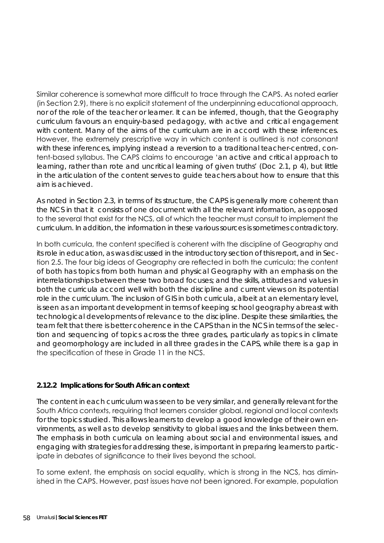Similar coherence is somewhat more difficult to trace through the CAPS. As noted earlier (in Section 2.9), there is no explicit statement of the underpinning educational approach, nor of the role of the teacher or learner. It can be inferred, though, that the Geography curriculum favours an enquiry-based pedagogy, with active and critical engagement with content. Many of the aims of the curriculum are in accord with these inferences. However, the extremely prescriptive way in which content is outlined is not consonant with these inferences, implying instead a reversion to a traditional teacher-centred, content-based syllabus. The CAPS claims to encourage '*an active and critical approach to learning, rather than rote and uncritical learning of given truths*' (Doc 2.1, p 4), but little in the articulation of the content serves to guide teachers about how to ensure that this aim is achieved.

As noted in Section 2.3, in terms of its structure, the CAPS is generally more coherent than the NCS in that it consists of one document with all the relevant information, as opposed to the several that exist for the NCS, all of which the teacher must consult to implement the curriculum. In addition, the information in these various sources is sometimes contradictory.

In both curricula, the content specified is coherent with the discipline of Geography and its role in education, as was discussed in the introductory section of this report, and in Section 2.5. The four big ideas of Geography are reflected in both the curricula; the content of both has topics from both human and physical Geography with an emphasis on the interrelationships between these two broad focuses; and the skills, attitudes and values in both the curricula accord well with both the discipline and current views on its potential role in the curriculum. The inclusion of GIS in both curricula, albeit at an elementary level, is seen as an important development in terms of keeping school geography abreast with technological developments of relevance to the discipline. Despite these similarities, the team felt that there is better coherence in the CAPS than in the NCS in terms of the selection and sequencing of topics across the three grades, particularly as topics in climate and geomorphology are included in all three grades in the CAPS, while there is a gap in the specification of these in Grade 11 in the NCS.

#### **2.12.2 Implications for South African context**

The content in each curriculum was seen to be very similar, and generally relevant for the South Africa contexts, requiring that learners consider global, regional and local contexts for the topics studied. This allows learners to develop a good knowledge of their own environments, as well as to develop sensitivity to global issues and the links between them. The emphasis in both curricula on learning about social and environmental issues, and engaging with strategies for addressing these, is important in preparing learners to participate in debates of significance to their lives beyond the school.

To some extent, the emphasis on social equality, which is strong in the NCS, has diminished in the CAPS. However, past issues have not been ignored. For example, population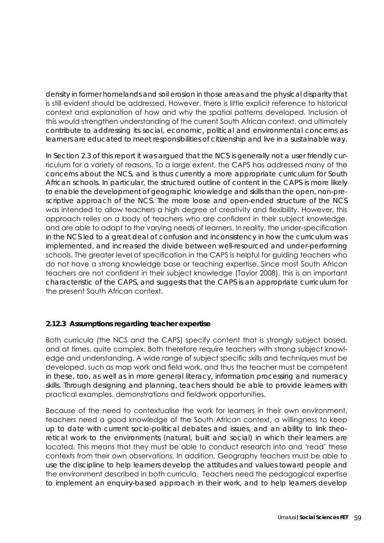density in former homelands and soil erosion in those areas and the physical disparity that is still evident should be addressed. However, there is little explicit reference to historical context and explanation of how and why the spatial patterns developed. Inclusion of this would strengthen understanding of the current South African context, and ultimately contribute to addressing its social, economic, political and environmental concerns as learners are educated to meet responsibilities of citizenship and live in a sustainable way.

In Section 2.3 of this report it was argued that the NCS is generally not a user friendly curriculum for a variety of reasons. To a large extent, the CAPS has addressed many of the concerns about the NCS, and is thus currently a more appropriate curriculum for South African schools. In particular, the structured outline of content in the CAPS is more likely to enable the development of geographic knowledge and skills than the open, non-prescriptive approach of the NCS. The more loose and open-ended structure of the NCS was intended to allow teachers a high degree of creativity and flexibility. However, this approach relies on a body of teachers who are confident in their subject knowledge, and are able to adapt to the varying needs of learners. In reality, the under-specification in the NCS led to a great deal of confusion and inconsistency in how the curriculum was implemented, and increased the divide between well-resourced and under-performing schools. The greater level of specification in the CAPS is helpful for guiding teachers who do not have a strong knowledge base or teaching expertise. Since most South African teachers are not confident in their subject knowledge (Taylor 2008), this is an important characteristic of the CAPS, and suggests that the CAPS is an appropriate curriculum for the present South African context.

#### **2.12.3 Assumptions regarding teacher expertise**

Both curricula (the NCS and the CAPS) specify content that is strongly subject based, and at times, quite complex. Both therefore require teachers with strong subject knowledge and understanding. A wide range of subject specific skills and techniques must be developed, such as map work and field work, and thus the teacher must be competent in these, too, as well as in more general literacy, information processing and numeracy skills. Through designing and planning, teachers should be able to provide learners with practical examples, demonstrations and fieldwork opportunities.

Because of the need to contextualise the work for learners in their own environment, teachers need a good knowledge of the South African context, a willingness to keep up to date with current socio-political debates and issues, and an ability to link theoretical work to the environments (natural, built and social) in which their learners are located. This means that they must be able to conduct research into and 'read' these contexts from their own observations. In addition, Geography teachers must be able to use the discipline to help learners develop the attitudes and values toward people and the environment described in both curricula. Teachers need the pedagogical expertise to implement an enquiry-based approach in their work, and to help learners develop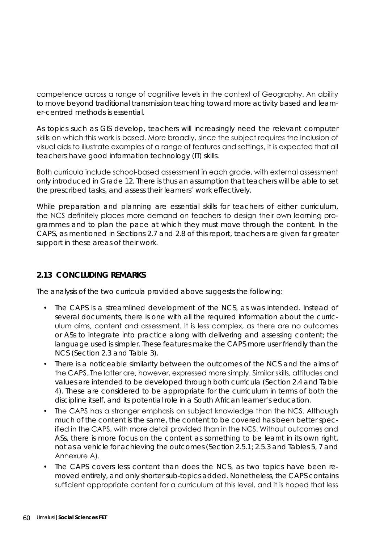competence across a range of cognitive levels in the context of Geography. An ability to move beyond traditional transmission teaching toward more activity based and learner-centred methods is essential.

As topics such as GIS develop, teachers will increasingly need the relevant computer skills on which this work is based. More broadly, since the subject requires the inclusion of visual aids to illustrate examples of a range of features and settings, it is expected that all teachers have good information technology (IT) skills.

Both curricula include school-based assessment in each grade, with external assessment only introduced in Grade 12. There is thus an assumption that teachers will be able to set the prescribed tasks, and assess their learners' work effectively.

While preparation and planning are essential skills for teachers of either curriculum, the NCS definitely places more demand on teachers to design their own learning programmes and to plan the pace at which they must move through the content. In the CAPS, as mentioned in Sections 2.7 and 2.8 of this report, teachers are given far greater support in these areas of their work.

# **2.13 CONCLUDING REMARKS**

The analysis of the two curricula provided above suggests the following:

- The CAPS is a streamlined development of the NCS, as was intended. Instead of several documents, there is one with all the required information about the curriculum aims, content and assessment. It is less complex, as there are no outcomes or ASs to integrate into practice along with delivering and assessing content; the language used is simpler. These features make the CAPS more user friendly than the NCS (Section 2.3 and Table 3).
- There is a noticeable similarity between the outcomes of the NCS and the aims of the CAPS. The latter are, however, expressed more simply. Similar skills, attitudes and values are intended to be developed through both curricula (Section 2.4 and Table 4). These are considered to be appropriate for the curriculum in terms of both the discipline itself, and its potential role in a South African learner's education.
- The CAPS has a stronger emphasis on subject knowledge than the NCS. Although much of the content is the same, the content to be covered has been better specified in the CAPS, with more detail provided than in the NCS. Without outcomes and ASs, there is more focus on the content as something to be learnt in its own right, not as a vehicle for achieving the outcomes (Section 2.5.1; 2.5.3 and Tables 5, 7 and Annexure A).
- The CAPS covers less content than does the NCS, as two topics have been removed entirely, and only shorter sub-topics added. Nonetheless, the CAPS contains sufficient appropriate content for a curriculum at this level, and it is hoped that less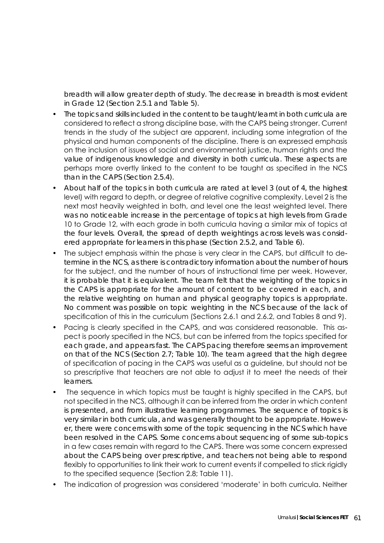breadth will allow greater depth of study. The decrease in breadth is most evident in Grade 12 (Section 2.5.1 and Table 5).

- The topics and skills included in the content to be taught/learnt in both curricula are considered to reflect a strong discipline base, with the CAPS being stronger. Current trends in the study of the subject are apparent, including some integration of the physical and human components of the discipline. There is an expressed emphasis on the inclusion of issues of social and environmental justice, human rights and the value of indigenous knowledge and diversity in both curricula. These aspects are perhaps more overtly linked to the content to be taught as specified in the NCS than in the CAPS (Section 2.5.4).
- About half of the topics in both curricula are rated at level 3 (out of 4, the highest level) with regard to depth, or degree of relative cognitive complexity. Level 2 is the next most heavily weighted in both, and level one the least weighted level. There was no noticeable increase in the percentage of topics at high levels from Grade 10 to Grade 12, with each grade in both curricula having a similar mix of topics at the four levels. Overall, the spread of depth weightings across levels was considered appropriate for learners in this phase (Section 2.5.2, and Table 6).
- The subject emphasis within the phase is very clear in the CAPS, but difficult to determine in the NCS, as there is contradictory information about the number of hours for the subject, and the number of hours of instructional time per week. However, it is probable that it is equivalent. The team felt that the weighting of the topics in the CAPS is appropriate for the amount of content to be covered in each, and the relative weighting on human and physical geography topics is appropriate. No comment was possible on topic weighting in the NCS because of the lack of specification of this in the curriculum (Sections 2.6.1 and 2.6.2, and Tables 8 and 9).
- Pacing is clearly specified in the CAPS, and was considered reasonable. This aspect is poorly specified in the NCS, but can be inferred from the topics specified for each grade, and appears fast. The CAPS pacing therefore seems an improvement on that of the NCS (Section 2.7; Table 10). The team agreed that the high degree of specification of pacing in the CAPS was useful as a guideline, but should not be so prescriptive that teachers are not able to adjust it to meet the needs of their learners.
- The sequence in which topics must be taught is highly specified in the CAPS, but not specified in the NCS, although it can be inferred from the order in which content is presented, and from illustrative learning programmes. The sequence of topics is very similar in both curricula, and was generally thought to be appropriate. However, there were concerns with some of the topic sequencing in the NCS which have been resolved in the CAPS. Some concerns about sequencing of some sub-topics in a few cases remain with regard to the CAPS. There was some concern expressed about the CAPS being over prescriptive, and teachers not being able to respond flexibly to opportunities to link their work to current events if compelled to stick rigidly to the specified sequence (Section 2.8; Table 11).
- The indication of progression was considered 'moderate' in both curricula. Neither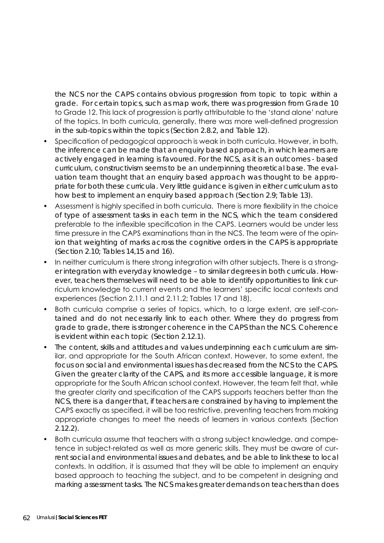the NCS nor the CAPS contains obvious progression from topic to topic within a grade. For certain topics, such as map work, there was progression from Grade 10 to Grade 12. This lack of progression is partly attributable to the 'stand alone' nature of the topics. In both curricula, generally, there was more well-defined progression in the sub-topics within the topics (Section 2.8.2, and Table 12).

- Specification of pedagogical approach is weak in both curricula. However, in both, the inference can be made that an enquiry based approach, in which learners are actively engaged in learning is favoured. For the NCS, as it is an outcomes - based curriculum, constructivism seems to be an underpinning theoretical base. The evaluation team thought that an enquiry based approach was thought to be appropriate for both these curricula. Very little guidance is given in either curriculum as to how best to implement an enquiry based approach (Section 2.9; Table 13).
- Assessment is highly specified in both curricula. There is more flexibility in the choice of type of assessment tasks in each term in the NCS, which the team considered preferable to the inflexible specification in the CAPS. Learners would be under less time pressure in the CAPS examinations than in the NCS. The team were of the opinion that weighting of marks across the cognitive orders in the CAPS is appropriate (Section 2.10; Tables 14,15 and 16).
- In neither curriculum is there strong integration with other subjects. There is a stronger integration with everyday knowledge – to similar degrees in both curricula. However, teachers themselves will need to be able to identify opportunities to link curriculum knowledge to current events and the learners' specific local contexts and experiences (Section 2.11.1 and 2.11.2; Tables 17 and 18).
- Both curricula comprise a series of topics, which, to a large extent, are self-contained and do not necessarily link to each other. Where they do progress from grade to grade, there is stronger coherence in the CAPS than the NCS. Coherence is evident within each topic (Section 2.12.1).
- The content, skills and attitudes and values underpinning each curriculum are similar, and appropriate for the South African context. However, to some extent, the focus on social and environmental issues has decreased from the NCS to the CAPS. Given the greater clarity of the CAPS, and its more accessible language, it is more appropriate for the South African school context. However, the team felt that, while the greater clarity and specification of the CAPS supports teachers better than the NCS, there is a danger that, if teachers are constrained by having to implement the CAPS exactly as specified, it will be too restrictive, preventing teachers from making appropriate changes to meet the needs of learners in various contexts (Section 2.12.2).
- Both curricula assume that teachers with a strong subject knowledge, and competence in subject-related as well as more generic skills. They must be aware of current social and environmental issues and debates, and be able to link these to local contexts. In addition, it is assumed that they will be able to implement an enquiry based approach to teaching the subject, and to be competent in designing and marking assessment tasks. The NCS makes greater demands on teachers than does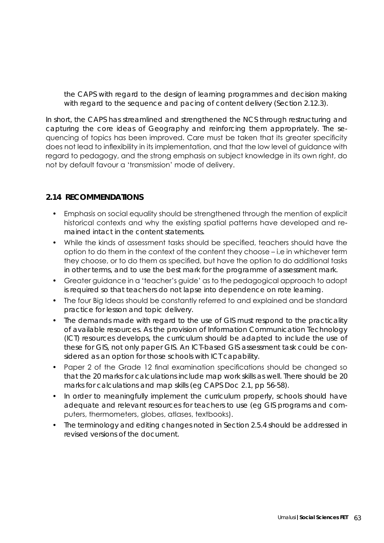the CAPS with regard to the design of learning programmes and decision making with regard to the sequence and pacing of content delivery (Section 2.12.3).

In short, the CAPS has streamlined and strengthened the NCS through restructuring and capturing the core ideas of Geography and reinforcing them appropriately. The sequencing of topics has been improved. Care must be taken that its greater specificity does not lead to inflexibility in its implementation, and that the low level of guidance with regard to pedagogy, and the strong emphasis on subject knowledge in its own right, do not by default favour a 'transmission' mode of delivery.

#### **2.14 RECOMMENDATIONS**

- Emphasis on social equality should be strengthened through the mention of explicit historical contexts and why the existing spatial patterns have developed and remained intact in the content statements.
- While the kinds of assessment tasks should be specified, teachers should have the option to do them in the context of the content they choose – i.e in whichever term they choose, or to do them as specified, but have the option to do additional tasks in other terms, and to use the best mark for the programme of assessment mark.
- Greater guidance in a 'teacher's guide' as to the pedagogical approach to adopt is required so that teachers do not lapse into dependence on rote learning.
- The four Big Ideas should be constantly referred to and explained and be standard practice for lesson and topic delivery.
- The demands made with regard to the use of GIS must respond to the practicality of available resources. As the provision of Information Communication Technology (ICT) resources develops, the curriculum should be adapted to include the use of these for GIS, not only paper GIS. An ICT-based GIS assessment task could be considered as an option for those schools with ICT capability.
- Paper 2 of the Grade 12 final examination specifications should be changed so that the 20 marks for calculations include map work skills as well. There should be 20 marks for calculations and map skills (eg CAPS Doc 2.1, pp 56-58).
- In order to meaningfully implement the curriculum properly, schools should have adequate and relevant resources for teachers to use (eg GIS programs and computers, thermometers, globes, atlases, textbooks).
- The terminology and editing changes noted in Section 2.5.4 should be addressed in revised versions of the document.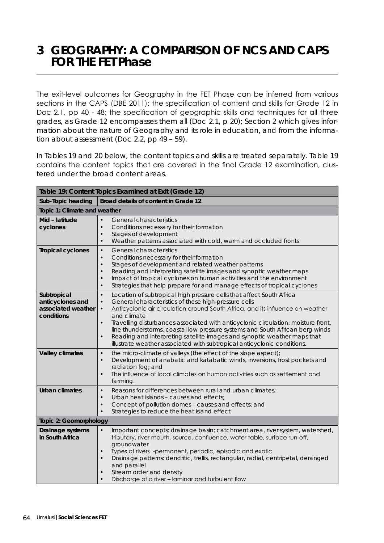# **3 GEOGRAPHY: A COMPARISON OF NCS AND CAPS FOR THE FET Phase**

The exit-level outcomes for Geography in the FET Phase can be inferred from various sections in the CAPS (DBE 2011): the specification of content and skills for Grade 12 in Doc 2.1, pp 40 - 48; the specification of geographic skills and techniques for all three grades, as Grade 12 encompasses them all (Doc 2.1, p 20); Section 2 which gives information about the nature of Geography and its role in education, and from the information about assessment (Doc 2.2, pp 49 – 59).

In Tables 19 and 20 below, the content topics and skills are treated separately. Table 19 contains the content topics that are covered in the final Grade 12 examination, clustered under the broad content areas.

| Table 19: Content Topics Examined at Exit (Grade 12)                |                                                                                                                                                                                                                                                                                                                                                                                                                                                                                                                                                                                                                             |  |
|---------------------------------------------------------------------|-----------------------------------------------------------------------------------------------------------------------------------------------------------------------------------------------------------------------------------------------------------------------------------------------------------------------------------------------------------------------------------------------------------------------------------------------------------------------------------------------------------------------------------------------------------------------------------------------------------------------------|--|
| Sub-Topic heading                                                   | Broad details of content in Grade 12                                                                                                                                                                                                                                                                                                                                                                                                                                                                                                                                                                                        |  |
| Topic 1: Climate and weather                                        |                                                                                                                                                                                                                                                                                                                                                                                                                                                                                                                                                                                                                             |  |
| Mid - latitude<br>cyclones                                          | $\bullet$<br><b>General characteristics</b><br>$\bullet$<br>Conditions necessary for their formation<br>Stages of development<br>$\bullet$<br>Weather patterns associated with cold, warm and occluded fronts<br>$\bullet$                                                                                                                                                                                                                                                                                                                                                                                                  |  |
| <b>Tropical cyclones</b>                                            | <b>General characteristics</b><br>$\bullet$<br>Conditions necessary for their formation<br>$\bullet$<br>Stages of development and related weather patterns<br>$\bullet$<br>Reading and interpreting satellite images and synoptic weather maps<br>$\bullet$<br>Impact of tropical cyclones on human activities and the environment<br>$\bullet$<br>Strategies that help prepare for and manage effects of tropical cyclones<br>$\bullet$                                                                                                                                                                                    |  |
| Subtropical<br>anticyclones and<br>associated weather<br>conditions | Location of subtropical high pressure cells that affect South Africa<br>$\bullet$<br>General characteristics of these high-pressure cells<br>$\bullet$<br>Anticyclonic air circulation around South Africa, and its influence on weather<br>$\bullet$<br>and climate<br>Travelling disturbances associated with anticyclonic circulation: moisture front,<br>$\bullet$<br>line thunderstorms, coastal low pressure systems and South African berg winds<br>Reading and interpreting satellite images and synoptic weather maps that<br>$\bullet$<br>illustrate weather associated with subtropical anticyclonic conditions. |  |
| <b>Valley climates</b>                                              | the micro-climate of valleys (the effect of the slope aspect);<br>$\bullet$<br>Development of anabatic and katabatic winds, inversions, frost pockets and<br>$\bullet$<br>radiation fog; and<br>The influence of local climates on human activities such as settlement and<br>$\bullet$<br>farming.                                                                                                                                                                                                                                                                                                                         |  |
| Urban climates                                                      | Reasons for differences between rural and urban climates;<br>$\bullet$<br>Urban heat islands - causes and effects:<br>$\bullet$<br>Concept of pollution domes - causes and effects; and<br>$\bullet$<br>Strategies to reduce the heat island effect<br>$\bullet$                                                                                                                                                                                                                                                                                                                                                            |  |
| Topic 2: Geomorphology                                              |                                                                                                                                                                                                                                                                                                                                                                                                                                                                                                                                                                                                                             |  |
| Drainage systems<br>in South Africa                                 | Important concepts: drainage basin; catchment area, river system, watershed,<br>$\bullet$<br>tributary, river mouth, source, confluence, water table, surface run-off,<br>groundwater<br>Types of rivers -permanent, periodic, episodic and exotic<br>$\bullet$<br>Drainage patterns: dendritic, trellis, rectangular, radial, centripetal, deranged<br>$\bullet$<br>and parallel<br>Stream order and density<br>Discharge of a river - laminar and turbulent flow<br>$\bullet$                                                                                                                                             |  |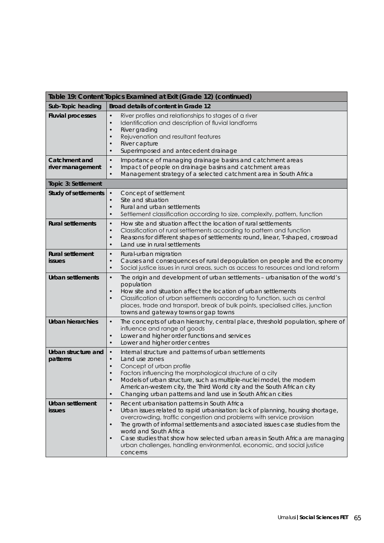| Table 19: Content Topics Examined at Exit (Grade 12) (continued) |                                                                                                                                                                                                                                                                                                                                                                                                                                                                                                                                               |  |
|------------------------------------------------------------------|-----------------------------------------------------------------------------------------------------------------------------------------------------------------------------------------------------------------------------------------------------------------------------------------------------------------------------------------------------------------------------------------------------------------------------------------------------------------------------------------------------------------------------------------------|--|
| Sub-Topic heading                                                | Broad details of content in Grade 12                                                                                                                                                                                                                                                                                                                                                                                                                                                                                                          |  |
| <b>Fluvial processes</b>                                         | River profiles and relationships to stages of a river<br>$\bullet$<br>Identification and description of fluvial landforms<br>$\bullet$<br>River grading<br>$\bullet$<br>Rejuvenation and resultant features<br>$\bullet$<br>River capture<br>$\bullet$<br>Superimposed and antecedent drainage<br>$\bullet$                                                                                                                                                                                                                                   |  |
| Catchment and<br>river management                                | $\bullet$<br>Importance of managing drainage basins and catchment areas<br>Impact of people on drainage basins and catchment areas<br>$\bullet$<br>Management strategy of a selected catchment area in South Africa<br>$\bullet$                                                                                                                                                                                                                                                                                                              |  |
| Topic 3: Settlement                                              |                                                                                                                                                                                                                                                                                                                                                                                                                                                                                                                                               |  |
| <b>Study of settlements</b>                                      | Concept of settlement<br>$\bullet$<br>Site and situation<br>$\bullet$<br>Rural and urban settlements<br>$\bullet$<br>Settlement classification according to size, complexity, pattern, function<br>$\bullet$                                                                                                                                                                                                                                                                                                                                  |  |
| <b>Rural settlements</b>                                         | How site and situation affect the location of rural settlements<br>$\bullet$<br>Classification of rural settlements according to pattern and function<br>$\bullet$<br>Reasons for different shapes of settlements: round, linear, T-shaped, crossroad<br>$\bullet$<br>Land use in rural settlements<br>$\bullet$                                                                                                                                                                                                                              |  |
| <b>Rural settlement</b><br><b>issues</b>                         | Rural-urban migration<br>$\bullet$<br>Causes and consequences of rural depopulation on people and the economy<br>$\bullet$<br>Social justice issues in rural areas, such as access to resources and land reform<br>$\bullet$                                                                                                                                                                                                                                                                                                                  |  |
| Urban settlements                                                | $\bullet$<br>The origin and development of urban settlements - urbanisation of the world's<br>population<br>How site and situation affect the location of urban settlements<br>$\bullet$<br>Classification of urban settlements according to function, such as central<br>$\bullet$<br>places, trade and transport, break of bulk points, specialised cities, junction<br>towns and gateway towns or gap towns                                                                                                                                |  |
| <b>Urban hierarchies</b>                                         | The concepts of urban hierarchy, central place, threshold population, sphere of<br>$\bullet$<br>influence and range of goods<br>Lower and higher order functions and services<br>$\bullet$<br>Lower and higher order centres<br>$\bullet$                                                                                                                                                                                                                                                                                                     |  |
| Urban structure and<br>patterns                                  | $\bullet$<br>Internal structure and patterns of urban settlements<br>Land use zones<br>$\bullet$<br>Concept of urban profile<br>$\bullet$<br>Factors influencing the morphological structure of a city<br>$\bullet$<br>Models of urban structure, such as multiple-nuclei model, the modern<br>$\bullet$<br>American-western city, the Third World city and the South African city<br>Changing urban patterns and land use in South African cities<br>$\bullet$                                                                               |  |
| <b>Urban settlement</b><br><i>issues</i>                         | Recent urbanisation patterns in South Africa<br>$\bullet$<br>Urban issues related to rapid urbanisation: lack of planning, housing shortage,<br>$\bullet$<br>overcrowding, traffic congestion and problems with service provision<br>The growth of informal settlements and associated issues case studies from the<br>$\bullet$<br>world and South Africa<br>Case studies that show how selected urban areas in South Africa are managing<br>$\bullet$<br>urban challenges, handling environmental, economic, and social justice<br>concerns |  |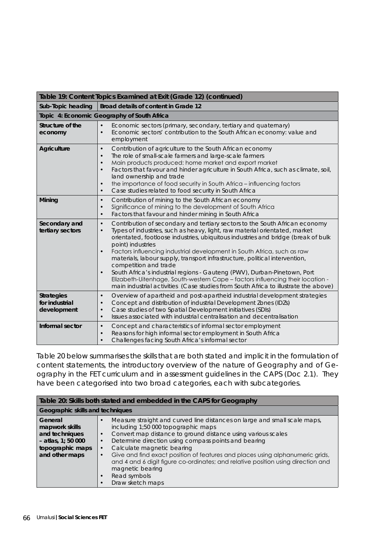| Table 19: Content Topics Examined at Exit (Grade 12) (continued) |                                                                                                                                                                                                                                                                                                                                                                                                                                                                                                                                                                                                                                                                                                                                                                 |  |
|------------------------------------------------------------------|-----------------------------------------------------------------------------------------------------------------------------------------------------------------------------------------------------------------------------------------------------------------------------------------------------------------------------------------------------------------------------------------------------------------------------------------------------------------------------------------------------------------------------------------------------------------------------------------------------------------------------------------------------------------------------------------------------------------------------------------------------------------|--|
| Sub-Topic heading                                                | Broad details of content in Grade 12                                                                                                                                                                                                                                                                                                                                                                                                                                                                                                                                                                                                                                                                                                                            |  |
|                                                                  | Topic 4: Economic Geography of South Africa                                                                                                                                                                                                                                                                                                                                                                                                                                                                                                                                                                                                                                                                                                                     |  |
| Structure of the<br>economy                                      | Economic sectors (primary, secondary, tertiary and quaternary)<br>$\bullet$<br>Economic sectors' contribution to the South African economy: value and<br>$\bullet$<br>employment                                                                                                                                                                                                                                                                                                                                                                                                                                                                                                                                                                                |  |
| <b>Agriculture</b>                                               | Contribution of agriculture to the South African economy<br>$\bullet$<br>The role of small-scale farmers and large-scale farmers<br>$\bullet$<br>Main products produced: home market and export market<br>$\bullet$<br>Factors that favour and hinder agriculture in South Africa, such as climate, soil,<br>$\bullet$<br>land ownership and trade<br>the importance of food security in South Africa - influencing factors<br>$\bullet$<br>Case studies related to food security in South Africa<br>$\bullet$                                                                                                                                                                                                                                                  |  |
| Mining                                                           | Contribution of mining to the South African economy<br>$\bullet$<br>Significance of mining to the development of South Africa<br>$\bullet$<br>Factors that favour and hinder mining in South Africa<br>$\bullet$                                                                                                                                                                                                                                                                                                                                                                                                                                                                                                                                                |  |
| Secondary and<br>tertiary sectors                                | Contribution of secondary and tertiary sectors to the South African economy<br>$\bullet$<br>Types of industries, such as heavy, light, raw material orientated, market<br>$\bullet$<br>orientated, footloose industries, ubiquitous industries and bridge (break of bulk<br>point) industries<br>Factors influencing industrial development in South Africa, such as raw<br>$\bullet$<br>materials, labour supply, transport infrastructure, political intervention,<br>competition and trade<br>South Africa's industrial regions - Gauteng (PWV), Durban-Pinetown, Port<br>$\bullet$<br>Elizabeth-Uitenhage, South-western Cape - factors influencing their location -<br>main industrial activities (Case studies from South Africa to illustrate the above) |  |
| <b>Strategies</b><br>for industrial<br>development               | Overview of apartheid and post-apartheid industrial development strategies<br>$\bullet$<br>Concept and distribution of industrial Development Zones (IDZs)<br>$\bullet$<br>Case studies of two Spatial Development initiatives (SDIs)<br>$\bullet$<br>Issues associated with industrial centralisation and decentralisation<br>$\bullet$                                                                                                                                                                                                                                                                                                                                                                                                                        |  |
| Informal sector                                                  | Concept and characteristics of informal sector employment<br>$\bullet$<br>Reasons for high informal sector employment in South Africa<br>$\bullet$<br>Challenges facing South Africa's informal sector<br>$\bullet$                                                                                                                                                                                                                                                                                                                                                                                                                                                                                                                                             |  |

Table 20 below summarises the skills that are both stated and implicit in the formulation of content statements, the introductory overview of the nature of Geography and of Geography in the FET curriculum and in assessment guidelines in the CAPS (Doc 2.1). They have been categorised into two broad categories, each with subcategories.

| Table 20: Skills both stated and embedded in the CAPS for Geography                                       |                                                                                                                                                                                                                                                                                                                                                                                                                                                                                                                                                                                                |  |
|-----------------------------------------------------------------------------------------------------------|------------------------------------------------------------------------------------------------------------------------------------------------------------------------------------------------------------------------------------------------------------------------------------------------------------------------------------------------------------------------------------------------------------------------------------------------------------------------------------------------------------------------------------------------------------------------------------------------|--|
| Geographic skills and techniques                                                                          |                                                                                                                                                                                                                                                                                                                                                                                                                                                                                                                                                                                                |  |
| General<br>mapwork skills<br>and techniques<br>$-$ atlas, 1; 50 000<br>topographic maps<br>and other maps | Measure straight and curved line distances on large and small scale maps,<br>$\bullet$<br>including 1:50 000 topographic maps<br>Convert map distance to ground distance using various scales<br>$\bullet$<br>Determine direction using compass points and bearing<br>$\bullet$<br>Calculate magnetic bearing<br>$\bullet$<br>Give and find exact position of features and places using alphanumeric grids,<br>$\bullet$<br>and 4 and 6 digit figure co-ordinates; and relative position using direction and<br>magnetic bearing<br>Read symbols<br>$\bullet$<br>Draw sketch maps<br>$\bullet$ |  |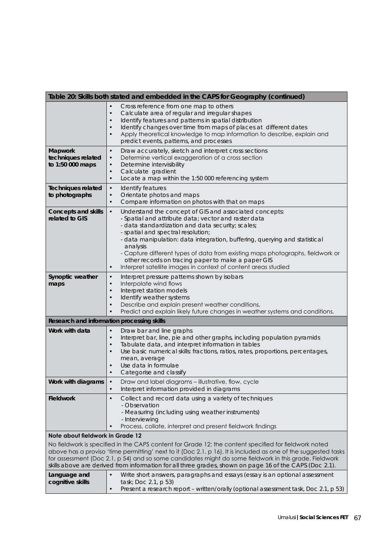|                                                                                                                                                                                                                                                                                                                                                                                                                                              | Table 20: Skills both stated and embedded in the CAPS for Geography (continued)                                                                                                                                                                                                                                                                                                                                                                                                                                                         |
|----------------------------------------------------------------------------------------------------------------------------------------------------------------------------------------------------------------------------------------------------------------------------------------------------------------------------------------------------------------------------------------------------------------------------------------------|-----------------------------------------------------------------------------------------------------------------------------------------------------------------------------------------------------------------------------------------------------------------------------------------------------------------------------------------------------------------------------------------------------------------------------------------------------------------------------------------------------------------------------------------|
|                                                                                                                                                                                                                                                                                                                                                                                                                                              | Cross reference from one map to others<br>Calculate area of regular and irregular shapes<br>$\bullet$<br>Identify features and patterns in spatial distribution<br>$\bullet$<br>Identify changes over time from maps of places at different dates<br>$\bullet$<br>Apply theoretical knowledge to map information to describe, explain and<br>$\bullet$<br>predict events, patterns, and processes                                                                                                                                       |
| Mapwork<br>techniques related<br>to 1:50 000 maps                                                                                                                                                                                                                                                                                                                                                                                            | Draw accurately, sketch and interpret cross sections<br>$\bullet$<br>Determine vertical exaggeration of a cross section<br>$\bullet$<br>Determine intervisibility<br>$\bullet$<br>Calculate gradient<br>$\bullet$<br>Locate a map within the 1:50 000 referencing system<br>$\bullet$                                                                                                                                                                                                                                                   |
| <b>Techniques related</b><br>to photographs                                                                                                                                                                                                                                                                                                                                                                                                  | $\bullet$<br>Identify features<br>Orientate photos and maps<br>$\bullet$<br>Compare information on photos with that on maps<br>$\bullet$                                                                                                                                                                                                                                                                                                                                                                                                |
| <b>Concepts and skills</b><br>related to GIS                                                                                                                                                                                                                                                                                                                                                                                                 | $\bullet$<br>Understand the concept of GIS and associated concepts:<br>- Spatial and attribute data; vector and raster data<br>- data standardization and data security; scales;<br>- spatial and spectral resolution;<br>- data manipulation: data integration, buffering, querying and statistical<br>analysis<br>- Capture different types of data from existing maps photographs, fieldwork or<br>other records on tracing paper to make a paper GIS<br>Interpret satellite images in context of content areas studied<br>$\bullet$ |
| Synoptic weather<br>maps                                                                                                                                                                                                                                                                                                                                                                                                                     | Interpret pressure patterns shown by isobars<br>$\bullet$<br>Interpolate wind flows<br>$\bullet$<br>Interpret station models<br>$\bullet$<br>Identify weather systems<br>$\bullet$<br>Describe and explain present weather conditions,<br>$\bullet$<br>Predict and explain likely future changes in weather systems and conditions.                                                                                                                                                                                                     |
|                                                                                                                                                                                                                                                                                                                                                                                                                                              | Research and information processing skills                                                                                                                                                                                                                                                                                                                                                                                                                                                                                              |
| Work with data                                                                                                                                                                                                                                                                                                                                                                                                                               | Draw bar and line graphs<br>$\bullet$<br>Interpret bar, line, pie and other graphs, including population pyramids<br>$\bullet$<br>Tabulate data, and interpret information in tables<br>$\bullet$<br>Use basic numerical skills: fractions, ratios, rates, proportions, percentages,<br>$\bullet$<br>mean, average<br>Use data in formulae<br>$\bullet$<br>Categorise and classify<br>$\bullet$                                                                                                                                         |
| Work with diagrams                                                                                                                                                                                                                                                                                                                                                                                                                           | $\bullet$<br>Draw and label diagrams – illustrative, flow, cycle<br>Interpret information provided in diagrams                                                                                                                                                                                                                                                                                                                                                                                                                          |
| <b>Fieldwork</b>                                                                                                                                                                                                                                                                                                                                                                                                                             | Collect and record data using a variety of techniques<br>$\bullet$<br>- Observation<br>- Measuring (including using weather instruments)<br>- Interviewing<br>Process, collate, interpret and present fieldwork findings<br>$\bullet$                                                                                                                                                                                                                                                                                                   |
| Note about fieldwork in Grade 12                                                                                                                                                                                                                                                                                                                                                                                                             |                                                                                                                                                                                                                                                                                                                                                                                                                                                                                                                                         |
| No fieldwork is specified in the CAPS content for Grade 12; the content specified for fieldwork noted<br>above has a proviso 'time permitting' next to it (Doc 2.1, p 16). It is included as one of the suggested tasks<br>for assessment (Doc 2.1, p 54) and so some candidates might do some fieldwork in this grade. Fieldwork<br>skills above are derived from information for all three grades, shown on page 16 of the CAPS (Doc 2.1). |                                                                                                                                                                                                                                                                                                                                                                                                                                                                                                                                         |
| Language and<br>cognitive skills                                                                                                                                                                                                                                                                                                                                                                                                             | Write short answers, paragraphs and essays (essay is an optional assessment<br>$\bullet$<br>task; Doc 2.1, p 53)<br>Present a research report - written/orally (optional assessment task, Doc 2.1, p 53)<br>$\bullet$                                                                                                                                                                                                                                                                                                                   |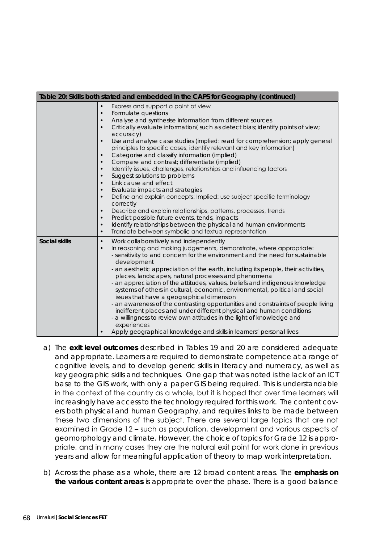| Table 20: Skills both stated and embedded in the CAPS for Geography (continued) |                                                                                                                                                                                                                                                                                                                                                                                                                                                                                                                                                                                                                                                                                                                                                                                                                                                                                                                                                                                                                                                                                                                                                                                                               |  |
|---------------------------------------------------------------------------------|---------------------------------------------------------------------------------------------------------------------------------------------------------------------------------------------------------------------------------------------------------------------------------------------------------------------------------------------------------------------------------------------------------------------------------------------------------------------------------------------------------------------------------------------------------------------------------------------------------------------------------------------------------------------------------------------------------------------------------------------------------------------------------------------------------------------------------------------------------------------------------------------------------------------------------------------------------------------------------------------------------------------------------------------------------------------------------------------------------------------------------------------------------------------------------------------------------------|--|
|                                                                                 | Express and support a point of view<br>$\bullet$<br>Formulate questions<br>$\bullet$<br>Analyse and synthesise information from different sources<br>$\bullet$<br>Critically evaluate information(such as detect bias; identify points of view;<br>$\bullet$<br>accuracy)<br>Use and analyse case studies (implied: read for comprehension; apply general<br>$\bullet$<br>principles to specific cases; identify relevant and key information)<br>Categorise and classify information (implied)<br>$\bullet$<br>Compare and contrast; differentiate (implied)<br>$\bullet$<br>Identify issues, challenges, relationships and influencing factors<br>$\bullet$<br>Suggest solutions to problems<br>$\bullet$<br>Link cause and effect<br>$\bullet$<br>Evaluate impacts and strategies<br>$\bullet$<br>Define and explain concepts: Implied: use subject specific terminology<br>$\bullet$<br>correctly<br>Describe and explain relationships, patterns, processes, trends<br>$\bullet$<br>Predict possible future events, tends, impacts<br>$\bullet$<br>Identify relationships between the physical and human environments<br>$\bullet$<br>Translate between symbolic and textual representation<br>$\bullet$ |  |
| <b>Social skills</b>                                                            | Work collaboratively and independently<br>$\bullet$<br>In reasoning and making judgements, demonstrate, where appropriate:<br>$\bullet$<br>- sensitivity to and concern for the environment and the need for sustainable<br>development<br>- an aesthetic appreciation of the earth, including its people, their activities,<br>places, landscapes, natural processes and phenomena<br>- an appreciation of the attitudes, values, beliefs and indigenous knowledge<br>systems of others in cultural, economic, environmental, political and social<br>issues that have a geographical dimension<br>- an awareness of the contrasting opportunities and constraints of people living<br>indifferent places and under different physical and human conditions<br>- a willingness to review own attitudes in the light of knowledge and<br>experiences<br>Apply geographical knowledge and skills in learners' personal lives                                                                                                                                                                                                                                                                                   |  |

- a) The **exit level outcomes** described in Tables 19 and 20 are considered adequate and appropriate. Learners are required to demonstrate competence at a range of cognitive levels, and to develop generic skills in literacy and numeracy, as well as key geographic skills and techniques. One gap that was noted is the lack of an ICT base to the GIS work, with only a paper GIS being required. This is understandable in the context of the country as a whole, but it is hoped that over time learners will increasingly have access to the technology required for this work. The content covers both physical and human Geography, and requires links to be made between these two dimensions of the subject. There are several large topics that are not examined in Grade 12 – such as population, development and various aspects of geomorphology and climate. However, the choice of topics for Grade 12 is appropriate, and in many cases they are the natural exit point for work done in previous years and allow for meaningful application of theory to map work interpretation.
- b) Across the phase as a whole, there are 12 broad content areas. The **emphasis on the various content areas** is appropriate over the phase. There is a good balance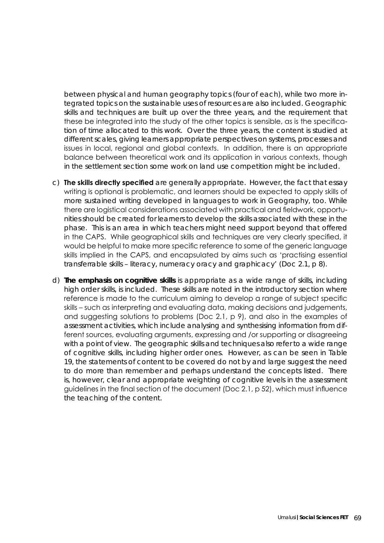between physical and human geography topics (four of each), while two more integrated topics on the sustainable uses of resources are also included. Geographic skills and techniques are built up over the three years, and the requirement that these be integrated into the study of the other topics is sensible, as is the specification of time allocated to this work. Over the three years, the content is studied at different scales, giving learners appropriate perspectives on systems, processes and issues in local, regional and global contexts. In addition, there is an appropriate balance between theoretical work and its application in various contexts, though in the settlement section some work on land use competition might be included.

- c) **The skills directly specified** are generally appropriate. However, the fact that essay writing is optional is problematic, and learners should be expected to apply skills of more sustained writing developed in languages to work in Geography, too. While there are logistical considerations associated with practical and fieldwork, opportunities should be created for learners to develop the skills associated with these in the phase. This is an area in which teachers might need support beyond that offered in the CAPS. While geographical skills and techniques are very clearly specified, it would be helpful to make more specific reference to some of the generic language skills implied in the CAPS, and encapsulated by aims such as 'practising essential transferrable skills – literacy, numeracy oracy and graphicacy' (Doc 2.1, p 8).
- d) **The emphasis on cognitive skills** is appropriate as a wide range of skills, including high order skills, is included. These skills are noted in the introductory section where reference is made to the curriculum aiming to develop a range of subject specific skills – such as interpreting and evaluating data, making decisions and judgements, and suggesting solutions to problems (Doc 2.1, p 9), and also in the examples of assessment activities, which include analysing and synthesising information from different sources, evaluating arguments, expressing and /or supporting or disagreeing with a point of view. The geographic skills and techniques also refer to a wide range of cognitive skills, including higher order ones. However, as can be seen in Table 19, the statements of content to be covered do not by and large suggest the need to do more than remember and perhaps understand the concepts listed. There is, however, clear and appropriate weighting of cognitive levels in the assessment guidelines in the final section of the document (Doc 2.1, p 52), which must influence the teaching of the content.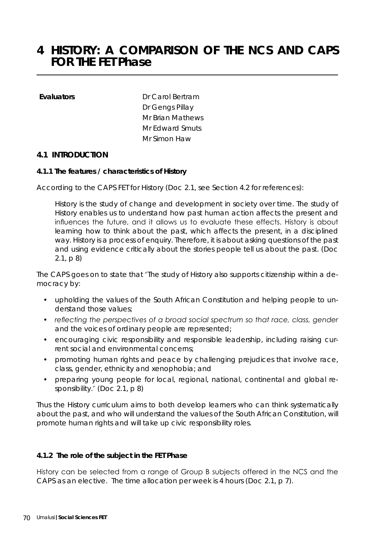# **4 HISTORY: A COMPARISON OF THE NCS AND CAPS FOR THE FET Phase**

**Evaluators** Dr Carol Bertram Dr Gengs Pillay Mr Brian Mathews Mr Edward Smuts Mr Simon Haw

#### **4.1 INTRODUCTION**

#### **4.1.1 The features / characteristics of History**

According to the CAPS FET for History (Doc 2.1, see Section 4.2 for references):

History is the study of change and development in society over time. The study of History enables us to understand how past human action affects the present and influences the future, and it allows us to evaluate these effects. History is about learning how to think about the past, which affects the present, in a disciplined way. History is a process of enquiry. Therefore, it is about asking questions of the past and using evidence critically about the stories people tell us about the past. (Doc 2.1, p 8)

The CAPS goes on to state that *'The study of History also supports citizenship within a democracy by:* 

- *• upholding the values of the South African Constitution and helping people to understand those values;*
- *• reflecting the perspectives of a broad social spectrum so that race, class, gender and the voices of ordinary people are represented;*
- *• encouraging civic responsibility and responsible leadership, including raising current social and environmental concerns;*
- *• promoting human rights and peace by challenging prejudices that involve race, class, gender, ethnicity and xenophobia; and*
- preparing young people for local, regional, national, continental and global re*sponsibility.*' (Doc 2.1, p 8)

Thus the History curriculum aims to both develop learners who can think systematically about the past, and who will understand the values of the South African Constitution, will promote human rights and will take up civic responsibility roles.

#### **4.1.2 The role of the subject in the FET Phase**

History can be selected from a range of Group B subjects offered in the NCS and the CAPS as an elective. The time allocation per week is 4 hours (Doc 2.1, p 7).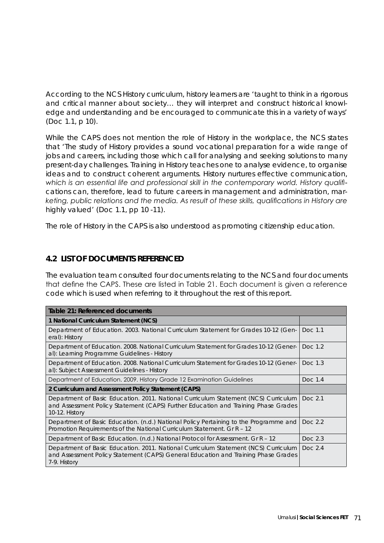According to the NCS History curriculum, history learners are *'taught to think in a rigorous and critical manner about society… they will interpret and construct historical knowledge and understanding and be encouraged to communicate this in a variety of ways'*  (Doc 1.1, p 10).

While the CAPS does not mention the role of History in the workplace, the NCS states that *'The study of History provides a sound vocational preparation for a wide range of jobs and careers, including those which call for analysing and seeking solutions to many present-day challenges. Training in History teaches one to analyse evidence, to organise ideas and to construct coherent arguments. History nurtures effective communication, which is an essential life and professional skill in the contemporary world. History qualifications can, therefore, lead to future careers in management and administration, marketing, public relations and the media. As result of these skills, qualifications in History are highly valued'* (Doc 1.1, pp 10 -11).

The role of History in the CAPS is also understood as promoting citizenship education.

# **4.2 LIST OF DOCUMENTS REFERENCED**

The evaluation team consulted four documents relating to the NCS and four documents that define the CAPS. These are listed in Table 21. Each document is given a reference code which is used when referring to it throughout the rest of this report.

| Table 21: Referenced documents                                                                                                                                                              |           |  |
|---------------------------------------------------------------------------------------------------------------------------------------------------------------------------------------------|-----------|--|
| 1 National Curriculum Statement (NCS)                                                                                                                                                       |           |  |
| Department of Education. 2003. National Curriculum Statement for Grades 10-12 (Gen-<br>eral): History                                                                                       | Doc 1.1   |  |
| Department of Education. 2008. National Curriculum Statement for Grades 10-12 (Gener-<br>al): Learning Programme Guidelines - History                                                       | Doc 1.2   |  |
| Department of Education. 2008. National Curriculum Statement for Grades 10-12 (Gener-<br>al): Subject Assessment Guidelines - History                                                       | Doc. 1.3  |  |
| Department of Education. 2009. History Grade 12 Examination Guidelines                                                                                                                      | Doc. 1.4  |  |
| 2 Curriculum and Assessment Policy Statement (CAPS)                                                                                                                                         |           |  |
| Department of Basic Education. 2011. National Curriculum Statement (NCS) Curriculum<br>and Assessment Policy Statement (CAPS) Further Education and Training Phase Grades<br>10-12. History | Doc 2.1   |  |
| Department of Basic Education. (n.d.) National Policy Pertaining to the Programme and<br>Promotion Requirements of the National Curriculum Statement. Gr R - 12                             | Doc 2.2   |  |
| Department of Basic Education. (n.d.) National Protocol for Assessment. Gr R - 12                                                                                                           | Doc $2.3$ |  |
| Department of Basic Education. 2011. National Curriculum Statement (NCS) Curriculum<br>and Assessment Policy Statement (CAPS) General Education and Training Phase Grades<br>7-9. History   | Doc 2.4   |  |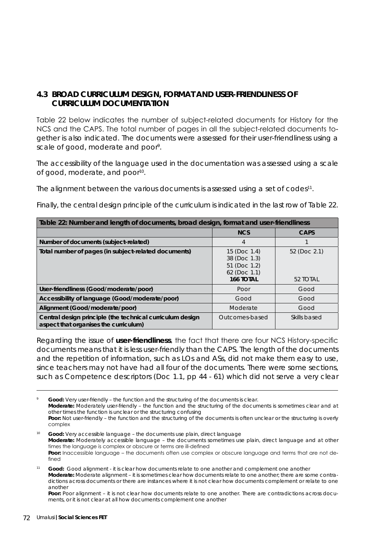## **4.3 BROAD CURRICULUM DESIGN, FORMAT AND USER-FRIENDLINESS OF CURRICULUM DOCUMENTATION**

Table 22 below indicates the number of subject-related documents for History for the NCS and the CAPS. The total number of pages in all the subject-related documents together is also indicated. The documents were assessed for their user-friendliness using a scale of good, moderate and poor<sup>9</sup>.

The accessibility of the language used in the documentation was assessed using a scale of good, moderate, and poor<sup>10</sup>.

The alignment between the various documents is assessed using a set of codes<sup>11</sup>.

Finally, the central design principle of the curriculum is indicated in the last row of Table 22.

| Table 22: Number and length of documents, broad design, format and user-friendliness               |                                                                                |                          |  |  |
|----------------------------------------------------------------------------------------------------|--------------------------------------------------------------------------------|--------------------------|--|--|
|                                                                                                    | <b>NCS</b>                                                                     | <b>CAPS</b>              |  |  |
| Number of documents (subject-related)                                                              | 4                                                                              |                          |  |  |
| Total number of pages (in subject-related documents)                                               | $15$ (Doc $1.4$ )<br>38 (Doc 1.3)<br>51 (Doc 1.2)<br>62 (Doc 1.1)<br>166 TOTAL | 52 (Doc 2.1)<br>52 TOTAL |  |  |
| User-friendliness (Good/moderate/poor)                                                             | Poor                                                                           | Good                     |  |  |
| Accessibility of language (Good/moderate/poor)                                                     | Good                                                                           | Good                     |  |  |
| Alignment (Good/moderate/poor)                                                                     | Moderate                                                                       | Good                     |  |  |
| Central design principle (the technical curriculum design<br>aspect that organises the curriculum) | Outcomes-based                                                                 | Skills based             |  |  |

Regarding the issue of **user-friendliness**, the fact that there are four NCS History-specific documents means that it is less user-friendly than the CAPS. The length of the documents and the repetition of information, such as LOs and ASs, did not make them easy to use, since teachers may not have had all four of the documents. There were some sections, such as Competence descriptors (Doc 1.1, pp 44 - 61) which did not serve a very clear

Good: Very user-friendly – the function and the structuring of the documents is clear. **Moderate:** Moderately user-friendly – the function and the structuring of the documents is sometimes clear and at other times the function is unclear or the structuring confusing Poor: Not user-friendly – the function and the structuring of the documents is often unclear or the structuring is overly complex

<sup>10</sup> **Good:** Very accessible language – the documents use plain, direct language **Moderate:** Moderately accessible language – the documents sometimes use plain, direct language and at other times the language is complex or obscure or terms are ill-defined **Poor:** Inaccessible language – the documents often use complex or obscure language and terms that are not defined

<sup>11</sup> **Good:** Good alignment - it is clear how documents relate to one another and complement one another **Moderate:** Moderate alignment – it is sometimes clear how documents relate to one another; there are some contradictions across documents or there are instances where it is not clear how documents complement or relate to one another

**Poor:** Poor alignment – it is not clear how documents relate to one another. There are contradictions across documents, or it is not clear at all how documents complement one another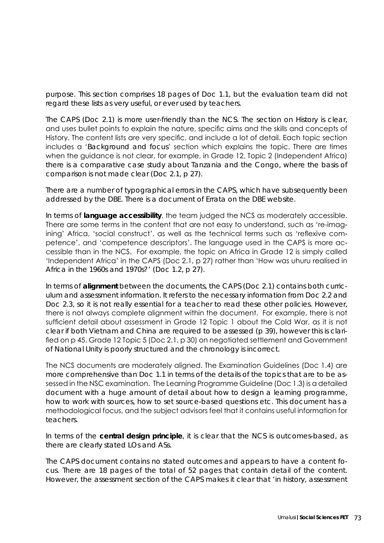purpose. This section comprises 18 pages of Doc 1.1, but the evaluation team did not regard these lists as very useful, or ever used by teachers.

The CAPS (Doc 2.1) is more user-friendly than the NCS. The section on History is clear, and uses bullet points to explain the nature, specific aims and the skills and concepts of History. The content lists are very specific, and include a lot of detail. Each topic section includes a '*Background and focus*' section which explains the topic. There are times when the guidance is not clear, for example, in Grade 12, Topic 2 (Independent Africa) there is a comparative case study about Tanzania and the Congo, where the basis of comparison is not made clear (Doc 2.1, p 27).

There are a number of typographical errors in the CAPS, which have subsequently been addressed by the DBE. There is a document of Errata on the DBE website.

In terms of **language accessibility**, the team judged the NCS as moderately accessible. There are some terms in the content that are not easy to understand, such as 're-imagining' Africa, 'social construct', as well as the technical terms such as 'reflexive competence', and 'competence descriptors'. The language used in the CAPS is more accessible than in the NCS. For example, the topic on Africa in Grade 12 is simply called 'Independent Africa' in the CAPS (Doc 2.1, p 27) rather than 'How was uhuru realised in Africa in the 1960s and 1970s?' (Doc 1.2, p 27).

In terms of **alignment** between the documents, the CAPS (Doc 2.1) contains both curriculum and assessment information. It refers to the necessary information from Doc 2.2 and Doc 2.3, so it is not really essential for a teacher to read these other policies. However, there is not always complete alignment within the document. For example, there is not sufficient detail about assessment in Grade 12 Topic 1 about the Cold War, as it is not clear if both Vietnam and China are required to be assessed (p 39), however this is clarified on p 45. Grade 12 Topic 5 (Doc 2.1, p 30) on negotiated settlement and Government of National Unity is poorly structured and the chronology is incorrect.

The NCS documents are moderately aligned. The Examination Guidelines (Doc 1.4) are more comprehensive than Doc 1.1 in terms of the details of the topics that are to be assessed in the NSC examination. The Learning Programme Guideline (Doc 1.3) is a detailed document with a huge amount of detail about how to design a learning programme, how to work with sources, how to set source-based questions etc. This document has a methodological focus, and the subject advisors feel that it contains useful information for teachers.

In terms of the **central design principle**, it is clear that the NCS is outcomes-based, as there are clearly stated LOs and ASs.

The CAPS document contains no stated outcomes and appears to have a content focus. There are 18 pages of the total of 52 pages that contain detail of the content. However, the assessment section of the CAPS makes it clear that *'in history, assessment*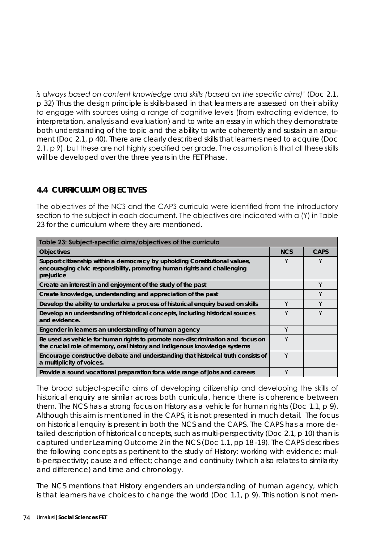*is always based on content knowledge and skills (based on the specific aims)'* (Doc 2.1, p 32) Thus the design principle is skills-based in that learners are assessed on their ability to engage with sources using a range of cognitive levels (from extracting evidence, to interpretation, analysis and evaluation) and to write an essay in which they demonstrate both understanding of the topic and the ability to write coherently and sustain an argument (Doc 2.1, p 40). There are clearly described skills that learners need to acquire (Doc 2.1, p 9), but these are not highly specified per grade. The assumption is that all these skills will be developed over the three years in the FET Phase.

## **4.4 CURRICULUM OBJECTIVES**

The objectives of the NCS and the CAPS curricula were identified from the introductory section to the subject in each document. The objectives are indicated with a (Y) in Table 23 for the curriculum where they are mentioned.

| Table 23: Subject-specific aims/objectives of the curricula                                                                                                         |            |             |  |  |
|---------------------------------------------------------------------------------------------------------------------------------------------------------------------|------------|-------------|--|--|
| <b>Objectives</b>                                                                                                                                                   | <b>NCS</b> | <b>CAPS</b> |  |  |
| Support citizenship within a democracy by upholding Constitutional values,<br>encouraging civic responsibility, promoting human rights and challenging<br>prejudice | Υ          | Υ           |  |  |
| Create an interest in and enjoyment of the study of the past                                                                                                        |            | Υ           |  |  |
| Create knowledge, understanding and appreciation of the past                                                                                                        |            | Y           |  |  |
| Develop the ability to undertake a process of historical enquiry based on skills                                                                                    | Υ          | Y           |  |  |
| Develop an understanding of historical concepts, including historical sources<br>and evidence.                                                                      | Y          | Y           |  |  |
| Engender in learners an understanding of human agency                                                                                                               | Υ          |             |  |  |
| Be used as vehicle for human rights to promote non-discrimination and focus on<br>the crucial role of memory, oral history and indigenous knowledge systems         | Y          |             |  |  |
| Encourage constructive debate and understanding that historical truth consists of<br>a multiplicity of voices.                                                      | Υ          |             |  |  |
| Provide a sound vocational preparation for a wide range of jobs and careers                                                                                         | Y          |             |  |  |

The broad subject-specific aims of developing citizenship and developing the skills of historical enquiry are similar across both curricula, hence there is coherence between them. The NCS has a strong focus on History as a vehicle for human rights (Doc 1.1, p 9). Although this aim is mentioned in the CAPS, it is not presented in much detail. The focus on historical enquiry is present in both the NCS and the CAPS. The CAPS has a more detailed description of historical concepts, such as multi-perspectivity (Doc 2.1, p 10) than is captured under Learning Outcome 2 in the NCS (Doc 1.1, pp 18 -19). The CAPS describes the following concepts as pertinent to the study of History: working with evidence; multi-perspectivity; cause and effect; change and continuity (which also relates to similarity and difference) and time and chronology.

The NCS mentions that History engenders an understanding of human agency, which is that learners have choices to change the world (Doc 1.1, p 9). This notion is not men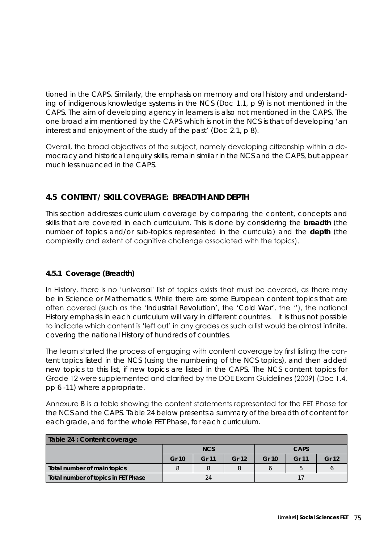tioned in the CAPS. Similarly, the emphasis on memory and oral history and understanding of indigenous knowledge systems in the NCS (Doc 1.1, p 9) is not mentioned in the CAPS. The aim of developing agency in learners is also not mentioned in the CAPS. The one broad aim mentioned by the CAPS which is not in the NCS is that of developing *'an interest and enjoyment of the study of the past'* (Doc 2.1, p 8).

Overall, the broad objectives of the subject, namely developing citizenship within a democracy and historical enquiry skills, remain similar in the NCS and the CAPS, but appear much less nuanced in the CAPS.

# **4.5 CONTENT / SKILL COVERAGE: BREADTH AND DEPTH**

This section addresses curriculum coverage by comparing the content, concepts and skills that are covered in each curriculum. This is done by considering the **breadth** (the number of topics and/or sub-topics represented in the curricula) and the **depth** (the complexity and extent of cognitive challenge associated with the topics).

## **4.5.1 Coverage (Breadth)**

In History, there is no 'universal' list of topics exists that must be covered, as there may be in Science or Mathematics. While there are some European content topics that are often covered (such as the '*Industrial Revolution'*, the '*Cold War'*, the ''), the national History emphasis in each curriculum will vary in different countries. It is thus not possible to indicate which content is 'left out' in any grades as such a list would be almost infinite, covering the national History of hundreds of countries.

The team started the process of engaging with content coverage by first listing the content topics listed in the NCS (using the numbering of the NCS topics), and then added new topics to this list, if new topics are listed in the CAPS. The NCS content topics for Grade 12 were supplemented and clarified by the DOE Exam Guidelines (2009) (Doc 1.4, pp 6 -11) where appropriate.

Annexure B is a table showing the content statements represented for the FET Phase for the NCS and the CAPS. Table 24 below presents a summary of the breadth of content for each grade, and for the whole FET Phase, for each curriculum.

| Table 24 : Content coverage         |       |              |                  |       |              |       |
|-------------------------------------|-------|--------------|------------------|-------|--------------|-------|
|                                     |       | <b>NCS</b>   |                  |       | <b>CAPS</b>  |       |
|                                     | Gr 10 | <b>Gr 11</b> | Gr <sub>12</sub> | Gr 10 | <b>Gr 11</b> | Gr 12 |
| Total number of main topics         |       | 8            |                  |       |              |       |
| Total number of topics in FET Phase |       | 24           |                  |       |              |       |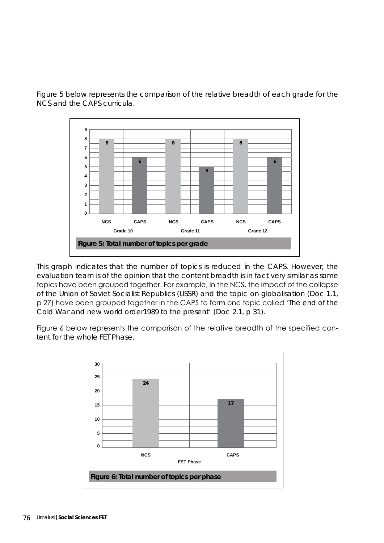Figure 5 below represents the comparison of the relative breadth of each grade for the NCS and the CAPS curricula.



This graph indicates that the number of topics is reduced in the CAPS. However, the evaluation team is of the opinion that the content breadth is in fact very similar as some topics have been grouped together. For example, in the NCS, the impact of the collapse of the Union of Soviet Socialist Republics (USSR) and the topic on globalisation (Doc 1.1, p 27) have been grouped together in the CAPS to form one topic called '*The end of the Cold War and new world order1989 to the present*' (Doc 2.1, p 31).

Figure 6 below represents the comparison of the relative breadth of the specified content for the whole FET Phase.

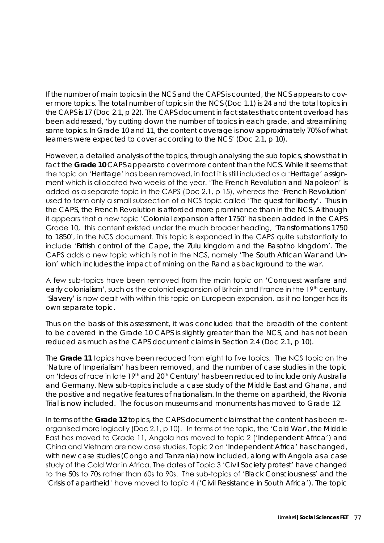If the number of main topics in the NCS and the CAPS is counted, the NCS appears to cover more topics. The total number of topics in the NCS (Doc 1.1) is 24 and the total topics in the CAPS is 17 (Doc 2.1, p 22). The CAPS document in fact states that content overload has been addressed, *'by cutting down the number of topics in each grade, and streamlining some topics. In Grade 10 and 11, the content coverage is now approximately 70% of what learners were expected to cover according to the NCS'* (Doc 2.1, p 10).

However, a detailed analysis of the topics, through analysing the sub topics, shows that in fact the **Grade 10** CAPS appears to cover more content than the NCS. While it seems that the topic on '*Heritage*' has been removed, in fact it is still included as a '*Heritage*' assignment which is allocated two weeks of the year. '*The French Revolution and Napoleon*' is added as a separate topic in the CAPS (Doc 2.1, p 15), whereas the '*French Revolution*' used to form only a small subsection of a NCS topic called '*The quest for liberty*'. Thus in the CAPS, the French Revolution is afforded more prominence than in the NCS. Although it appears that a new topic '*Colonial expansion after 1750*' has been added in the CAPS Grade 10, this content existed under the much broader heading, '*Transformations 1750 to 1850*', in the NCS document. This topic is expanded in the CAPS quite substantially to include '*British control of the Cape, the Zulu kingdom and the Basotho kingdom*'. The CAPS adds a new topic which is not in the NCS, namely '*The South African War and Union*' which includes the impact of mining on the Rand as background to the war.

A few sub-topics have been removed from the main topic on '*Conquest warfare and*  early colonialism', such as the colonial expansion of Britain and France in the 19<sup>th</sup> century. '*Slavery*' is now dealt with within this topic on European expansion, as it no longer has its own separate topic.

Thus on the basis of this assessment, it was concluded that the breadth of the content to be covered in the Grade 10 CAPS is slightly greater than the NCS, and has not been reduced as much as the CAPS document claims in Section 2.4 (Doc 2.1, p 10).

The **Grade 11** topics have been reduced from eight to five topics. The NCS topic on the '*Nature of Imperialism*' has been removed, and the number of case studies in the topic on 'Ideas of race in late 19<sup>th</sup> and 20<sup>th</sup> Century' has been reduced to include only Australia and Germany. New sub-topics include a case study of the Middle East and Ghana, and the positive and negative features of nationalism. In the theme on apartheid, the Rivonia Trial is now included. The focus on museums and monuments has moved to Grade 12.

In terms of the **Grade 12** topics, the CAPS document claims that the content has been reorganised more logically (Doc 2.1, p 10). In terms of the topic, the '*Cold War*', the Middle East has moved to Grade 11, Angola has moved to topic 2 ('*Independent Africa*') and China and Vietnam are now case studies. Topic 2 on '*Independent Africa*' has changed, with new case studies (Congo and Tanzania) now included, along with Angola as a case study of the Cold War in Africa. The dates of Topic 3 '*Civil Society protest*' have changed to the 50s to 70s rather than 60s to 90s. The sub-topics of '*Black Consciousness*' and the '*Crisis of apartheid*' have moved to topic 4 ('*Civil Resistance in South Africa*'). The topic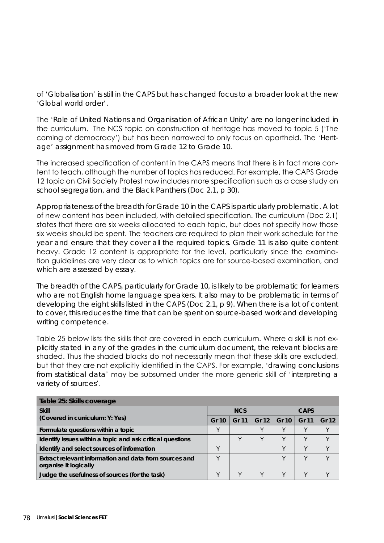of '*Globalisation*' is still in the CAPS but has changed focus to a broader look at the new '*Global world order*'.

The '*Role of United Nations and Organisation of African Unity*' are no longer included in the curriculum. The NCS topic on construction of heritage has moved to topic 5 ('The coming of democracy') but has been narrowed to only focus on apartheid. The '*Heritage*' assignment has moved from Grade 12 to Grade 10.

The increased specification of content in the CAPS means that there is in fact more content to teach, although the number of topics has reduced. For example, the CAPS Grade 12 topic on Civil Society Protest now includes more specification such as a case study on school segregation, and the Black Panthers (Doc 2.1, p 30).

Appropriateness of the breadth for Grade 10 in the CAPS is particularly problematic. A lot of new content has been included, with detailed specification. The curriculum (Doc 2.1) states that there are six weeks allocated to each topic, but does not specify how those six weeks should be spent. The teachers are required to plan their work schedule for the year and ensure that they cover all the required topics. Grade 11 is also quite content heavy. Grade 12 content is appropriate for the level, particularly since the examination guidelines are very clear as to which topics are for source-based examination, and which are assessed by essay.

The breadth of the CAPS, particularly for Grade 10, is likely to be problematic for learners who are not English home language speakers. It also may to be problematic in terms of developing the eight skills listed in the CAPS (Doc 2.1, p 9). When there is a lot of content to cover, this reduces the time that can be spent on source-based work and developing writing competence.

Table 25 below lists the skills that are covered in each curriculum. Where a skill is not explicitly stated in any of the grades in the curriculum document, the relevant blocks are shaded. Thus the shaded blocks do not necessarily mean that these skills are excluded, but that they are not explicitly identified in the CAPS. For example, '*drawing conclusions from statistical data*' may be subsumed under the more generic skill of '*interpreting a variety of sources*'.

| Table 25: Skills coverage                                 |       |            |       |       |             |                  |  |
|-----------------------------------------------------------|-------|------------|-------|-------|-------------|------------------|--|
| <b>Skill</b>                                              |       | <b>NCS</b> |       |       | <b>CAPS</b> |                  |  |
| (Covered in curriculum: Y: Yes)                           | Gr 10 | Gr 11      | Gr 12 | Gr 10 | Gr 11       | Gr <sub>12</sub> |  |
| Formulate questions within a topic                        |       |            |       |       |             |                  |  |
| Identify issues within a topic and ask critical questions |       |            |       | v     |             |                  |  |
| Identify and select sources of information                |       |            |       | ν     | v           | $\vee$           |  |
| Extract relevant information and data from sources and    |       |            |       | v     |             |                  |  |
| organise it logically                                     |       |            |       |       |             |                  |  |
| Judge the usefulness of sources (for the task)            |       | v          |       | v     |             |                  |  |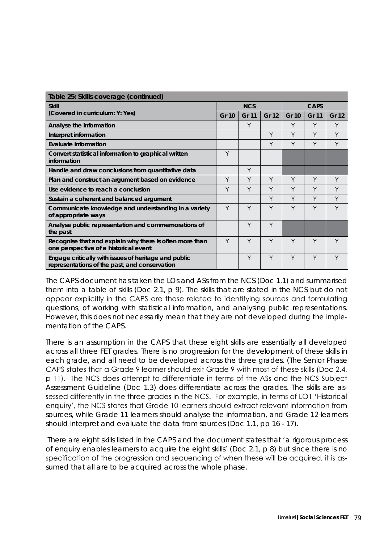| Table 25: Skills coverage (continued)                                                                 |       |              |       |              |              |              |
|-------------------------------------------------------------------------------------------------------|-------|--------------|-------|--------------|--------------|--------------|
| <b>Skill</b>                                                                                          |       | <b>NCS</b>   |       | <b>CAPS</b>  |              |              |
| (Covered in curriculum: Y: Yes)                                                                       | Gr 10 | <b>Gr 11</b> | Gr 12 | <b>Gr 10</b> | <b>Gr 11</b> | <b>Gr 12</b> |
| Analyse the information                                                                               |       | Y            |       | Υ            | Y            | Y            |
| Interpret information                                                                                 |       |              | Y     | Υ            | Y            | Y            |
| <b>Evaluate information</b>                                                                           |       |              | Y     | Υ            | Y            | Y            |
| Convert statistical information to graphical written<br>information                                   | Y     |              |       |              |              |              |
| Handle and draw conclusions from quantitative data                                                    |       | Y            |       |              |              |              |
| Plan and construct an argument based on evidence                                                      | Y     | Y            | Y     | Y            | Y            | Y            |
| Use evidence to reach a conclusion                                                                    |       | Υ            | Y     | Υ            | Y            | Y            |
| Sustain a coherent and balanced argument                                                              |       |              | Y     | Υ            | Y            | Y            |
| Communicate knowledge and understanding in a variety<br>of appropriate ways                           | Y     | Y            | Y     | Y            | Υ            | Y            |
| Analyse public representation and commemorations of<br>the past                                       |       | Y            | Y     |              |              |              |
| Recognise that and explain why there is often more than<br>one perspective of a historical event      | Y     | Y            | Y     | Υ            | Υ            | Υ            |
| Engage critically with issues of heritage and public<br>representations of the past, and conservation |       | Y            | Y     | Υ            | Y            | Υ            |

The CAPS document has taken the LOs and ASs from the NCS (Doc 1.1) and summarised them into a table of skills (Doc 2.1, p 9). The skills that are stated in the NCS but do not appear explicitly in the CAPS are those related to identifying sources and formulating questions, of working with statistical information, and analysing public representations. However, this does not necessarily mean that they are not developed during the implementation of the CAPS.

There is an assumption in the CAPS that these eight skills are essentially all developed across all three FET grades. There is no progression for the development of these skills in each grade, and all need to be developed across the three grades. (The Senior Phase CAPS states that a Grade 9 learner should exit Grade 9 with most of these skills (Doc 2.4, p 11). The NCS does attempt to differentiate in terms of the ASs and the NCS Subject Assessment Guideline (Doc 1.3) does differentiate across the grades. The skills are assessed differently in the three grades in the NCS. For example, in terms of LO1 '*Historical enquiry*', the NCS states that Grade 10 learners should extract relevant information from sources, while Grade 11 learners should analyse the information, and Grade 12 learners should *interpret* and *evaluate* the data from sources (Doc 1.1, pp 16 - 17).

 There are eight skills listed in the CAPS and the document states that *'a rigorous process of enquiry enables learners to acquire the eight skills'* (Doc 2.1, p 8) but since there is no specification of the progression and sequencing of when these will be acquired, it is assumed that all are to be acquired across the whole phase.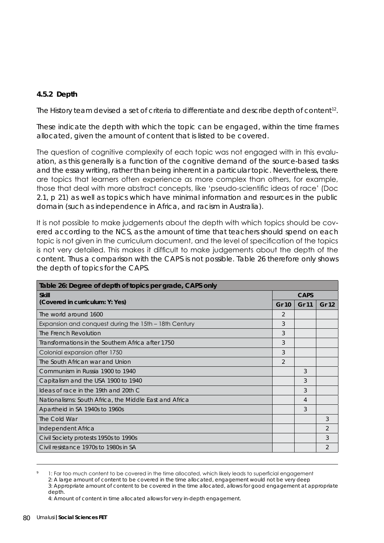## **4.5.2 Depth**

The History team devised a set of criteria to differentiate and describe depth of content<sup>12</sup>.

These indicate the depth with which the topic can be engaged, within the time frames allocated, given the amount of content that is listed to be covered.

The question of cognitive complexity of each topic was not engaged with in this evaluation, as this generally is a function of the cognitive demand of the source-based tasks and the essay writing, rather than being inherent in a particular topic. Nevertheless, there are topics that learners often experience as more complex than others, for example, those that deal with more abstract concepts, like 'pseudo-scientific ideas of race' (Doc 2.1, p 21) as well as topics which have minimal information and resources in the public domain (such as independence in Africa, and racism in Australia).

It is not possible to make judgements about the depth with which topics should be covered according to the NCS, as the amount of time that teachers should spend on each topic is not given in the curriculum document, and the level of specification of the topics is not very detailed. This makes it difficult to make judgements about the depth of the content. Thus a comparison with the CAPS is not possible. Table 26 therefore only shows the depth of topics for the CAPS.

| Table 26: Degree of depth of topics per grade, CAPS only |                |                |       |  |  |
|----------------------------------------------------------|----------------|----------------|-------|--|--|
| <b>Skill</b>                                             |                | <b>CAPS</b>    |       |  |  |
| (Covered in curriculum: Y: Yes)                          | Gr 10          | Gr 11          | Gr 12 |  |  |
| The world around 1600                                    | 2              |                |       |  |  |
| Expansion and conquest during the 15th – 18th Century    | 3              |                |       |  |  |
| The French Revolution                                    | 3              |                |       |  |  |
| Transformations in the Southern Africa after 1750        | 3              |                |       |  |  |
| Colonial expansion after 1750                            | 3              |                |       |  |  |
| The South African war and Union                          | $\overline{2}$ |                |       |  |  |
| Communism in Russia 1900 to 1940                         |                | 3              |       |  |  |
| Capitalism and the USA 1900 to 1940                      |                | 3              |       |  |  |
| Ideas of race in the 19th and 20th C                     |                | 3              |       |  |  |
| Nationalisms: South Africa, the Middle East and Africa   |                | $\overline{4}$ |       |  |  |
| Apartheid in SA 1940s to 1960s                           |                | 3              |       |  |  |
| The Cold War                                             |                |                | 3     |  |  |
| Independent Africa                                       |                |                | 2     |  |  |
| Civil Society protests 1950s to 1990s                    |                |                | 3     |  |  |
| Civil resistance 1970s to 1980s in SA                    |                |                | 2     |  |  |

<sup>1:</sup> Far too much content to be covered in the time allocated, which likely leads to superficial engagement

<sup>2:</sup> A large amount of content to be covered in the time allocated, engagement would not be very deep

<sup>3:</sup> Appropriate amount of content to be covered in the time allocated, allows for good engagement at appropriate depth.

<sup>4:</sup> Amount of content in time allocated allows for very in-depth engagement.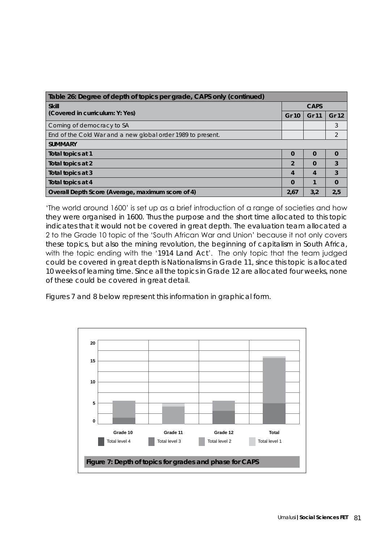| Table 26: Degree of depth of topics per grade, CAPS only (continued) |                |                  |              |  |  |
|----------------------------------------------------------------------|----------------|------------------|--------------|--|--|
| <b>Skill</b>                                                         |                | <b>CAPS</b>      |              |  |  |
| (Covered in curriculum: Y: Yes)                                      | <b>Gr 10</b>   | Gr 11            | <b>Gr 12</b> |  |  |
| Coming of democracy to SA                                            |                |                  | 3            |  |  |
| End of the Cold War and a new global order 1989 to present.          |                |                  |              |  |  |
| <b>SUMMARY</b>                                                       |                |                  |              |  |  |
| Total topics at 1                                                    | $\Omega$       | $\Omega$         | 0            |  |  |
| Total topics at 2                                                    | $\overline{2}$ | $\Omega$         | 3            |  |  |
| Total topics at 3                                                    | 4              | $\boldsymbol{A}$ | 3            |  |  |
| Total topics at 4                                                    | $\Omega$       |                  | $\Omega$     |  |  |
| Overall Depth Score (Average, maximum score of 4)                    | 2.67           | 3,2              | 2.5          |  |  |

'The world around 1600' is set up as a brief introduction of a range of societies and how they were organised in 1600. Thus the purpose and the short time allocated to this topic indicates that it would not be covered in great depth. The evaluation team allocated a 2 to the Grade 10 topic of the 'South African War and Union' because it not only covers these topics, but also the mining revolution, the beginning of capitalism in South Africa, with the topic ending with the '*1914 Land Act*'. The only topic that the team judged could be covered in great depth is Nationalisms in Grade 11, since this topic is allocated 10 weeks of learning time. Since all the topics in Grade 12 are allocated four weeks, none of these could be covered in great detail.

Figures 7 and 8 below represent this information in graphical form.

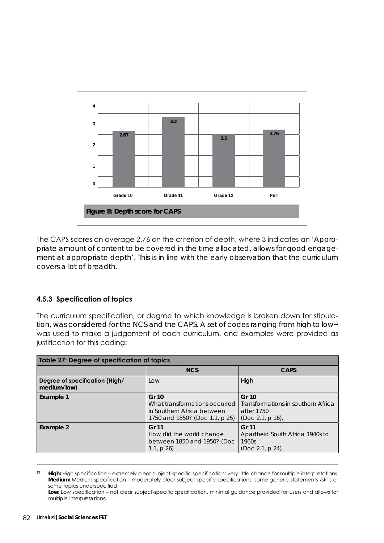

The CAPS scores on average 2.76 on the criterion of depth, where 3 indicates an '*Appropriate amount of content to be covered in the time allocated, allows for good engagement at appropriate depth*'. This is in line with the early observation that the curriculum covers a lot of breadth.

### **4.5.3 Specification of topics**

The curriculum specification, or degree to which knowledge is broken down for stipulation, was considered for the NCS and the CAPS. A set of codes ranging from high to low<sup>13</sup> was used to make a judgement of each curriculum, and examples were provided as justification for this coding:

| <b>Table 27: Degree of specification of topics</b> |                                                                                                        |                                                                               |  |  |  |  |
|----------------------------------------------------|--------------------------------------------------------------------------------------------------------|-------------------------------------------------------------------------------|--|--|--|--|
|                                                    | <b>NCS</b>                                                                                             | <b>CAPS</b>                                                                   |  |  |  |  |
| Degree of specification (High/<br>medium/low)      | Low                                                                                                    | High                                                                          |  |  |  |  |
| Example 1                                          | Gr 10<br>What transformations occurred<br>in Southern Africa between<br>1750 and 1850? (Doc 1.1, p 25) | Gr 10<br>Transformations in southern Africa<br>after 1750<br>(Doc 2.1, p 16). |  |  |  |  |
| Example 2                                          | Gr 11<br>How did the world change<br>between 1850 and 1950? (Doc<br>1.1, $p 26$                        | Gr 11<br>Apartheid South Africa 1940s to<br>1960s<br>(Doc 2.1, p 24).         |  |  |  |  |

<sup>13</sup> **High:** High specification – extremely clear subject-specific specification: very little chance for multiple interpretations **Medium:** Medium specification – moderately clear subject-specific specifications, some generic statements /skills or some topics underspecified

**Low:** Low specification – not clear subject-specific specification, minimal guidance provided for users and allows for multiple interpretations.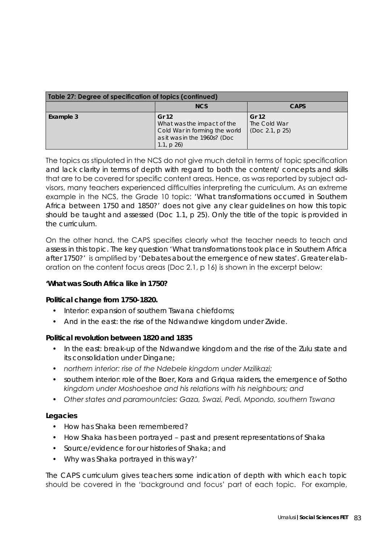| Table 27: Degree of specification of topics (continued) |                                                                                                                   |                                          |  |  |  |  |
|---------------------------------------------------------|-------------------------------------------------------------------------------------------------------------------|------------------------------------------|--|--|--|--|
|                                                         | <b>NCS</b>                                                                                                        | <b>CAPS</b>                              |  |  |  |  |
| Example 3                                               | Gr 12<br>What was the impact of the<br>Cold War in forming the world<br>as it was in the 1960s? (Doc<br>1.1, p 26 | Gr 12<br>The Cold War<br>(Doc 2.1, p 25) |  |  |  |  |

The topics as stipulated in the NCS do not give much detail in terms of topic specification and lack clarity in terms of depth with regard to both the content/ concepts and skills that are to be covered for specific content areas. Hence, as was reported by subject advisors, many teachers experienced difficulties interpreting the curriculum. As an extreme example in the NCS, the Grade 10 topic: *'What transformations occurred in Southern Africa between 1750 and 1850?'* does not give any clear guidelines on how this topic should be taught and assessed (Doc 1.1, p 25). Only the title of the topic is provided in the curriculum.

On the other hand, the CAPS specifies clearly what the teacher needs to teach and assess in this topic. The key question *'What transformations took place in Southern Africa after 1750?'* is amplified by *'Debates about the emergence of new states'*. Greater elaboration on the content focus areas (Doc 2.1, p 16) is shown in the excerpt below:

### **'What was South Africa like in 1750?**

### *Political change from 1750-1820.*

- *hiterior: expansion of southern Tswana chiefdoms;*
- *• And in the east: the rise of the Ndwandwe kingdom under Zwide.*

### *Political revolution between 1820 and 1835*

- In the east: break-up of the Ndwandwe kingdom and the rise of the Zulu state and *its consolidation under Dingane;*
- *• northern interior: rise of the Ndebele kingdom under Mzilikazi;*
- *• southern interior: role of the Boer, Kora and Griqua raiders, the emergence of Sotho kingdom under Moshoeshoe and his relations with his neighbours; and*
- *• Other states and paramountcies: Gaza, Swazi, Pedi, Mpondo, southern Tswana*

### *Legacies*

- *• How has Shaka been remembered?*
- *• How Shaka has been portrayed past and present representations of Shaka*
- Source/evidence for our histories of Shaka; and
- *• Why was Shaka portrayed in this way?'*

The CAPS curriculum gives teachers some indication of depth with which each topic should be covered in the 'background and focus' part of each topic. For example,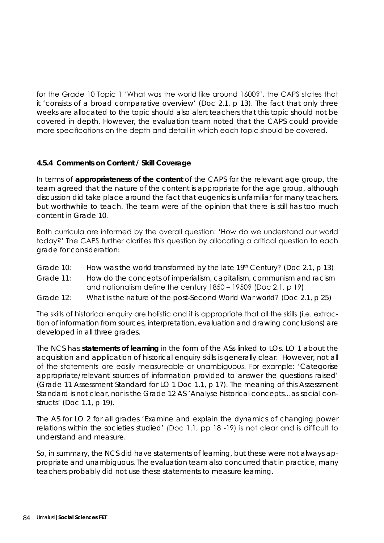for the Grade 10 Topic 1 'What was the world like around 1600?', the CAPS states that it *'consists of a broad comparative overview'* (Doc 2.1, p 13). The fact that only three weeks are allocated to the topic should also alert teachers that this topic should not be covered in depth. However, the evaluation team noted that the CAPS could provide more specifications on the depth and detail in which each topic should be covered.

## **4.5.4 Comments on Content / Skill Coverage**

In terms of **appropriateness of the content** of the CAPS for the relevant age group, the team agreed that the nature of the content is appropriate for the age group, although discussion did take place around the fact that eugenics is unfamiliar for many teachers, but worthwhile to teach. The team were of the opinion that there is still has too much content in Grade 10.

Both curricula are informed by the overall question: 'How do we understand our world today?' The CAPS further clarifies this question by allocating a critical question to each grade for consideration:

- Grade 10: How was the world transformed by the late 19<sup>th</sup> Century? (Doc 2.1, p 13)
- Grade 11: How do the concepts of imperialism, capitalism, communism and racism and nationalism define the century 1850 – 1950? (Doc 2.1, p 19)
- Grade 12: What is the nature of the post-Second World War world? (Doc 2.1, p 25)

The skills of historical enquiry are holistic and it is appropriate that all the skills (i.e. extraction of information from sources, interpretation, evaluation and drawing conclusions) are developed in all three grades.

The *NCS* has **statements of learning** in the form of the ASs linked to LOs. LO 1 about the acquisition and application of historical enquiry skills is generally clear. However, not all of the statements are easily measureable or unambiguous. For example: *'Categorise appropriate/relevant sources of information provided to answer the questions raised'*  (Grade 11 Assessment Standard for LO 1 Doc 1.1, p 17). The meaning of this Assessment Standard is not clear, nor is the Grade 12 AS *'Analyse historical concepts…as social constructs'* (Doc 1.1, p 19).

The AS for LO 2 for all grades *'Examine and explain the dynamics of changing power relations within the societies studied'* (Doc 1.1, pp 18 -19) is not clear and is difficult to understand and measure.

So, in summary, the NCS did have statements of learning, but these were not always appropriate and unambiguous. The evaluation team also concurred that in practice, many teachers probably did not use these statements to measure learning.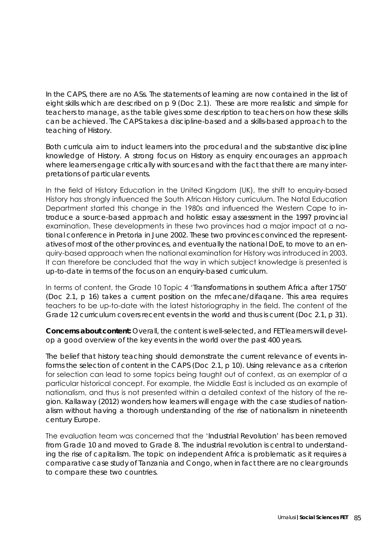In the CAPS, there are no ASs. The statements of learning are now contained in the list of eight skills which are described on p 9 (Doc 2.1). These are more realistic and simple for teachers to manage, as the table gives some description to teachers on how these skills can be achieved. The CAPS takes a discipline-based and a skills-based approach to the teaching of History.

Both curricula aim to induct learners into the procedural and the substantive discipline knowledge of History. A strong focus on History as enquiry encourages an approach where learners engage critically with sources and with the fact that there are many interpretations of particular events.

In the field of History Education in the United Kingdom (UK), the shift to enquiry-based History has strongly influenced the South African History curriculum. The Natal Education Department started this change in the 1980s and influenced the Western Cape to introduce a source-based approach and holistic essay assessment in the 1997 provincial examination. These developments in these two provinces had a major impact at a national conference in Pretoria in June 2002. These two provinces convinced the representatives of most of the other provinces, and eventually the national DoE, to move to an enquiry-based approach when the national examination for History was introduced in 2003. It can therefore be concluded that the way in which subject knowledge is presented is up-to-date in terms of the focus on an enquiry-based curriculum.

In terms of content, the Grade 10 Topic 4 '*Transformations in southern Africa after 1750*' (Doc 2.1, p 16) takes a current position on the *mfecane/difaqane*. This area requires teachers to be up-to-date with the latest historiography in the field. The content of the Grade 12 curriculum covers recent events in the world and thus is current (Doc 2.1, p 31).

**Concerns about content:** Overall, the content is well-selected, and FET learners will develop a good overview of the key events in the world over the past 400 years.

The belief that history teaching should demonstrate the current relevance of events informs the selection of content in the CAPS (Doc 2.1, p 10). Using relevance as a criterion for selection can lead to some topics being taught out of context, as an exemplar of a particular historical concept. For example, the Middle East is included as an example of nationalism, and thus is not presented within a detailed context of the history of the region. Kallaway (2012) wonders how learners will engage with the case studies of nationalism without having a thorough understanding of the rise of nationalism in nineteenth century Europe.

The evaluation team was concerned that the '*Industrial Revolution*' has been removed from Grade 10 and moved to Grade 8. The industrial revolution is central to understanding the rise of capitalism. The topic on independent Africa is problematic as it requires a comparative case study of Tanzania and Congo, when in fact there are no clear grounds to compare these two countries.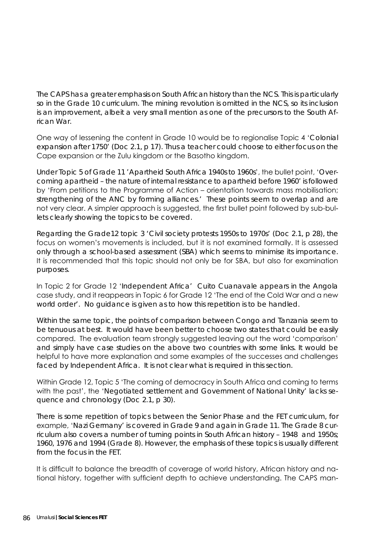The CAPS has a greater emphasis on South African history than the NCS. This is particularly so in the Grade 10 curriculum. The mining revolution is omitted in the NCS, so its inclusion is an improvement, albeit a very small mention as one of the precursors to the South African War.

One way of lessening the content in Grade 10 would be to regionalise Topic 4 '*Colonial expansion after 1750*' (Doc 2.1, p 17). Thus a teacher could choose to either focus on the Cape expansion or the Zulu kingdom or the Basotho kingdom.

Under Topic 5 of Grade 11 '*Apartheid South Africa 1940s to 1960s*', the bullet point, '*Overcoming apartheid – the nature of internal resistance to apartheid before 1960*' is followed by 'From petitions to the Programme of Action – orientation towards mass mobilisation; strengthening of the ANC by forming alliances.' These points seem to overlap and are not very clear. A simpler approach is suggested, the first bullet point followed by sub-bullets clearly showing the topics to be covered.

Regarding the Grade12 topic 3 *'Civil society protests 1950s to 1970s'* (Doc 2.1, p 28), the focus on women's movements is included, but it is not examined formally. It is assessed only through a school-based assessment (SBA) which seems to minimise its importance. It is recommended that this topic should not only be for SBA, but also for examination purposes.

In Topic 2 for Grade 12 '*Independent Africa*' Cuito Cuanavale appears in the Angola case study, and it reappears in Topic 6 for Grade 12 'The end of the Cold War and a new world order'. No guidance is given as to how this repetition is to be handled.

Within the same topic, the points of comparison between Congo and Tanzania seem to be tenuous at best. It would have been better to choose two states that could be easily compared. The evaluation team strongly suggested leaving out the word 'comparison' and simply have case studies on the above two countries with some links. It would be helpful to have more explanation and some examples of the successes and challenges faced by Independent Africa. It is not clear what is required in this section.

Within Grade 12, Topic 5 'The coming of democracy in South Africa and coming to terms with the past', the '*Negotiated settlement and Government of National Unity*' lacks sequence and chronology (Doc 2.1, p 30).

There is some repetition of topics between the Senior Phase and the FET curriculum, for example, '*Nazi Germany*' is covered in Grade 9 and again in Grade 11. The Grade 8 curriculum also covers a number of turning points in South African history – 1948 and 1950s; 1960, 1976 and 1994 (Grade 8). However, the emphasis of these topics is usually different from the focus in the FET.

It is difficult to balance the breadth of coverage of world history, African history and national history, together with sufficient depth to achieve understanding. The CAPS man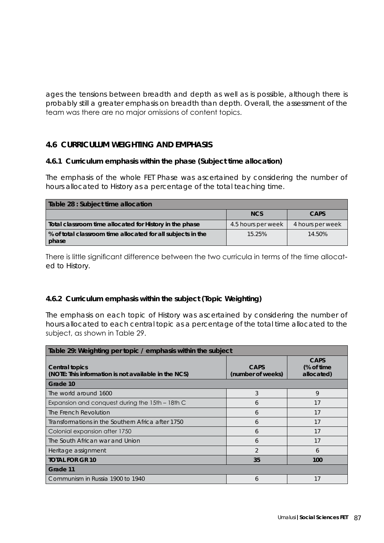ages the tensions between breadth and depth as well as is possible, although there is probably still a greater emphasis on breadth than depth. Overall, the assessment of the team was there are no major omissions of content topics.

## **4.6 CURRICULUM WEIGHTING AND EMPHASIS**

#### **4.6.1 Curriculum emphasis within the phase (Subject time allocation)**

The emphasis of the whole FET Phase was ascertained by considering the number of hours allocated to History as a percentage of the total teaching time.

| Table 28 : Subject time allocation                                   |                    |                  |  |  |  |  |  |
|----------------------------------------------------------------------|--------------------|------------------|--|--|--|--|--|
|                                                                      | <b>NCS</b>         | <b>CAPS</b>      |  |  |  |  |  |
| Total classroom time allocated for History in the phase              | 4.5 hours per week | 4 hours per week |  |  |  |  |  |
| % of total classroom time allocated for all subjects in the<br>phase | 15.25%             | 14.50%           |  |  |  |  |  |

There is little significant difference between the two curricula in terms of the time allocated to History.

### **4.6.2 Curriculum emphasis within the subject (Topic Weighting)**

The emphasis on each topic of History was ascertained by considering the number of hours allocated to each central topic as a percentage of the total time allocated to the subject, as shown in Table 29.

| Table 29: Weighting per topic / emphasis within the subject                        |                                  |                                         |  |  |  |  |
|------------------------------------------------------------------------------------|----------------------------------|-----------------------------------------|--|--|--|--|
| Central topics<br>(NOTE: This information is not available in the NCS)<br>Grade 10 | <b>CAPS</b><br>(number of weeks) | <b>CAPS</b><br>(% of time<br>allocated) |  |  |  |  |
| The world around 1600                                                              | 3                                | 9                                       |  |  |  |  |
| Expansion and conquest during the 15th – 18th C                                    | 6                                | 17                                      |  |  |  |  |
| The French Revolution                                                              | 6                                | 17                                      |  |  |  |  |
| Transformations in the Southern Africa after 1750                                  | 6                                | 17                                      |  |  |  |  |
| Colonial expansion after 1750                                                      | 6                                | 17                                      |  |  |  |  |
| The South African war and Union                                                    | 6                                | 17                                      |  |  |  |  |
| Heritage assignment                                                                | $\mathfrak{D}$                   | 6                                       |  |  |  |  |
| <b>TOTAL FOR GR 10</b>                                                             | 35                               | 100                                     |  |  |  |  |
| Grade 11                                                                           |                                  |                                         |  |  |  |  |
| Communism in Russia 1900 to 1940                                                   | 6                                | 17                                      |  |  |  |  |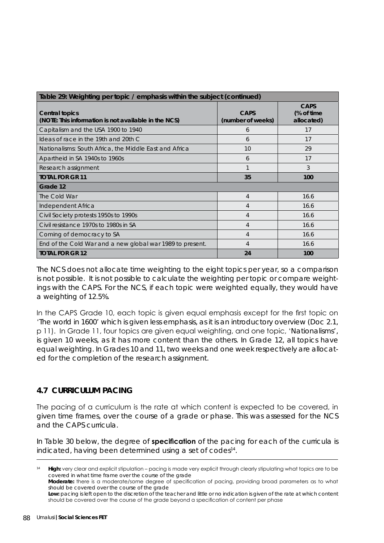| Table 29: Weighting per topic / emphasis within the subject (continued)       |                                  |                                         |  |  |
|-------------------------------------------------------------------------------|----------------------------------|-----------------------------------------|--|--|
| <b>Central topics</b><br>(NOTE: This information is not available in the NCS) | <b>CAPS</b><br>(number of weeks) | <b>CAPS</b><br>(% of time<br>allocated) |  |  |
| Capitalism and the USA 1900 to 1940                                           | 6                                | 17                                      |  |  |
| Ideas of race in the 19th and 20th C                                          | 6                                | 17                                      |  |  |
| Nationalisms: South Africa, the Middle East and Africa                        | 10                               | 29                                      |  |  |
| Apartheid in SA 1940s to 1960s                                                | 6                                | 17                                      |  |  |
| Research assignment                                                           | 1                                | 3                                       |  |  |
| <b>TOTAL FOR GR 11</b>                                                        | 35                               | 100                                     |  |  |
| Grade 12                                                                      |                                  |                                         |  |  |
| The Cold War                                                                  | 4                                | 16.6                                    |  |  |
| Independent Africa                                                            | 4                                | 16.6                                    |  |  |
| Civil Society protests 1950s to 1990s                                         | 4                                | 16.6                                    |  |  |
| Civil resistance 1970s to 1980s in SA                                         | 4                                | 16.6                                    |  |  |
| Coming of democracy to SA                                                     | 4                                | 16.6                                    |  |  |
| End of the Cold War and a new global war 1989 to present.                     | 4                                | 16.6                                    |  |  |
| <b>TOTAL FOR GR 12</b>                                                        | 24                               | 100                                     |  |  |

The NCS does not allocate time weighting to the eight topics per year, so a comparison is not possible. It is not possible to calculate the weighting per topic or compare weightings with the CAPS. For the NCS, if each topic were weighted equally, they would have a weighting of 12.5%.

In the CAPS Grade 10, each topic is given equal emphasis except for the first topic on '*The world in 1600*' which is given less emphasis, as it is an introductory overview (Doc 2.1, p 11). In Grade 11, four topics are given equal weighting, and one topic, '*Nationalisms*', is given 10 weeks, as it has more content than the others. In Grade 12, all topics have equal weighting. In Grades 10 and 11, two weeks and one week respectively are allocated for the completion of the research assignment.

## **4.7 CURRICULUM PACING**

The pacing of a curriculum is the rate at which content is expected to be covered, in given time frames, over the course of a grade or phase. This was assessed for the NCS and the CAPS curricula.

In Table 30 below, the degree of **specification** of the pacing for each of the curricula is indicated, having been determined using a set of codes<sup>14</sup>.

<sup>14</sup> **High:** very clear and explicit stipulation – pacing is made very explicit through clearly stipulating what topics are to be covered in what time frame over the course of the grade

**Moderate:** there is a moderate/some degree of specification of pacing, providing broad parameters as to what should be covered over the course of the grade

Low: pacing is left open to the discretion of the teacher and little or no indication is given of the rate at which content should be covered over the course of the grade beyond a specification of content per phase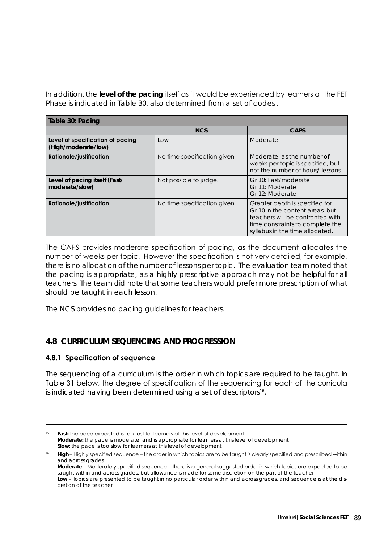In addition, the **level of the pacing** itself as it would be experienced by learners at the FET Phase is indicated in Table 30, also determined from a set of codes .

| Table 30: Pacing                                        |                             |                                                                                                                                                                              |  |
|---------------------------------------------------------|-----------------------------|------------------------------------------------------------------------------------------------------------------------------------------------------------------------------|--|
|                                                         | <b>NCS</b>                  | <b>CAPS</b>                                                                                                                                                                  |  |
| Level of specification of pacing<br>(High/moderate/low) | LOW                         | Moderate                                                                                                                                                                     |  |
| <b>Rationale/justification</b>                          | No time specification given | Moderate, as the number of<br>weeks per topic is specified, but<br>not the number of hours/lessons.                                                                          |  |
| Level of pacing itself (Fast/<br>moderate/slow)         | Not possible to judge.      | Gr 10: Fast/moderate<br>Gr 11: Moderate<br>Gr 12: Moderate                                                                                                                   |  |
| <b>Rationale/justification</b>                          | No time specification given | Greater depth is specified for<br>Gr 10 in the content areas, but<br>teachers will be confronted with<br>time constraints to complete the<br>syllabus in the time allocated. |  |

The CAPS provides moderate specification of pacing, as the document allocates the number of weeks per topic. However the specification is not very detailed, for example, there is no allocation of the number of lessons per topic. The evaluation team noted that the pacing is appropriate, as a highly prescriptive approach may not be helpful for all teachers. The team did note that some teachers would prefer more prescription of what should be taught in each lesson.

The NCS provides no pacing guidelines for teachers.

## **4.8 CURRICULUM SEQUENCING AND PROGRESSION**

### **4.8.1 Specification of sequence**

The sequencing of a curriculum is the order in which topics are required to be taught. In Table 31 below, the degree of specification of the sequencing for each of the curricula is indicated having been determined using a set of descriptors<sup>16</sup>.

<sup>&</sup>lt;sup>15</sup> **Fast:** the pace expected is too fast for learners at this level of development **Moderate:** the pace is moderate, and is appropriate for learners at this level of development **Slow:** the pace is too slow for learners at this level of development

<sup>&</sup>lt;sup>16</sup> High – Highly specified sequence – the order in which topics are to be taught is clearly specified and prescribed within and across grades **Moderate** – Moderately specified sequence – there is a general suggested order in which topics are expected to be taught within and across grades, but allowance is made for some discretion on the part of the teacher

**Low** – Topics are presented to be taught in no particular order within and across grades, and sequence is at the discretion of the teacher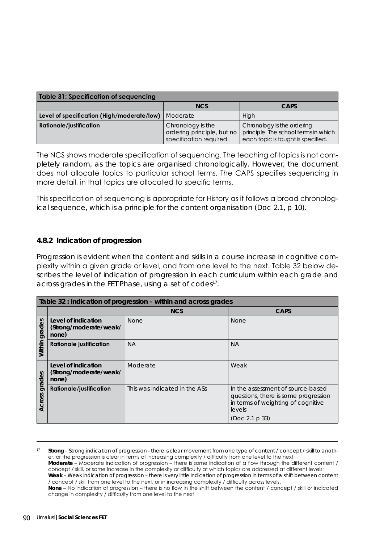| <b>Table 31: Specification of sequencing</b> |                                                                            |                                                                                                          |  |  |
|----------------------------------------------|----------------------------------------------------------------------------|----------------------------------------------------------------------------------------------------------|--|--|
|                                              | <b>NCS</b>                                                                 | <b>CAPS</b>                                                                                              |  |  |
| Level of specification (High/moderate/low)   | Moderate                                                                   | High                                                                                                     |  |  |
| Rationale/justification                      | Chronology is the<br>ordering principle, but no<br>specification required. | Chronology is the ordering<br>principle. The school terms in which<br>each topic is taught is specified. |  |  |

The NCS shows moderate specification of sequencing. The teaching of topics is not completely random, as the topics are organised chronologically. However, the document does not allocate topics to particular school terms. The CAPS specifies sequencing in more detail, in that topics are allocated to specific terms.

This specification of sequencing is appropriate for History as it follows a broad chronological sequence, which is a principle for the content organisation (Doc 2.1, p 10).

#### **4.8.2 Indication of progression**

Progression is evident when the content and skills in a course increase in cognitive complexity within a given grade or level, and from one level to the next. Table 32 below describes the level of indication of progression in each curriculum within each grade and across grades in the FET Phase, using a set of  $codes<sup>17</sup>$ .

| Table 32 : Indication of progression - within and across grades |                                                        |                               |                                                                                                                           |  |
|-----------------------------------------------------------------|--------------------------------------------------------|-------------------------------|---------------------------------------------------------------------------------------------------------------------------|--|
|                                                                 |                                                        | <b>NCS</b>                    | <b>CAPS</b>                                                                                                               |  |
| grades                                                          | Level of indication<br>(Strong/moderate/weak/<br>none) | <b>None</b>                   | <b>None</b>                                                                                                               |  |
| Within                                                          | <b>Rationale justification</b>                         | <b>NA</b>                     | <b>NA</b>                                                                                                                 |  |
| grades                                                          | Level of indication<br>(Strong/moderate/weak/<br>none) | Moderate                      | Weak                                                                                                                      |  |
| Across                                                          | <b>Rationale/justification</b>                         | This was indicated in the ASs | In the assessment of source-based<br>questions, there is some progression<br>in terms of weighting of cognitive<br>levels |  |
|                                                                 |                                                        |                               | (Doc 2.1 p 33)                                                                                                            |  |

<sup>17</sup> **Strong** – Strong indication of progression - there is clear movement from one type of content / concept / skill to another, or the progression is clear in terms of increasing complexity / difficulty from one level to the next;

**Moderate** – Moderate indication of progression – there is some indication of a flow through the different content / concept / skill, or some increase in the complexity or difficulty at which topics are addressed at different levels;

**Weak** – Weak indication of progression – there is very little indication of progression in terms of a shift between content / concept / skill from one level to the next, or in increasing complexity / difficulty across levels.

**None** – No indication of progression – there is no flow in the shift between the content / concept / skill or indicated change in complexity / difficulty from one level to the next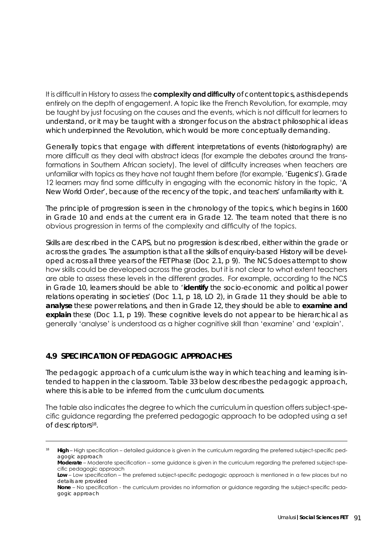It is difficult in History to assess the **complexity and difficulty** of content topics, as this depends entirely on the depth of engagement. A topic like the French Revolution, for example, may be taught by just focusing on the causes and the events, which is not difficult for learners to understand, or it may be taught with a stronger focus on the abstract philosophical ideas which underpinned the Revolution, which would be more conceptually demanding.

Generally topics that engage with different interpretations of events (historiography) are more difficult as they deal with abstract ideas (for example the debates around the transformations in Southern African society). The level of difficulty increases when teachers are unfamiliar with topics as they have not taught them before (for example, '*Eugenics*'). Grade 12 learners may find some difficulty in engaging with the economic history in the topic, '*A New World Order*', because of the recency of the topic, and teachers' unfamiliarity with it.

The principle of progression is seen in the chronology of the topics, which begins in 1600 in Grade 10 and ends at the current era in Grade 12. The team noted that there is no obvious progression in terms of the complexity and difficulty of the topics.

Skills are described in the CAPS, but no progression is described, either within the grade or across the grades. The assumption is that all the skills of enquiry-based History will be developed across all three years of the FET Phase (Doc 2.1, p 9). The NCS does attempt to show how skills could be developed across the grades, but it is not clear to what extent teachers are able to assess these levels in the different grades. For example, according to the NCS in Grade 10, learners should be able to *'identify the socio-economic and political power relations operating in societies'* (Doc 1.1, p 18, LO 2), in Grade 11 they should be able to **analyse** these power relations, and then in Grade 12, they should be able to **examine and explain** these (Doc 1.1, p 19). These cognitive levels do not appear to be hierarchical as generally 'analyse' is understood as a higher cognitive skill than 'examine' and 'explain'.

## **4.9 SPECIFICATION OF PEDAGOGIC APPROACHES**

The pedagogic approach of a curriculum is the way in which teaching and learning is intended to happen in the classroom. Table 33 below describes the pedagogic approach, where this is able to be inferred from the curriculum documents.

The table also indicates the degree to which the curriculum in question offers subject-specific guidance regarding the preferred pedagogic approach to be adopted using a set of descriptors<sup>18</sup>.

<sup>&</sup>lt;sup>18</sup> High – High specification – detailed guidance is given in the curriculum regarding the preferred subject-specific pedagogic approach

**Moderate** – Moderate specification – some guidance is given in the curriculum regarding the preferred subject-specific pedagogic approach

Low – Low specification – the preferred subject-specific pedagogic approach is mentioned in a few places but no details are provided

**None** – No specification - the curriculum provides no information or guidance regarding the subject-specific pedagogic approach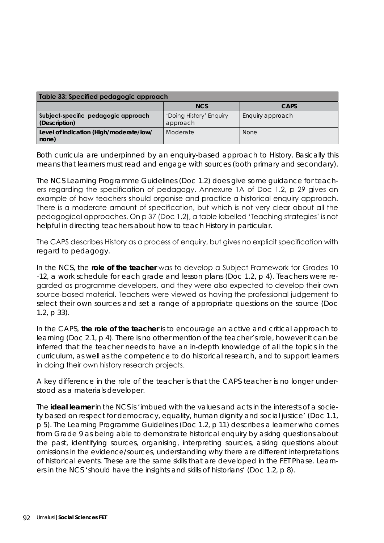| Table 33: Specified pedagogic approach               |                                     |                  |  |
|------------------------------------------------------|-------------------------------------|------------------|--|
|                                                      | <b>NCS</b>                          | <b>CAPS</b>      |  |
| Subject-specific pedagogic approach<br>(Description) | 'Doing History' Enquiry<br>approach | Enquiry approach |  |
| Level of indication (High/moderate/low/<br>none)     | Moderate                            | <b>None</b>      |  |

Both curricula are underpinned by an enquiry-based approach to History. Basically this means that learners must read and engage with sources (both primary and secondary).

The NCS Learning Programme Guidelines (Doc 1.2) does give some guidance for teachers regarding the specification of pedagogy. Annexure 1A of Doc 1.2, p 29 gives an example of how teachers should organise and practice a historical enquiry approach. There is a moderate amount of specification, but which is not very clear about all the pedagogical approaches. On p 37 (Doc 1.2), a table labelled 'Teaching strategies' is not helpful in directing teachers about how to teach History in particular.

The CAPS describes History as a process of enquiry, but gives no explicit specification with regard to pedagogy.

In the NCS, the **role of the teacher** was to develop a Subject Framework for Grades 10 -12, a work schedule for each grade and lesson plans (Doc 1.2, p 4). Teachers were regarded as programme developers, and they were also expected to develop their own source-based material. Teachers were viewed as having the professional judgement to select their own sources and set a range of appropriate questions on the source (Doc 1.2, p 33).

In the CAPS, **the role of the teacher** is to encourage an active and critical approach to learning (Doc 2.1, p 4). There is no other mention of the teacher's role, however it can be inferred that the teacher needs to have an in-depth knowledge of all the topics in the curriculum, as well as the competence to do historical research, and to support learners in doing their own history research projects.

A key difference in the role of the teacher is that the CAPS teacher is no longer understood as a materials developer.

The **ideal learner** in the NCS is *'imbued with the values and acts in the interests of a society based on respect for democracy, equality, human dignity and social justice'* (Doc 1.1, p 5). The Learning Programme Guidelines (Doc 1.2, p 11) describes a learner who comes from Grade 9 as being able to demonstrate historical enquiry by asking questions about the past, identifying sources, organising, interpreting sources, asking questions about omissions in the evidence/sources, understanding why there are different interpretations of historical events. These are the same skills that are developed in the FET Phase. Learners in the NCS *'should have the insights and skills of historians'* (Doc 1.2, p 8).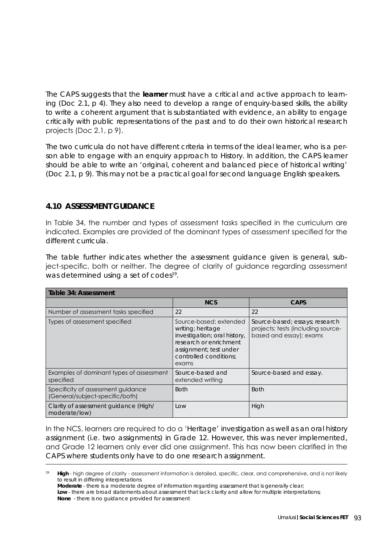The CAPS suggests that the **learner** must have a critical and active approach to learning (Doc 2.1, p 4). They also need to develop a range of enquiry-based skills, the ability to write a coherent argument that is substantiated with evidence, an ability to engage critically with public representations of the past and to do their own historical research projects (Doc 2.1, p 9).

The two curricula do not have different criteria in terms of the ideal learner, who is a person able to engage with an enquiry approach to History. In addition, the CAPS learner should be able to write an *'original, coherent and balanced piece of historical writing'*  (Doc 2.1, p 9). This may not be a practical goal for second language English speakers.

## **4.10 ASSESSMENT GUIDANCE**

In Table 34, the number and types of assessment tasks specified in the curriculum are indicated. Examples are provided of the dominant types of assessment specified for the different curricula.

The table further indicates whether the assessment guidance given is general, subject-specific, both or neither. The degree of clarity of guidance regarding assessment was determined using a set of codes<sup>19</sup>.

| Table 34: Assessment                                                  |                                                                                                                                                                    |                                                                                                 |  |
|-----------------------------------------------------------------------|--------------------------------------------------------------------------------------------------------------------------------------------------------------------|-------------------------------------------------------------------------------------------------|--|
|                                                                       | <b>NCS</b>                                                                                                                                                         | <b>CAPS</b>                                                                                     |  |
| Number of assessment tasks specified                                  | 22                                                                                                                                                                 | 22                                                                                              |  |
| Types of assessment specified                                         | Source-based; extended<br>writing; heritage<br>investigation; oral history,<br>research or enrichment<br>assignment; test under<br>controlled conditions:<br>exams | Source-based; essays; research<br>projects; tests (including source-<br>based and essay); exams |  |
| Examples of dominant types of assessment<br>specified                 | Source-based and<br>extended writing                                                                                                                               | Source-based and essay.                                                                         |  |
| Specificity of assessment guidance<br>(General/subject-specific/both) | <b>Both</b>                                                                                                                                                        | <b>Both</b>                                                                                     |  |
| Clarity of assessment guidance (High/<br>moderate/low)                | Low                                                                                                                                                                | High                                                                                            |  |

In the NCS, learners are required to do a '*Heritage*' investigation as well as an oral history assignment (i.e. two assignments) in Grade 12. However, this was never implemented, and Grade 12 learners only ever did one assignment. This has now been clarified in the CAPS where students only have to do one research assignment.

High - high degree of clarity - assessment information is detailed, specific, clear, and comprehensive, and is not likely to result in differing interpretations

**Moderate** - there is a moderate degree of information regarding assessment that is generally clear;

Low - there are broad statements about assessment that lack clarity and allow for multiple interpretations; **None** - there is no guidance provided for assessment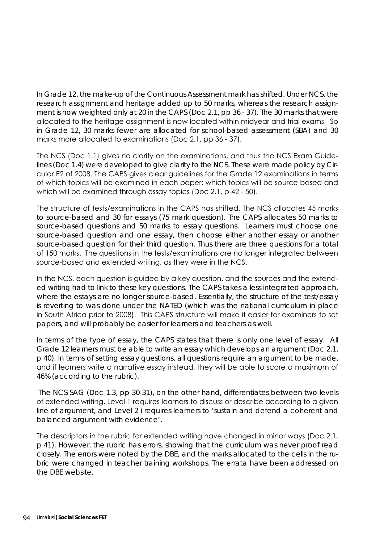In Grade 12, the make-up of the Continuous Assessment mark has shifted. Under NCS, the research assignment and heritage added up to 50 marks, whereas the research assignment is now weighted only at 20 in the CAPS (Doc 2.1, pp 36 - 37). The 30 marks that were allocated to the heritage assignment is now located within midyear and trial exams. So in Grade 12, 30 marks fewer are allocated for school-based assessment (SBA) and 30 marks more allocated to examinations (Doc 2.1, pp 36 - 37).

The NCS (Doc 1.1) gives no clarity on the examinations, and thus the NCS Exam Guidelines (Doc 1.4) were developed to give clarity to the NCS. These were made policy by Circular E2 of 2008. The CAPS gives clear guidelines for the Grade 12 examinations in terms of which topics will be examined in each paper; which topics will be source based and which will be examined through essay topics (Doc 2.1, p 42 - 50).

The structure of tests/examinations in the CAPS has shifted. The NCS allocates 45 marks to source-based and 30 for essays (75 mark question). The CAPS allocates 50 marks to source-based questions and 50 marks to essay questions. Learners must choose one source-based question and one essay, then choose either another essay or another source-based question for their third question. Thus there are three questions for a total of 150 marks. The questions in the tests/examinations are no longer integrated between source-based and extended writing, as they were in the NCS.

In the NCS, each question is guided by a key question, and the sources and the extended writing had to link to these key questions. The CAPS takes a less integrated approach, where the essays are no longer source-based. Essentially, the structure of the test/essay is reverting to was done under the NATED (which was the national curriculum in place in South Africa prior to 2008). This CAPS structure will make it easier for examiners to set papers, and will probably be easier for learners and teachers as well.

In terms of the type of essay, the CAPS states that there is only one level of essay. All Grade 12 learners must be able to write an essay which develops an argument (Doc 2.1, p 40). In terms of setting essay questions, all questions require an argument to be made, and if learners write a narrative essay instead, they will be able to score a maximum of 46% (according to the rubric).

 The NCS SAG (Doc 1.3, pp 30-31), on the other hand, differentiates between two levels of extended writing. Level 1 requires learners to discuss or describe according to a given line of argument, and Level 2 i requires learners to *'sustain and defend a coherent and balanced argument with evidence'.*

The descriptors in the rubric for extended writing have changed in minor ways (Doc 2.1, p 41). However, the rubric has errors, showing that the curriculum was never proof read closely. The errors were noted by the DBE, and the marks allocated to the cells in the rubric were changed in teacher training workshops. The errata have been addressed on the DBE website.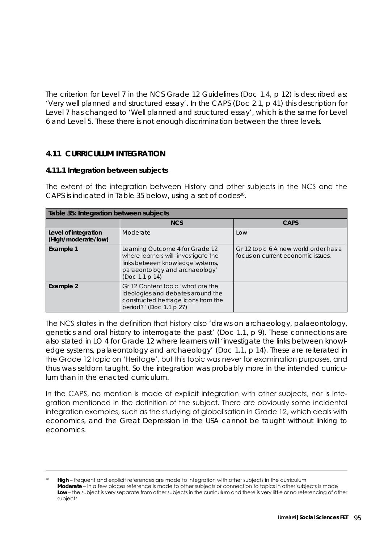The criterion for Level 7 in the NCS Grade 12 Guidelines (Doc 1.4, p 12) is described as: *'Very well planned and structured essay'*. In the CAPS (Doc 2.1, p 41) this description for Level 7 has changed to *'Well planned and structured essay'*, which is the same for Level 6 and Level 5. These there is not enough discrimination between the three levels.

# **4.11 CURRICULUM INTEGRATION**

#### **4.11.1 Integration between subjects**

The extent of the integration between History and other subjects in the NCS and the CAPS is indicated in Table 35 below, using a set of codes<sup>20</sup>.

| Table 35: Integration between subjects      |                                                                                                                                                                 |                                                                            |  |
|---------------------------------------------|-----------------------------------------------------------------------------------------------------------------------------------------------------------------|----------------------------------------------------------------------------|--|
|                                             | <b>NCS</b>                                                                                                                                                      | <b>CAPS</b>                                                                |  |
| Level of integration<br>(High/moderate/low) | Moderate                                                                                                                                                        | Low                                                                        |  |
| <b>Example 1</b>                            | Learning Outcome 4 for Grade 12<br>where learners will 'investigate the<br>links between knowledge systems,<br>palaeontology and archaeology'<br>(Doc 1.1 p 14) | Gr 12 topic 6 A new world order has a<br>focus on current economic issues. |  |
| Example 2                                   | Gr 12 Content topic 'what are the<br>ideologies and debates around the<br>constructed heritage icons from the<br>period?' (Doc 1.1 p 27)                        |                                                                            |  |

The NCS states in the definition that history also *'draws on archaeology, palaeontology, genetics and oral history to interrogate the past'* (Doc 1.1, p 9). These connections are also stated in LO 4 for Grade 12 where learners will *'investigate the links between knowledge systems, palaeontology and archaeology'* (Doc 1.1, p 14). These are reiterated in the Grade 12 topic on 'Heritage', but this topic was never for examination purposes, and thus was seldom taught. So the integration was probably more in the intended curriculum than in the enacted curriculum.

In the CAPS, no mention is made of explicit integration with other subjects, nor is integration mentioned in the definition of the subject. There are obviously some incidental integration examples, such as the studying of globalisation in Grade 12, which deals with economics, and the Great Depression in the USA cannot be taught without linking to economics.

**High** – frequent and explicit references are made to integration with other subjects in the curriculum **Moderate** – in a few places reference is made to other subjects or connection to topics in other subjects is made Low – the subject is very separate from other subjects in the curriculum and there is very little or no referencing of other subjects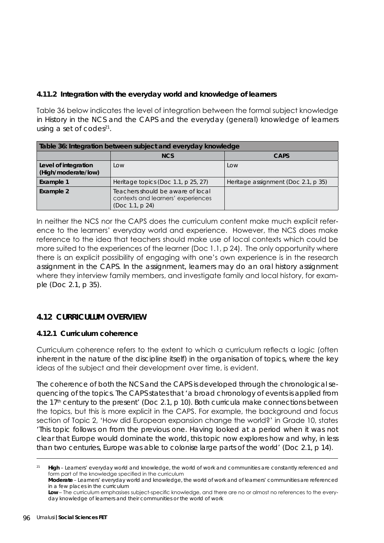## **4.11.2 Integration with the everyday world and knowledge of learners**

Table 36 below indicates the level of integration between the formal subject knowledge in History in the NCS and the CAPS and the everyday (general) knowledge of learners using a set of codes $21$ .

| Table 36: Integration between subject and everyday knowledge |                                                                                            |                                     |  |  |
|--------------------------------------------------------------|--------------------------------------------------------------------------------------------|-------------------------------------|--|--|
|                                                              | <b>NCS</b>                                                                                 | <b>CAPS</b>                         |  |  |
| Level of integration<br>(High/moderate/low)                  | LOW                                                                                        | Low                                 |  |  |
| Example 1                                                    | Heritage topics (Doc 1.1, p 25, 27)                                                        | Heritage assignment (Doc 2.1, p 35) |  |  |
| Example 2                                                    | Teachers should be aware of local<br>contexts and learners' experiences<br>(Doc 1.1, p 24) |                                     |  |  |

In neither the NCS nor the CAPS does the curriculum content make much explicit reference to the learners' everyday world and experience. However, the NCS does make reference to the idea that teachers should make use of local contexts which could be more suited to the experiences of the learner (Doc 1.1, p 24). The only opportunity where there is an explicit possibility of engaging with one's own experience is in the research assignment in the CAPS. In the assignment, learners may do an oral history assignment where they interview family members, and investigate family and local history, for example (Doc 2.1, p 35).

## **4.12 CURRICULUM OVERVIEW**

### **4.12.1 Curriculum coherence**

Curriculum coherence refers to the extent to which a curriculum reflects a logic (often inherent in the nature of the discipline itself) in the organisation of topics, where the key ideas of the subject and their development over time, is evident.

The coherence of both the NCS and the CAPS is developed through the chronological sequencing of the topics. The CAPS states that *'a broad chronology of events is applied from the 17th century to the present'* (Doc 2.1, p 10). Both curricula make connections between the topics, but this is more explicit in the CAPS. For example, the background and focus section of Topic 2, 'How did European expansion change the world?' in Grade 10, states *'This topic follows on from the previous one. Having looked at a period when it was not clear that Europe would dominate the world, this topic now explores how and why, in less than two centuries, Europe was able to colonise large parts of the world'* (Doc 2.1, p 14).

High – Learners' everyday world and knowledge, the world of work and communities are constantly referenced and form part of the knowledge specified in the curriculum

**Moderate** – Learners' everyday world and knowledge, the world of work and of learners' communities are referenced in a few places in the curriculum

**Low** – The curriculum emphasises subject-specific knowledge, and there are no or almost no references to the everyday knowledge of learners and their communities or the world of work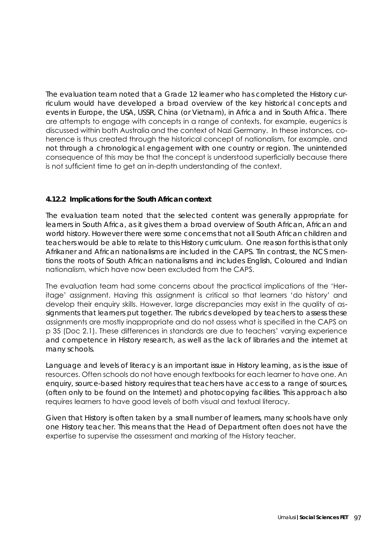The evaluation team noted that a Grade 12 learner who has completed the History curriculum would have developed a broad overview of the key historical concepts and events in Europe, the USA, USSR, China (or Vietnam), in Africa and in South Africa. There are attempts to engage with concepts in a range of contexts, for example, eugenics is discussed within both Australia and the context of Nazi Germany. In these instances, coherence is thus created through the historical concept of nationalism, for example, and not through a chronological engagement with one country or region. The unintended consequence of this may be that the concept is understood superficially because there is not sufficient time to get an in-depth understanding of the context.

### **4.12.2 Implications for the South African context**

The evaluation team noted that the selected content was generally appropriate for learners in South Africa, as it gives them a broad overview of South African, African and world history. However there were some concerns that not all South African children and teachers would be able to relate to this History curriculum. One reason for this is that only Afrikaner and African nationalisms are included in the CAPS. Tin contrast, the NCS mentions the roots of South African nationalisms and includes English, Coloured and Indian nationalism, which have now been excluded from the CAPS.

The evaluation team had some concerns about the practical implications of the 'Heritage' assignment. Having this assignment is critical so that learners 'do history' and develop their enquiry skills. However, large discrepancies may exist in the quality of assignments that learners put together. The rubrics developed by teachers to assess these assignments are mostly inappropriate and do not assess what is specified in the CAPS on p 35 (Doc 2.1). These differences in standards are due to teachers' varying experience and competence in History research, as well as the lack of libraries and the internet at many schools.

Language and levels of literacy is an important issue in History learning, as is the issue of resources. Often schools do not have enough textbooks for each learner to have one. An enquiry, source-based history requires that teachers have access to a range of sources, (often only to be found on the Internet) and photocopying facilities. This approach also requires learners to have good levels of both visual and textual literacy.

Given that History is often taken by a small number of learners, many schools have only one History teacher. This means that the Head of Department often does not have the expertise to supervise the assessment and marking of the History teacher.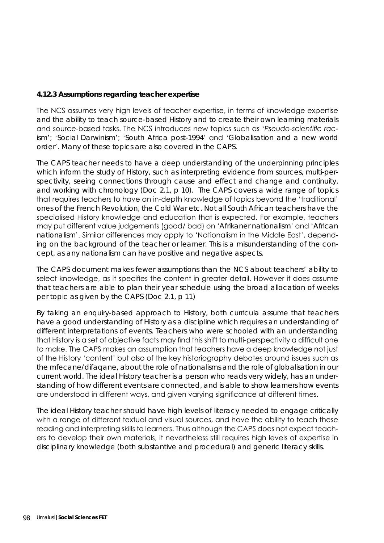### **4.12.3 Assumptions regarding teacher expertise**

The NCS assumes very high levels of teacher expertise, in terms of knowledge expertise and the ability to teach source-based History and to create their own learning materials and source-based tasks. The NCS introduces new topics such as '*Pseudo-scientific racism*'; '*Social Darwinism*'; '*South Africa post-1994*' and '*Globalisation and a new world order*'. Many of these topics are also covered in the CAPS.

The CAPS teacher needs to have a deep understanding of the underpinning principles which inform the study of History, such as interpreting evidence from sources, multi-perspectivity, seeing connections through cause and effect and change and continuity, and working with chronology (Doc 2.1, p 10). The CAPS covers a wide range of topics that requires teachers to have an in-depth knowledge of topics beyond the 'traditional' ones of the French Revolution, the Cold War etc. Not all South African teachers have the specialised History knowledge and education that is expected. For example, teachers may put different value judgements (good/ bad) on '*Afrikaner nationalism*' and '*African nationalism*'. Similar differences may apply to 'Nationalism in the Middle East', depending on the background of the teacher or learner. This is a misunderstanding of the concept, as any nationalism can have positive and negative aspects.

The CAPS document makes fewer assumptions than the NCS about teachers' ability to select knowledge, as it specifies the content in greater detail. However it does assume that teachers are able to plan their year schedule using the broad allocation of weeks per topic as given by the CAPS (Doc 2.1, p 11)

By taking an enquiry-based approach to History, both curricula assume that teachers have a good understanding of History as a discipline which requires an understanding of different interpretations of events. Teachers who were schooled with an understanding that History is a set of objective facts may find this shift to multi-perspectivity a difficult one to make. The CAPS makes an assumption that teachers have a deep knowledge not just of the History 'content' but also of the key historiography debates around issues such as the mfecane/difaqane, about the role of nationalisms and the role of globalisation in our current world. The ideal History teacher is a person who reads very widely, has an understanding of how different events are connected, and is able to show learners how events are understood in different ways, and given varying significance at different times.

The ideal History teacher should have high levels of literacy needed to engage critically with a range of different textual and visual sources, and have the ability to teach these reading and interpreting skills to learners. Thus although the CAPS does not expect teachers to develop their own materials, it nevertheless still requires high levels of expertise in disciplinary knowledge (both substantive and procedural) and generic literacy skills.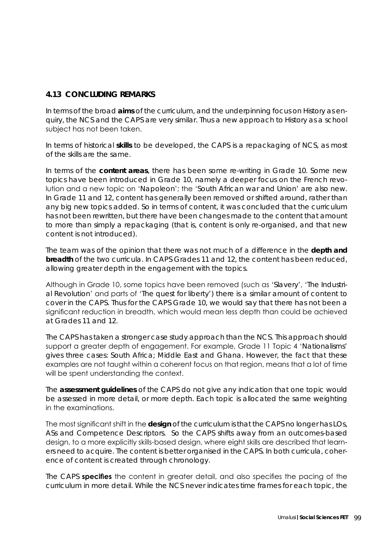# **4.13 CONCLUDING REMARKS**

In terms of the broad **aims** of the curriculum, and the underpinning focus on History as enquiry, the NCS and the CAPS are very similar. Thus a new approach to History as a school subject has not been taken.

In terms of historical **skills** to be developed, the CAPS is a repackaging of NCS, as most of the skills are the same.

In terms of the **content areas**, there has been some re-writing in Grade 10. Some new topics have been introduced in Grade 10, namely a deeper focus on the French revolution and a new topic on '*Napoleon*'; the '*South African war and Union*' are also new. In Grade 11 and 12, content has generally been removed or shifted around, rather than any big new topics added. So in terms of content, it was concluded that the curriculum has not been rewritten, but there have been changes made to the content that amount to more than simply a repackaging (that is, content is only re-organised, and that new content is not introduced).

The team was of the opinion that there was not much of a difference in the **depth and breadth** of the two curricula. In CAPS Grades 11 and 12, the content has been reduced, allowing greater depth in the engagement with the topics.

Although in Grade 10, some topics have been removed (such as '*Slavery*', '*The Industrial Revolution*' and parts of '*The quest for liberty*') there is a similar amount of content to cover in the CAPS. Thus for the CAPS Grade 10, we would say that there has not been a significant reduction in breadth, which would mean less depth than could be achieved at Grades 11 and 12.

The CAPS has taken a stronger case study approach than the NCS. This approach should support a greater depth of engagement. For example, Grade 11 Topic 4 '*Nationalisms*' gives three cases: South Africa; Middle East and Ghana. However, the fact that these examples are not taught within a coherent focus on that region, means that a lot of time will be spent understanding the context.

The **assessment guidelines** of the CAPS do not give any indication that one topic would be assessed in more detail, or more depth. Each topic is allocated the same weighting in the examinations.

The most significant shift in the **design** of the curriculum is that the CAPS no longer has LOs, ASs and Competence Descriptors. So the CAPS shifts away from an outcomes-based design, to a more explicitly skills-based design, where eight skills are described that learners need to acquire. The content is better organised in the CAPS. In both curricula, coherence of content is created through chronology.

The CAPS **specifies** the content in greater detail, and also specifies the pacing of the curriculum in more detail. While the NCS never indicates time frames for each topic, the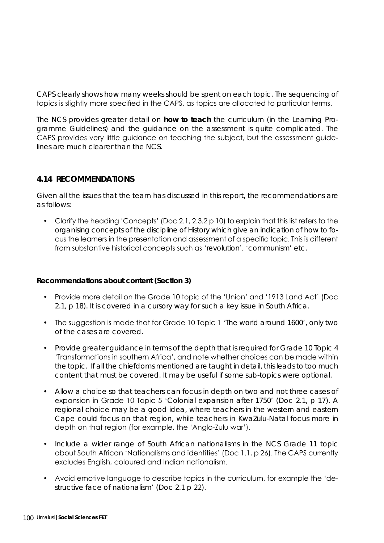CAPS clearly shows how many weeks should be spent on each topic. The sequencing of topics is slightly more specified in the CAPS, as topics are allocated to particular terms.

The NCS provides greater detail on **how to teach** the curriculum (in the Learning Programme Guidelines) and the guidance on the assessment is quite complicated. The CAPS provides very little guidance on teaching the subject, but the assessment guidelines are much clearer than the NCS.

## **4.14 RECOMMENDATIONS**

Given all the issues that the team has discussed in this report, the recommendations are as follows:

• Clarify the heading 'Concepts' (Doc 2.1, 2.3.2 p 10) to explain that this list refers to the *organising concepts of the discipline of History* which give an indication of how to focus the learners in the presentation and assessment of a specific topic. This is different from substantive historical concepts such as '*revolution*', '*communism*' etc.

### **Recommendations about content (Section 3)**

- Provide more detail on the Grade 10 topic of the 'Union' and '1913 Land Act' (Doc 2.1, p 18). It is covered in a cursory way for such a key issue in South Africa.
- The suggestion is made that for Grade 10 Topic 1 '*The world around 1600*', only two of the cases are covered.
- Provide greater guidance in terms of the depth that is required for Grade 10 Topic 4 'Transformations in southern Africa', and note whether choices can be made within the topic. If all the chiefdoms mentioned are taught in detail, this leads to too much content that must be covered. It may be useful if some sub-topics were optional.
- Allow a choice so that teachers can focus in depth on two and not three cases of expansion in Grade 10 Topic 5 '*Colonial expansion after 1750*' (Doc 2.1, p 17). A regional choice may be a good idea, where teachers in the western and eastern Cape could focus on that region, while teachers in KwaZulu-Natal focus more in depth on that region (for example, the 'Anglo-Zulu war').
- Include a wider range of *South African nationalisms* in the NCS Grade 11 topic about South African 'Nationalisms and identities' (Doc 1.1, p 26). The CAPS currently excludes English, coloured and Indian nationalism.
- Avoid emotive language to describe topics in the curriculum, for example the 'destructive face of nationalism' (Doc 2.1 p 22).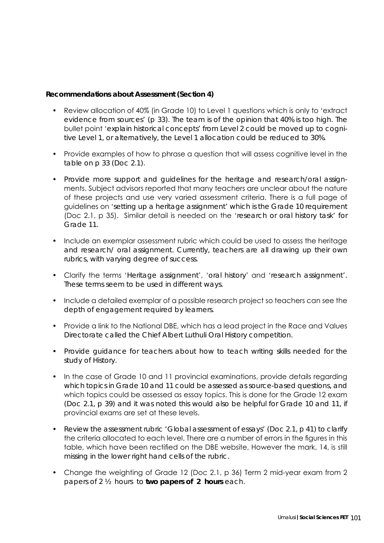#### **Recommendations about Assessment (Section 4)**

- Review allocation of 40% (in Grade 10) to Level 1 questions which is only to 'extract evidence from sources' (p 33). The team is of the opinion that 40% is too high. The bullet point '*explain historical concepts*' from Level 2 could be moved up to cognitive Level 1, or alternatively, the Level 1 allocation could be reduced to 30%.
- Provide examples of how to phrase a question that will assess cognitive level in the table on p 33 (Doc 2.1).
- Provide more support and guidelines for the heritage and research/oral assignments. Subject advisors reported that many teachers are unclear about the nature of these projects and use very varied assessment criteria. There is a full page of guidelines on '*setting up a heritage assignment*' which is the Grade 10 requirement (Doc 2.1, p 35). Similar detail is needed on the '*research or oral history task*' for Grade 11.
- Include an exemplar assessment rubric which could be used to assess the heritage and research/ oral assignment. Currently, teachers are all drawing up their own rubrics, with varying degree of success.
- Clarify the terms '*Heritage assignment*', '*oral history*' and '*research assignment*'. These terms seem to be used in different ways.
- Include a detailed exemplar of a possible research project so teachers can see the depth of engagement required by learners.
- Provide a link to the National DBE, which has a lead project in the Race and Values Directorate called the Chief Albert Luthuli Oral History competition.
- Provide guidance for teachers about how to teach writing skills needed for the study of History.
- In the case of Grade 10 and 11 provincial examinations, provide details regarding which topics in Grade 10 and 11 could be assessed as source-based questions, and which topics could be assessed as essay topics. This is done for the Grade 12 exam (Doc 2.1, p 39) and it was noted this would also be helpful for Grade 10 and 11, if provincial exams are set at these levels.
- Review the assessment rubric *'Global assessment of essays'* (Doc 2.1, p 41) to clarify the criteria allocated to each level. There are a number of errors in the figures in this table, which have been rectified on the DBE website, However the mark, 14, is still missing in the lower right hand cells of the rubric.
- Change the weighting of Grade 12 (Doc 2.1, p 36) Term 2 mid-year exam from 2 papers of 2 ½ hours to **two papers of 2 hours** each.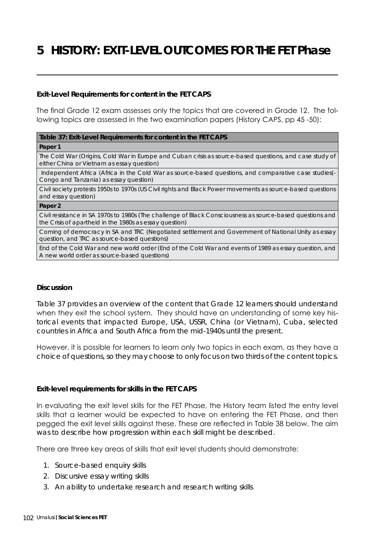# **5 HISTORY: EXIT-LEVEL OUTCOMES FOR THE FET Phase**

#### **Exit-Level Requirements for content in the FET CAPS**

The final Grade 12 exam assesses only the topics that are covered in Grade 12. The following topics are assessed in the two examination papers (History CAPS, pp 45 -50):

#### **Table 37: Exit-Level Requirements for content in the FET CAPS**

**Paper 1**

The Cold War (Origins, Cold War in Europe and Cuban crisis as source-based questions, and case study of either China or Vietnam as essay question)

 Independent Africa (Africa in the Cold War as source-based questions, and comparative case studies(- Congo and Tanzania) as essay question)

Civil society protests 1950s to 1970s (US Civil rights and Black Power movements as source-based questions and essay question)

#### **Paper 2**

Civil resistance in SA 1970s to 1980s (The challenge of Black Consciousness as source-based questions and the Crisis of apartheid in the 1980s as essay question)

Coming of democracy in SA and TRC (Negotiated settlement and Government of National Unity as essay question, and TRC as source-based questions)

End of the Cold War and new world order (End of the Cold War and events of 1989 as essay question, and A new world order as source-based questions)

#### **Discussion**

Table 37 provides an overview of the content that Grade 12 learners should understand when they exit the school system. They should have an understanding of some key historical events that impacted Europe, USA, USSR, China (or Vietnam), Cuba, selected countries in Africa and South Africa from the mid-1940s until the present.

However, it is possible for learners to learn only two topics in each exam, as they have a choice of questions, so they may choose to only focus on two thirds of the content topics.

#### **Exit-level requirements for skills in the FET CAPS**

In evaluating the exit level skills for the FET Phase, the History team listed the entry level skills that a learner would be expected to have on entering the FET Phase, and then pegged the exit level skills against these. These are reflected in Table 38 below. The aim was to describe how progression within each skill might be described.

There are three key areas of skills that exit level students should demonstrate:

- 1. Source-based enquiry skills
- 2. Discursive essay writing skills
- 3. An ability to undertake research and research writing skills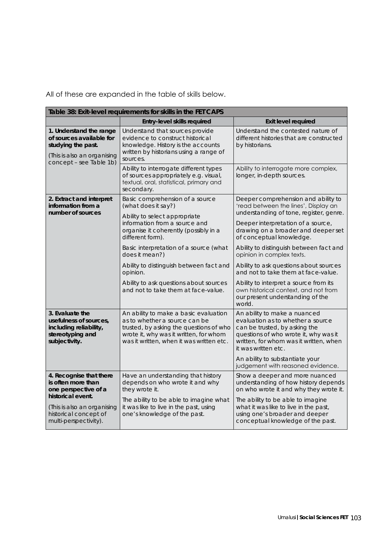All of these are expanded in the table of skills below.

| Table 38: Exit-level requirements for skills in the FET CAPS                                                                        |                                                                                                                                                                                                         |                                                                                                                                                                                                                                 |  |
|-------------------------------------------------------------------------------------------------------------------------------------|---------------------------------------------------------------------------------------------------------------------------------------------------------------------------------------------------------|---------------------------------------------------------------------------------------------------------------------------------------------------------------------------------------------------------------------------------|--|
|                                                                                                                                     | Entry-level skills required                                                                                                                                                                             | <b>Exit level required</b>                                                                                                                                                                                                      |  |
| 1. Understand the range<br>of sources available for<br>studying the past.<br>(This is also an organising<br>concept - see Table 1b) | Understand that sources provide<br>evidence to construct historical<br>knowledge. History is the accounts<br>written by historians using a range of<br>sources.                                         | Understand the contested nature of<br>different histories that are constructed<br>by historians.                                                                                                                                |  |
|                                                                                                                                     | Ability to interrogate different types<br>of sources appropriately e.g. visual,<br>textual, oral, statistical, primary and<br>secondary.                                                                | Ability to interrogate more complex,<br>longer, in-depth sources.                                                                                                                                                               |  |
| 2. Extract and interpret<br>information from a<br>number of sources                                                                 | Basic comprehension of a source<br>(what does it say?)<br>Ability to select appropriate<br>information from a source and<br>organise it coherently (possibly in a<br>different form).                   | Deeper comprehension and ability to<br>'read between the lines', Display an<br>understanding of tone, register, genre.<br>Deeper interpretation of a source,<br>drawing on a broader and deeper set<br>of conceptual knowledge. |  |
|                                                                                                                                     | Basic interpretation of a source (what<br>does it mean?)                                                                                                                                                | Ability to distinguish between fact and<br>opinion in complex texts.                                                                                                                                                            |  |
|                                                                                                                                     | Ability to distinguish between fact and<br>opinion.                                                                                                                                                     | Ability to ask questions about sources<br>and not to take them at face-value.                                                                                                                                                   |  |
|                                                                                                                                     | Ability to ask questions about sources<br>and not to take them at face-value.                                                                                                                           | Ability to interpret a source from its<br>own historical context, and not from<br>our present understanding of the<br>world.                                                                                                    |  |
| 3. Evaluate the<br>usefulness of sources,<br>including reliability,<br>stereotyping and<br>subjectivity.                            | An ability to make a basic evaluation<br>as to whether a source can be<br>trusted, by asking the questions of who<br>wrote it, why was it written, for whom<br>was it written, when it was written etc. | An ability to make a nuanced<br>evaluation as to whether a source<br>can be trusted, by asking the<br>questions of who wrote it, why was it<br>written, for whom was it written, when<br>it was written etc.                    |  |
|                                                                                                                                     |                                                                                                                                                                                                         | An ability to substantiate your<br>judgement with reasoned evidence.                                                                                                                                                            |  |
| 4. Recognise that there<br>is often more than<br>one perspective of a<br>historical event.                                          | Have an understanding that history<br>depends on who wrote it and why<br>they wrote it.                                                                                                                 | Show a deeper and more nuanced<br>understanding of how history depends<br>on who wrote it and why they wrote it.                                                                                                                |  |
| (This is also an organising<br>historical concept of<br>multi-perspectivity).                                                       | The ability to be able to imagine what<br>it was like to live in the past, using<br>one's knowledge of the past.                                                                                        | The ability to be able to imagine<br>what it was like to live in the past,<br>using one's broader and deeper<br>conceptual knowledge of the past.                                                                               |  |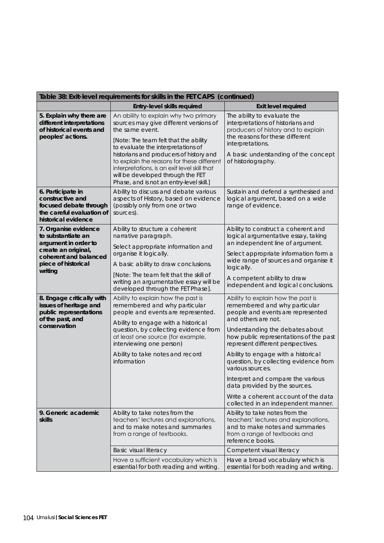| Table 38: Exit-level requirements for skills in the FET CAPS (continued)                                                                             |                                                                                                                                                                                                                                                                                                                                                                                                             |                                                                                                                                                                                                                              |  |  |
|------------------------------------------------------------------------------------------------------------------------------------------------------|-------------------------------------------------------------------------------------------------------------------------------------------------------------------------------------------------------------------------------------------------------------------------------------------------------------------------------------------------------------------------------------------------------------|------------------------------------------------------------------------------------------------------------------------------------------------------------------------------------------------------------------------------|--|--|
|                                                                                                                                                      | Entry-level skills required                                                                                                                                                                                                                                                                                                                                                                                 | <b>Exit level required</b>                                                                                                                                                                                                   |  |  |
| 5. Explain why there are<br>different interpretations<br>of historical events and<br>peoples' actions.                                               | An ability to explain why two primary<br>sources may give different versions of<br>the same event.<br>[Note: The team felt that the ability<br>to evaluate the interpretations of<br>historians and producers of history and<br>to explain the reasons for these different<br>interpretations, is an exit level skill that<br>will be developed through the FET<br>Phase, and is not an entry-level skill.] | The ability to evaluate the<br>interpretations of historians and<br>producers of history and to explain<br>the reasons for these different<br>interpretations.<br>A basic understanding of the concept<br>of historiography. |  |  |
| 6. Participate in<br>constructive and<br>focused debate through<br>the careful evaluation of<br>historical evidence                                  | Ability to discuss and debate various<br>aspects of History, based on evidence<br>(possibly only from one or two<br>sources).                                                                                                                                                                                                                                                                               | Sustain and defend a synthesised and<br>logical argument, based on a wide<br>range of evidence.                                                                                                                              |  |  |
| 7. Organise evidence<br>to substantiate an<br>argument in order to<br>create an original,<br>coherent and balanced<br>piece of historical<br>writing | Ability to structure a coherent<br>narrative paragraph.<br>Select appropriate information and<br>organise it logically.                                                                                                                                                                                                                                                                                     | Ability to construct a coherent and<br>logical argumentative essay, taking<br>an independent line of argument.<br>Select appropriate information form a                                                                      |  |  |
|                                                                                                                                                      | A basic ability to draw conclusions.                                                                                                                                                                                                                                                                                                                                                                        | wide range of sources and organise it<br>logically.                                                                                                                                                                          |  |  |
|                                                                                                                                                      | [Note: The team felt that the skill of<br>writing an argumentative essay will be<br>developed through the FET Phase].                                                                                                                                                                                                                                                                                       | A competent ability to draw<br>independent and logical conclusions.                                                                                                                                                          |  |  |
| 8. Engage critically with<br>issues of heritage and<br>public representations<br>of the past, and                                                    | Ability to explain how the past is<br>remembered and why particular<br>people and events are represented.<br>Ability to engage with a historical                                                                                                                                                                                                                                                            | Ability to explain how the past is<br>remembered and why particular<br>people and events are represented<br>and others are not.                                                                                              |  |  |
| conservation                                                                                                                                         | question, by collecting evidence from<br>at least one source (for example,<br>interviewing one person)                                                                                                                                                                                                                                                                                                      | Understanding the debates about<br>how public representations of the past<br>represent different perspectives.                                                                                                               |  |  |
|                                                                                                                                                      | Ability to take notes and record<br>information                                                                                                                                                                                                                                                                                                                                                             | Ability to engage with a historical<br>question, by collecting evidence from<br>various sources.                                                                                                                             |  |  |
|                                                                                                                                                      |                                                                                                                                                                                                                                                                                                                                                                                                             | Interpret and compare the various<br>data provided by the sources.                                                                                                                                                           |  |  |
|                                                                                                                                                      |                                                                                                                                                                                                                                                                                                                                                                                                             | Write a coherent account of the data<br>collected in an independent manner.                                                                                                                                                  |  |  |
| 9. Generic academic<br>skills                                                                                                                        | Ability to take notes from the<br>teachers' lectures and explanations,<br>and to make notes and summaries<br>from a range of textbooks.                                                                                                                                                                                                                                                                     | Ability to take notes from the<br>teachers' lectures and explanations,<br>and to make notes and summaries<br>from a range of textbooks and<br>reference books.                                                               |  |  |
|                                                                                                                                                      | Basic visual literacy                                                                                                                                                                                                                                                                                                                                                                                       | Competent visual literacy                                                                                                                                                                                                    |  |  |
|                                                                                                                                                      | Have a sufficient vocabulary which is<br>essential for both reading and writing.                                                                                                                                                                                                                                                                                                                            | Have a broad vocabulary which is<br>essential for both reading and writing.                                                                                                                                                  |  |  |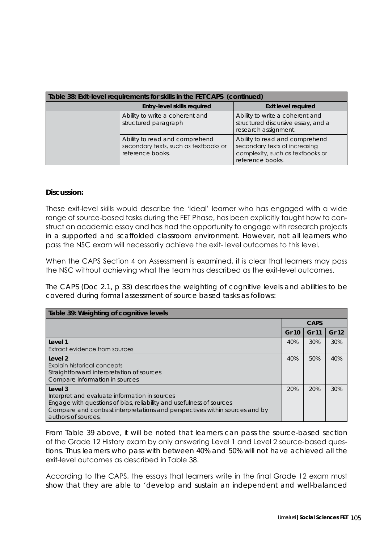| Table 38: Exit-level requirements for skills in the FET CAPS (continued) |                                                                                             |                                                                                                                         |  |
|--------------------------------------------------------------------------|---------------------------------------------------------------------------------------------|-------------------------------------------------------------------------------------------------------------------------|--|
|                                                                          | Entry-level skills required                                                                 | <b>Exit level required</b>                                                                                              |  |
|                                                                          | Ability to write a coherent and<br>structured paragraph                                     | Ability to write a coherent and<br>structured discursive essay, and a<br>research assignment.                           |  |
|                                                                          | Ability to read and comprehend<br>secondary texts, such as textbooks or<br>reference books. | Ability to read and comprehend<br>secondary texts of increasing<br>complexity, such as textbooks or<br>reference books. |  |

#### **Discussion:**

These exit-level skills would describe the 'ideal' learner who has engaged with a wide range of source-based tasks during the FET Phase, has been explicitly taught how to construct an academic essay and has had the opportunity to engage with research projects in a supported and scaffolded classroom environment. However, not all learners who pass the NSC exam will necessarily achieve the exit- level outcomes to this level.

When the CAPS Section 4 on Assessment is examined, it is clear that learners may pass the NSC without achieving what the team has described as the exit-level outcomes.

The CAPS (Doc 2.1, p 33) describes the weighting of cognitive levels and abilities to be covered during formal assessment of source based tasks as follows:

| Table 39: Weighting of cognitive levels                                                                                                                                                                                                |             |              |       |  |
|----------------------------------------------------------------------------------------------------------------------------------------------------------------------------------------------------------------------------------------|-------------|--------------|-------|--|
|                                                                                                                                                                                                                                        | <b>CAPS</b> |              |       |  |
|                                                                                                                                                                                                                                        | Gr 10       | <b>Gr 11</b> | Gr 12 |  |
| Level 1<br>Extract evidence from sources                                                                                                                                                                                               | 40%         | 30%          | 30%   |  |
| Level 2<br>Explain historical concepts<br>Straightforward interpretation of sources<br>Compare information in sources                                                                                                                  | 40%         | 50%          | 40%   |  |
| Level 3<br>Interpret and evaluate information in sources<br>Engage with questions of bias, reliability and usefulness of sources<br>Compare and contrast interpretations and perspectives within sources and by<br>authors of sources. | 20%         | 20%          | 30%   |  |

From Table 39 above, it will be noted that learners can pass the source-based section of the Grade 12 History exam by only answering Level 1 and Level 2 source-based questions. Thus learners who pass with between 40% and 50% will not have achieved all the exit-level outcomes as described in Table 38.

According to the CAPS, the essays that learners write in the final Grade 12 exam must show that they are able to *'develop and sustain an independent and well-balanced*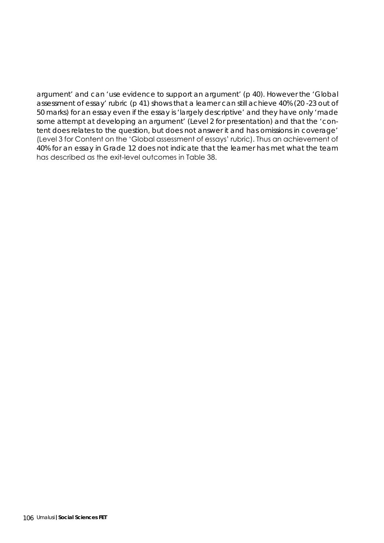*argument'* and can *'use evidence to support an argument'* (p 40). However the *'Global assessment of essay'* rubric (p 41) shows that a learner can still achieve 40% (20 -23 out of 50 marks) for an essay even if the essay is *'largely descriptive'* and they have only *'made some attempt at developing an argument'* (Level 2 for presentation) and that the *'content does relates to the question, but does not answer it and has omissions in coverage'*  (Level 3 for Content on the 'Global assessment of essays' rubric). Thus an achievement of 40% for an essay in Grade 12 does not indicate that the learner has met what the team has described as the exit-level outcomes in Table 38.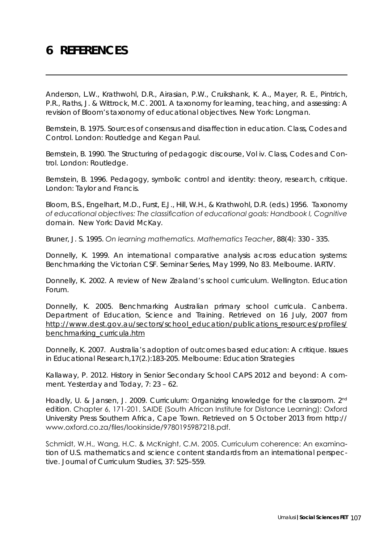# **6 REFERENCES**

Anderson, L.W., Krathwohl, D.R., Airasian, P.W., Cruikshank, K. A., Mayer, R. E., Pintrich, P.R., Raths, J. & Wittrock, M.C. 2001. *A taxonomy for learning, teaching, and assessing: A revision of Bloom's taxonomy of educational objectives*. New York: Longman.

Bernstein, B. 1975. *Sources of consensus and disaffection in education. Class, Codes and Control.* London: Routledge and Kegan Paul.

Bernstein, B. 1990. *The Structuring of pedagogic discourse, Vol iv. Class, Codes and Control.* London: Routledge.

Bernstein, B. 1996. *Pedagogy, symbolic control and identity: theory, research, critique.*  London: Taylor and Francis.

Bloom, B.S., Engelhart, M.D., Furst, E.J., Hill, W.H., & Krathwohl, D.R. (eds.) 1956. *Taxonomy of educational objectives: The classification of educational goals: Handbook I, Cognitive domain*. New York: David McKay.

Bruner, J. S. 1995. *On learning mathematics. Mathematics Teacher*, 88(4): 330 - 335.

Donnelly, K. 1999. An international comparative analysis across education systems: Benchmarking the Victorian CSF. *Seminar Series*, May 1999, No 83. Melbourne. IARTV.

Donnelly, K. 2002. *A review of New Zealand's school curriculum*. Wellington. Education Forum.

Donnelly, K. 2005. Benchmarking Australian primary school curricula. Canberra. Department of Education, Science and Training. Retrieved on 16 July, 2007 from *http://www.dest.gov.au/sectors/school\_education/publications\_resources/profiles/ benchmarking\_curricula.htm*

Donnelly, K. 2007. Australia's adoption of outcomes based education: *A critique. Issues in Educational Research*,17(2.):183-205. Melbourne: Education Strategies

Kallaway, P. 2012. History in Senior Secondary School CAPS 2012 and beyond: A comment. *Yesterday and Today*, 7: 23 – 62.

Hoadly, U. & Jansen, J. 2009. Curriculum: *Organizing knowledge for the classroom*. *2nd edition*. Chapter 6, 171-201. SAIDE (South African Institute for Distance Learning): Oxford University Press Southern Africa, Cape Town. Retrieved on 5 October 2013 from http:// www.oxford.co.za/files/lookinside/9780195987218.pdf.

Schmidt, W.H., Wang, H.C. & McKnight, C.M. 2005. Curriculum coherence: An examination of U.S. mathematics and science content standards from an international perspective. *Journal of Curriculum Studies*, 37: 525–559.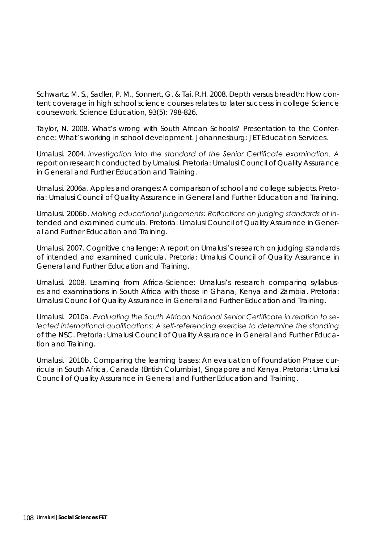Schwartz, M. S., Sadler, P. M., Sonnert, G. & Tai, R.H. 2008. Depth versus breadth: How content coverage in high school science courses relates to later success in college Science coursework. *Science Education*, 93(5): 798-826.

Taylor, N. 2008. What's wrong with South African Schools? Presentation to the Conference: *What's working in school development*. Johannesburg: JET Education Services.

Umalusi. 2004. *Investigation into the standard of the Senior Certificate examination. A report on research conducted by Umalusi*. Pretoria: Umalusi Council of Quality Assurance in General and Further Education and Training.

Umalusi. 2006a. *Apples and oranges: A comparison of school and college subjects.* Pretoria: Umalusi Council of Quality Assurance in General and Further Education and Training.

Umalusi. 2006b. *Making educational judgements: Reflections on judging standards of intended and examined curricula.* Pretoria: Umalusi Council of Quality Assurance in General and Further Education and Training.

Umalusi. 2007. *Cognitive challenge: A report on Umalusi's research on judging standards of intended and examined curricula.* Pretoria: Umalusi Council of Quality Assurance in General and Further Education and Training.

Umalusi. 2008. *Learning from Africa-Science: Umalusi's research comparing syllabuses and examinations in South Africa with those in Ghana, Kenya and Zambia.* Pretoria: Umalusi Council of Quality Assurance in General and Further Education and Training.

Umalusi. 2010a. *Evaluating the South African National Senior Certificate in relation to selected international qualifications: A self-referencing exercise to determine the standing of the NSC.* Pretoria: Umalusi Council of Quality Assurance in General and Further Education and Training.

Umalusi. 2010b. *Comparing the learning bases: An evaluation of Foundation Phase curricula in South Africa, Canada (British Columbia), Singapore and Kenya.* Pretoria: Umalusi Council of Quality Assurance in General and Further Education and Training.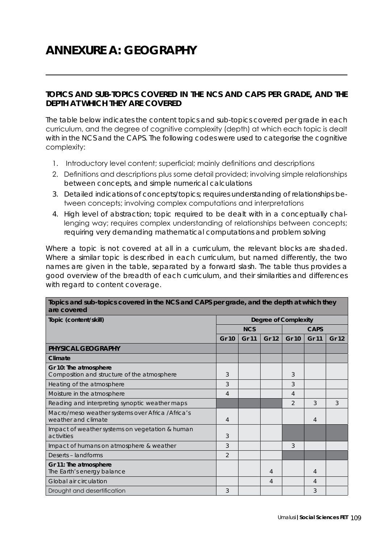## **ANNEXURE A: GEOGRAPHY**

## **TOPICS AND SUB-TOPICS COVERED IN THE NCS AND CAPS PER GRADE, AND THE DEPTH AT WHICH THEY ARE COVERED**

The table below indicates the content topics and sub-topics covered per grade in each curriculum, and the degree of cognitive complexity (depth) at which each topic is dealt with in the NCS and the CAPS. The following codes were used to categorise the cognitive complexity:

- 1. Introductory level content; superficial; mainly definitions and descriptions
- 2. Definitions and descriptions plus some detail provided; involving simple relationships between concepts, and simple numerical calculations
- 3. Detailed indications of concepts/topics; requires understanding of relationships between concepts; involving complex computations and interpretations
- 4. High level of abstraction; topic required to be dealt with in a conceptually challenging way; requires complex understanding of relationships between concepts; requiring very demanding mathematical computations and problem solving

Where a topic is not covered at all in a curriculum, the relevant blocks are shaded. Where a similar topic is described in each curriculum, but named differently, the two names are given in the table, separated by a forward slash. The table thus provides a good overview of the breadth of each curriculum, and their similarities and differences with regard to content coverage.

| Topics and sub-topics covered in the NCS and CAPS per grade, and the depth at which they<br>are covered |                             |            |       |               |              |              |  |
|---------------------------------------------------------------------------------------------------------|-----------------------------|------------|-------|---------------|--------------|--------------|--|
| Topic (content/skill)                                                                                   | <b>Degree of Complexity</b> |            |       |               |              |              |  |
|                                                                                                         |                             | <b>NCS</b> |       |               | <b>CAPS</b>  |              |  |
|                                                                                                         | <b>Gr 10</b>                | Gr 11      | Gr 12 | <b>Gr 10</b>  | <b>Gr 11</b> | <b>Gr 12</b> |  |
| PHYSICAL GEOGRAPHY                                                                                      |                             |            |       |               |              |              |  |
| Climate                                                                                                 |                             |            |       |               |              |              |  |
| Gr 10: The atmosphere<br>Composition and structure of the atmosphere                                    | 3                           |            |       | 3             |              |              |  |
| Heating of the atmosphere                                                                               | 3                           |            |       | 3             |              |              |  |
| Moisture in the atmosphere                                                                              | 4                           |            |       | 4             |              |              |  |
| Reading and interpreting synoptic weather maps                                                          |                             |            |       | $\mathcal{P}$ | 3            | 3            |  |
| Macro/meso weather systems over Africa / Africa's<br>weather and climate                                | $\overline{4}$              |            |       |               | 4            |              |  |
| Impact of weather systems on vegetation & human<br>activities                                           | 3                           |            |       |               |              |              |  |
| Impact of humans on atmosphere & weather                                                                | 3                           |            |       | 3             |              |              |  |
| Deserts - landforms                                                                                     | $\overline{2}$              |            |       |               |              |              |  |
| Gr 11: The atmosphere<br>The Earth's energy balance                                                     |                             |            | 4     |               | 4            |              |  |
| Global air circulation                                                                                  |                             |            | 4     |               | 4            |              |  |
| Drought and desertification                                                                             | 3                           |            |       |               | 3            |              |  |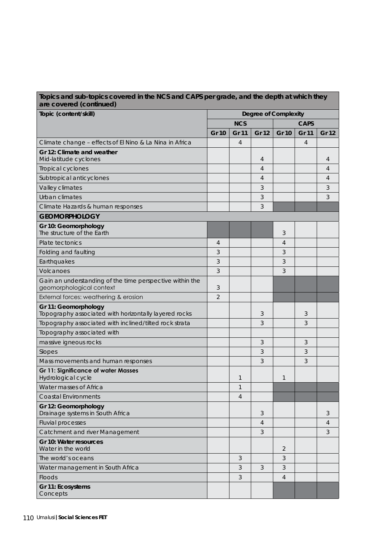| Topics and sub-topics covered in the NCS and CAPS per grade, and the depth at which they<br>are covered (continued) |                             |                |                |                |              |                |
|---------------------------------------------------------------------------------------------------------------------|-----------------------------|----------------|----------------|----------------|--------------|----------------|
| Topic (content/skill)                                                                                               | <b>Degree of Complexity</b> |                |                |                |              |                |
|                                                                                                                     | <b>NCS</b>                  |                |                |                | <b>CAPS</b>  |                |
|                                                                                                                     | <b>Gr 10</b>                | <b>Gr 11</b>   | <b>Gr 12</b>   | <b>Gr 10</b>   | <b>Gr 11</b> | Gr 12          |
| Climate change - effects of El Nino & La Nina in Africa                                                             |                             | 4              |                |                | 4            |                |
| Gr 12: Climate and weather                                                                                          |                             |                |                |                |              |                |
| Mid-latitude cyclones                                                                                               |                             |                | 4              |                |              | 4              |
| Tropical cyclones                                                                                                   |                             |                | 4              |                |              | 4              |
| Subtropical anticyclones                                                                                            |                             |                | $\overline{4}$ |                |              | $\overline{4}$ |
| Valley climates                                                                                                     |                             |                | 3              |                |              | 3              |
| Urban climates                                                                                                      |                             |                | 3              |                |              | 3              |
| Climate Hazards & human responses                                                                                   |                             |                | 3              |                |              |                |
| <b>GEOMORPHOLOGY</b>                                                                                                |                             |                |                |                |              |                |
| Gr 10: Geomorphology<br>The structure of the Earth                                                                  |                             |                |                | 3              |              |                |
| Plate tectonics                                                                                                     | $\overline{4}$              |                |                | 4              |              |                |
| Folding and faulting                                                                                                | 3                           |                |                | 3              |              |                |
| Earthquakes                                                                                                         | 3                           |                |                | 3              |              |                |
| Volcanoes                                                                                                           | 3                           |                |                | 3              |              |                |
| Gain an understanding of the time perspective within the<br>geomorphological context                                | 3                           |                |                |                |              |                |
| External forces: weathering & erosion                                                                               | $\overline{2}$              |                |                |                |              |                |
| Gr 11: Geomorphology<br>Topography associated with horizontally layered rocks                                       |                             |                | 3              |                | 3            |                |
| Topography associated with inclined/tilted rock strata                                                              |                             |                | 3              |                | 3            |                |
| Topography associated with                                                                                          |                             |                |                |                |              |                |
| massive igneous rocks                                                                                               |                             |                | 3              |                | 3            |                |
| Slopes                                                                                                              |                             |                | 3              |                | 3            |                |
| Mass movements and human responses                                                                                  |                             |                | 3              |                | 3            |                |
| <b>Gr 11: Significance of water Masses</b><br>Hydrological cycle                                                    |                             | 1              |                | $\mathbf{1}$   |              |                |
| Water masses of Africa                                                                                              |                             | $\mathbf{1}$   |                |                |              |                |
| <b>Coastal Environments</b>                                                                                         |                             | $\overline{4}$ |                |                |              |                |
| Gr 12: Geomorphology<br>Drainage systems in South Africa                                                            |                             |                | 3              |                |              | 3              |
| <b>Fluvial processes</b>                                                                                            |                             |                | 4              |                |              | 4              |
| Catchment and river Management                                                                                      |                             |                | 3              |                |              | 3              |
| Gr 10: Water resources<br>Water in the world                                                                        |                             |                |                | $\overline{2}$ |              |                |
| The world's oceans                                                                                                  |                             | 3              |                | 3              |              |                |
| Water management in South Africa                                                                                    |                             | 3              | 3              | 3              |              |                |
| Floods                                                                                                              |                             | 3              |                | $\overline{4}$ |              |                |
| Gr 11: Ecosystems<br>Concepts                                                                                       |                             |                |                |                |              |                |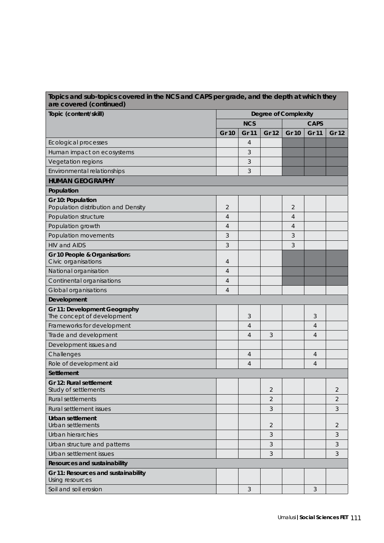| Topic (content/skill)                                      | <b>Degree of Complexity</b> |                |                |                |                |                |
|------------------------------------------------------------|-----------------------------|----------------|----------------|----------------|----------------|----------------|
|                                                            |                             | <b>NCS</b>     |                | <b>CAPS</b>    |                |                |
|                                                            | <b>Gr 10</b>                | <b>Gr 11</b>   | <b>Gr 12</b>   | <b>Gr 10</b>   | <b>Gr 11</b>   | <b>Gr 12</b>   |
| <b>Ecological processes</b>                                |                             | 4              |                |                |                |                |
| Human impact on ecosystems                                 |                             | 3              |                |                |                |                |
| Vegetation regions                                         |                             | 3              |                |                |                |                |
| Environmental relationships                                |                             | 3              |                |                |                |                |
| <b>HUMAN GEOGRAPHY</b>                                     |                             |                |                |                |                |                |
| Population                                                 |                             |                |                |                |                |                |
| Gr 10: Population<br>Population distribution and Density   | $\overline{2}$              |                |                | $\overline{2}$ |                |                |
| Population structure                                       | $\overline{4}$              |                |                | $\overline{4}$ |                |                |
| Population growth                                          | $\overline{4}$              |                |                | 4              |                |                |
| Population movements                                       | 3                           |                |                | 3              |                |                |
| <b>HIV and AIDS</b>                                        | 3                           |                |                | 3              |                |                |
| Gr 10 People & Organisations<br>Civic organisations        | 4                           |                |                |                |                |                |
| National organisation                                      | $\overline{4}$              |                |                |                |                |                |
| Continental organisations                                  | 4                           |                |                |                |                |                |
| Global organisations                                       | $\overline{4}$              |                |                |                |                |                |
| Development                                                |                             |                |                |                |                |                |
| Gr 11: Development Geography<br>The concept of development |                             | 3              |                |                | 3              |                |
| Frameworks for development                                 |                             | 4              |                |                | 4              |                |
| Trade and development                                      |                             | $\overline{4}$ | 3              |                | 4              |                |
| Development issues and                                     |                             |                |                |                |                |                |
| Challenges                                                 |                             | 4              |                |                | 4              |                |
| Role of development aid                                    |                             | $\overline{4}$ |                |                | $\overline{4}$ |                |
| Settlement                                                 |                             |                |                |                |                |                |
| Gr 12: Rural settlement<br>Study of settlements            |                             |                | $\overline{2}$ |                |                | $\overline{2}$ |
| Rural settlements                                          |                             |                | $\overline{2}$ |                |                | $\overline{2}$ |
| Rural settlement issues                                    |                             |                | 3              |                |                | 3              |
| Urban settlement<br>Urban settlements                      |                             |                | $\overline{2}$ |                |                | 2              |
| Urban hierarchies                                          |                             |                | 3              |                |                | 3              |
| Urban structure and patterns                               |                             |                | 3              |                |                | 3              |
| Urban settlement issues                                    |                             |                | 3              |                |                | 3              |
| Resources and sustainability                               |                             |                |                |                |                |                |
| Gr 11: Resources and sustainability<br>Using resources     |                             |                |                |                |                |                |
| Soil and soil erosion                                      |                             | 3              |                |                | 3              |                |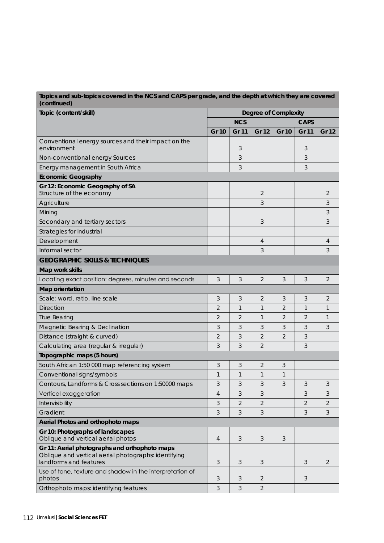| Topics and sub-topics covered in the NCS and CAPS per grade, and the depth at which they are covered<br>(continued)             |                |                |                |                |                |                |
|---------------------------------------------------------------------------------------------------------------------------------|----------------|----------------|----------------|----------------|----------------|----------------|
| Topic (content/skill)                                                                                                           |                |                |                |                |                |                |
|                                                                                                                                 | <b>NCS</b>     |                |                |                |                |                |
|                                                                                                                                 | <b>Gr 10</b>   | <b>Gr 11</b>   | <b>Gr 12</b>   | <b>Gr 10</b>   | <b>Gr 11</b>   | Gr 12          |
| Conventional energy sources and their impact on the<br>environment                                                              |                | 3              |                |                | 3              |                |
| Non-conventional energy Sources                                                                                                 |                | 3              |                |                | 3              |                |
| Energy management in South Africa                                                                                               |                | 3              |                |                | 3              |                |
| <b>Economic Geography</b>                                                                                                       |                |                |                |                |                |                |
| Gr 12: Economic Geography of SA<br>Structure of the economy                                                                     |                |                | $\overline{2}$ |                |                | $\overline{2}$ |
| Agriculture                                                                                                                     |                |                | 3              |                |                | 3              |
| Mining                                                                                                                          |                |                |                |                |                | 3              |
| Secondary and tertiary sectors                                                                                                  |                |                | 3              |                |                | 3              |
| Strategies for industrial                                                                                                       |                |                |                |                |                |                |
| Development                                                                                                                     |                |                | 4              |                |                | 4              |
| Informal sector                                                                                                                 |                |                | 3              |                |                | 3              |
| <b>GEOGRAPHIC SKILLS &amp; TECHNIQUES</b>                                                                                       |                |                |                |                |                |                |
| Map work skills                                                                                                                 |                |                |                |                |                |                |
| Locating exact position: degrees, minutes and seconds                                                                           | 3              | 3              | $\overline{2}$ | 3              | 3              | $\overline{2}$ |
| <b>Map orientation</b>                                                                                                          |                |                |                |                |                |                |
| Scale: word, ratio, line scale                                                                                                  | 3              | 3              | $\overline{2}$ | 3              | 3              | $\overline{2}$ |
| <b>Direction</b>                                                                                                                | 2              | 1              | 1              | 2              | 1              | 1              |
| <b>True Bearing</b>                                                                                                             | $\overline{2}$ | $\overline{2}$ | 1              | $\overline{2}$ | $\overline{2}$ | $\mathbf{1}$   |
| Magnetic Bearing & Declination                                                                                                  | 3              | 3              | 3              | 3              | 3              | 3              |
| Distance (straight & curved)                                                                                                    | $\overline{2}$ | 3              | 2              | $\overline{2}$ | 3              |                |
| Calculating area (regular & irregular)                                                                                          | 3              | 3              | 2              |                | 3              |                |
| Topographic maps (5 hours)                                                                                                      |                |                |                |                |                |                |
| South African 1:50 000 map referencing system                                                                                   | 3              | 3              | 2              | 3              |                |                |
| Conventional signs/symbols                                                                                                      | 1              | $\mathbf{1}$   | 1              | 1              |                |                |
| Contours, Landforms & Cross sections on 1:50000 maps                                                                            | 3              | 3              | 3              | 3              | 3              | 3              |
| Vertical exaggeration                                                                                                           | $\overline{4}$ | 3              | 3              |                | 3              | 3              |
| Intervisibility                                                                                                                 | 3              | $\overline{2}$ | 2              |                | $\overline{2}$ | $\overline{2}$ |
| Gradient                                                                                                                        | 3              | 3              | 3              |                | $\mathfrak{Z}$ | 3              |
| Aerial Photos and orthophoto maps                                                                                               |                |                |                |                |                |                |
| Gr 10: Photographs of landscapes<br>Oblique and vertical aerial photos                                                          | 4              | 3              | 3              | 3              |                |                |
| Gr 11: Aerial photographs and orthophoto maps<br>Oblique and vertical aerial photographs: identifying<br>landforms and features | 3              | 3              | 3              |                | 3              | $\overline{2}$ |
| Use of tone, texture and shadow in the interpretation of<br>photos                                                              | 3              | 3              | 2              |                | 3              |                |
| Orthophoto maps: identifying features                                                                                           | 3              | 3              | 2              |                |                |                |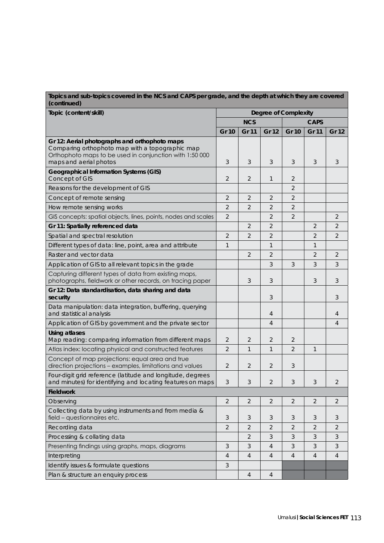| Topics and sub-topics covered in the NCS and CAPS per grade, and the depth at which they are covered<br>(continued)                                                                   |                             |                |                |                |                |                |
|---------------------------------------------------------------------------------------------------------------------------------------------------------------------------------------|-----------------------------|----------------|----------------|----------------|----------------|----------------|
| Topic (content/skill)                                                                                                                                                                 | <b>Degree of Complexity</b> |                |                |                |                |                |
|                                                                                                                                                                                       |                             | <b>NCS</b>     |                |                | <b>CAPS</b>    |                |
|                                                                                                                                                                                       | <b>Gr 10</b>                | <b>Gr 11</b>   | Gr 12          | <b>Gr 10</b>   | <b>Gr 11</b>   | Gr 12          |
| Gr 12: Aerial photographs and orthophoto maps<br>Comparing orthophoto map with a topographic map<br>Orthophoto maps to be used in conjunction with 1:50 000<br>maps and aerial photos | 3                           | 3              | 3              | 3              | 3              | 3              |
| <b>Geographical Information Systems (GIS)</b><br>Concept of GIS                                                                                                                       | 2                           | $\overline{2}$ | $\mathbf{1}$   | 2              |                |                |
| Reasons for the development of GIS                                                                                                                                                    |                             |                |                | $\overline{2}$ |                |                |
| Concept of remote sensing                                                                                                                                                             | 2                           | $\overline{2}$ | $\overline{2}$ | 2              |                |                |
| How remote sensing works                                                                                                                                                              | $\overline{2}$              | $\overline{2}$ | $\overline{2}$ | $\overline{2}$ |                |                |
| GIS concepts: spatial objects, lines, points, nodes and scales                                                                                                                        | $\overline{2}$              |                | 2              | $\overline{2}$ |                | 2              |
| Gr 11: Spatially referenced data                                                                                                                                                      |                             | $\overline{2}$ | $\overline{2}$ |                | $\overline{2}$ | $\overline{2}$ |
| Spatial and spectral resolution                                                                                                                                                       | $\overline{2}$              | $\overline{2}$ | $\overline{2}$ |                | $\overline{2}$ | $\overline{2}$ |
| Different types of data: line, point, area and attribute                                                                                                                              | 1                           |                | $\mathbf{1}$   |                | 1              |                |
| Raster and vector data                                                                                                                                                                |                             | $\overline{2}$ | $\overline{2}$ |                | $\overline{2}$ | 2              |
| Application of GIS to all relevant topics in the grade                                                                                                                                |                             |                | 3              | 3              | 3              | 3              |
| Capturing different types of data from existing maps,<br>photographs, fieldwork or other records, on tracing paper                                                                    |                             | 3              | 3              |                | 3              | 3              |
| Gr 12: Data standardisation, data sharing and data<br>security                                                                                                                        |                             |                | 3              |                |                | 3              |
| Data manipulation: data integration, buffering, querying<br>and statistical analysis                                                                                                  |                             |                | 4              |                |                | 4              |
| Application of GIS by government and the private sector                                                                                                                               |                             |                | $\overline{4}$ |                |                | 4              |
| <b>Using atlases</b><br>Map reading: comparing information from different maps                                                                                                        | 2                           | $\overline{2}$ | $\overline{2}$ | 2              |                |                |
| Atlas index: locating physical and constructed features                                                                                                                               | $\overline{2}$              | $\mathbf{1}$   | $\mathbf{1}$   | $\overline{2}$ | $\mathbf{1}$   |                |
| Concept of map projections: equal area and true<br>direction projections - examples, limitations and values                                                                           | 2                           | $\overline{2}$ | $\overline{2}$ | 3              |                |                |
| Four-digit grid reference (latitude and longitude, degrees<br>and minutes) for identifying and locating features on maps                                                              | 3                           | $\mathfrak{Z}$ | $\sqrt{2}$     | 3              | 3              | 2              |
| <b>Fieldwork</b>                                                                                                                                                                      |                             |                |                |                |                |                |
| Observing                                                                                                                                                                             | $\overline{2}$              | $\overline{2}$ | $\overline{2}$ | $\overline{2}$ | 2              | $\overline{2}$ |
| Collecting data by using instruments and from media &<br>field - questionnaires etc.                                                                                                  | 3                           | 3              | 3              | 3              | 3              | 3              |
| Recording data                                                                                                                                                                        | $\overline{2}$              | $\overline{2}$ | $\overline{2}$ | $\overline{2}$ | $\overline{2}$ | $\overline{2}$ |
| Processing & collating data                                                                                                                                                           |                             | $\overline{2}$ | 3              | 3              | 3              | 3              |
| Presenting findings using graphs, maps, diagrams                                                                                                                                      | 3                           | 3              | 4              | 3              | 3              | 3              |
| Interpreting                                                                                                                                                                          | $\overline{4}$              | $\overline{4}$ | 4              | 4              | $\overline{4}$ | 4              |
| Identify issues & formulate questions                                                                                                                                                 | 3                           |                |                |                |                |                |
| Plan & structure an enquiry process                                                                                                                                                   |                             | $\overline{4}$ | $\overline{4}$ |                |                |                |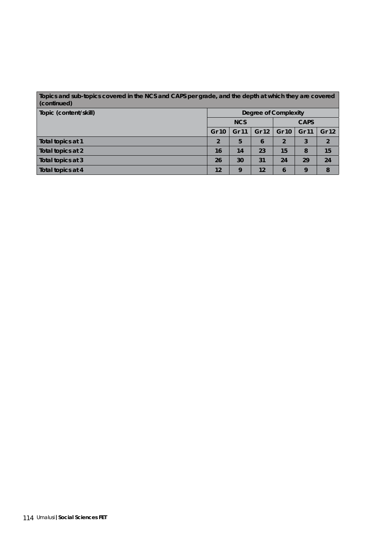| Topics and sub-topics covered in the NCS and CAPS per grade, and the depth at which they are covered<br>(continued) |                      |       |       |                |       |                |  |  |
|---------------------------------------------------------------------------------------------------------------------|----------------------|-------|-------|----------------|-------|----------------|--|--|
| Topic (content/skill)                                                                                               | Degree of Complexity |       |       |                |       |                |  |  |
|                                                                                                                     | <b>NCS</b>           |       |       | <b>CAPS</b>    |       |                |  |  |
|                                                                                                                     | Gr 10                | Gr 11 | Gr 12 | Gr 10          | Gr 11 | <b>Gr 12</b>   |  |  |
| Total topics at 1                                                                                                   | $\overline{2}$       | 5     | 6     | $\overline{2}$ | 3     | $\overline{2}$ |  |  |
| Total topics at 2                                                                                                   | 16                   | 14    | 23    | 15             | 8     | 15             |  |  |
| Total topics at 3                                                                                                   | 26                   | 30    | 31    | 24             | 29    | 24             |  |  |
| Total topics at 4                                                                                                   | 12                   | 9     | 12    | 6              | 9     | 8              |  |  |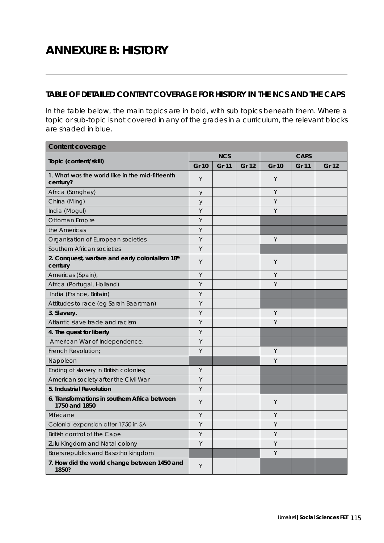## **ANNEXURE B: HISTORY**

## **TABLE OF DETAILED CONTENT COVERAGE FOR HISTORY IN THE NCS AND THE CAPS**

In the table below, the main topics are in bold, with sub topics beneath them. Where a topic or sub-topic is not covered in any of the grades in a curriculum, the relevant blocks are shaded in blue.

| <b>Content coverage</b>                                        |              |            |       |              |             |       |  |  |
|----------------------------------------------------------------|--------------|------------|-------|--------------|-------------|-------|--|--|
| Topic (content/skill)                                          |              | <b>NCS</b> |       |              | <b>CAPS</b> |       |  |  |
|                                                                | <b>Gr 10</b> | Gr 11      | Gr 12 | <b>Gr 10</b> | Gr 11       | Gr 12 |  |  |
| 1. What was the world like in the mid-fifteenth<br>century?    | Y            |            |       | Y            |             |       |  |  |
| Africa (Songhay)                                               | $\mathsf y$  |            |       | Υ            |             |       |  |  |
| China (Ming)                                                   | y            |            |       | Y            |             |       |  |  |
| India (Mogul)                                                  | Y            |            |       | Y            |             |       |  |  |
| Ottoman Empire                                                 | Y            |            |       |              |             |       |  |  |
| the Americas                                                   | Y            |            |       |              |             |       |  |  |
| Organisation of European societies                             | Y            |            |       | Y            |             |       |  |  |
| Southern African societies                                     | Y            |            |       |              |             |       |  |  |
| 2. Conquest, warfare and early colonialism 18th<br>century     | Y            |            |       | Y            |             |       |  |  |
| Americas (Spain),                                              | Y            |            |       | Y            |             |       |  |  |
| Africa (Portugal, Holland)                                     | Y            |            |       | Y            |             |       |  |  |
| India (France, Britain)                                        | Υ            |            |       |              |             |       |  |  |
| Attitudes to race (eg Sarah Baartman)                          | Y            |            |       |              |             |       |  |  |
| 3. Slavery.                                                    | Y            |            |       | Y            |             |       |  |  |
| Atlantic slave trade and racism                                | Υ            |            |       | Υ            |             |       |  |  |
| 4. The quest for liberty                                       | Y            |            |       |              |             |       |  |  |
| American War of Independence;                                  | Y            |            |       |              |             |       |  |  |
| French Revolution;                                             | Y            |            |       | Y            |             |       |  |  |
| Napoleon                                                       |              |            |       | Y            |             |       |  |  |
| Ending of slavery in British colonies;                         | Υ            |            |       |              |             |       |  |  |
| American society after the Civil War                           | Υ            |            |       |              |             |       |  |  |
| 5. Industrial Revolution                                       | Y            |            |       |              |             |       |  |  |
| 6. Transformations in southern Africa between<br>1750 and 1850 | Y            |            |       | Y            |             |       |  |  |
| Mfecane                                                        | Y            |            |       | Y            |             |       |  |  |
| Colonial expansion after 1750 in SA                            | Y            |            |       | Y            |             |       |  |  |
| British control of the Cape                                    | Υ            |            |       | Υ            |             |       |  |  |
| Zulu Kingdom and Natal colony                                  | Y            |            |       | Υ            |             |       |  |  |
| Boers republics and Basotho kingdom                            |              |            |       | Y            |             |       |  |  |
| 7. How did the world change between 1450 and<br>1850?          | Y            |            |       |              |             |       |  |  |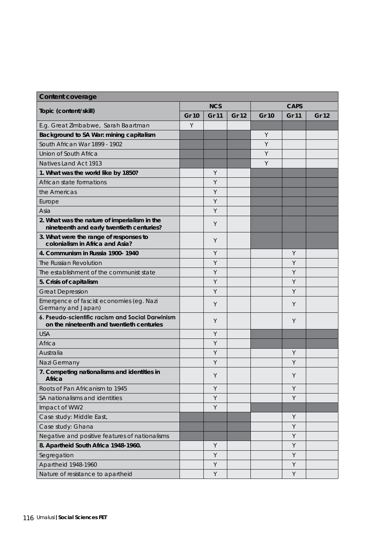| <b>Content coverage</b>                                                                       |              |              |              |              |             |       |  |  |
|-----------------------------------------------------------------------------------------------|--------------|--------------|--------------|--------------|-------------|-------|--|--|
|                                                                                               |              | <b>NCS</b>   |              |              | <b>CAPS</b> |       |  |  |
| Topic (content/skill)                                                                         | <b>Gr 10</b> | <b>Gr 11</b> | <b>Gr 12</b> | <b>Gr 10</b> | Gr 11       | Gr 12 |  |  |
| E.g. Great Zimbabwe, Sarah Baartman                                                           | Y            |              |              |              |             |       |  |  |
| Background to SA War: mining capitalism                                                       |              |              |              | Υ            |             |       |  |  |
| South African War 1899 - 1902                                                                 |              |              |              | Y            |             |       |  |  |
| Union of South Africa                                                                         |              |              |              | Y            |             |       |  |  |
| Natives Land Act 1913                                                                         |              |              |              | Y            |             |       |  |  |
| 1. What was the world like by 1850?                                                           |              | Y            |              |              |             |       |  |  |
| African state formations                                                                      |              | Y            |              |              |             |       |  |  |
| the Americas                                                                                  |              | Y            |              |              |             |       |  |  |
| Europe                                                                                        |              | Y            |              |              |             |       |  |  |
| Asia                                                                                          |              | Y            |              |              |             |       |  |  |
| 2. What was the nature of imperialism in the<br>nineteenth and early twentieth centuries?     |              | Y            |              |              |             |       |  |  |
| 3. What were the range of responses to<br>colonialism in Africa and Asia?                     |              | Y            |              |              |             |       |  |  |
| 4. Communism in Russia 1900-1940                                                              |              | Y            |              |              | Y           |       |  |  |
| The Russian Revolution                                                                        |              | Y            |              |              | Y           |       |  |  |
| The establishment of the communist state                                                      |              | Y            |              |              | Y           |       |  |  |
| 5. Crisis of capitalism                                                                       |              | Y            |              |              | Y           |       |  |  |
| <b>Great Depression</b>                                                                       |              | Y            |              |              | Y           |       |  |  |
| Emergence of fascist economies (eg. Nazi<br>Germany and Japan)                                |              | Y            |              |              | Y           |       |  |  |
| 6. Pseudo-scientific racism and Social Darwinism<br>on the nineteenth and twentieth centuries |              | Y            |              |              | Y           |       |  |  |
| <b>USA</b>                                                                                    |              | Y            |              |              |             |       |  |  |
| Africa                                                                                        |              | Y            |              |              |             |       |  |  |
| Australia                                                                                     |              | Y            |              |              | Y           |       |  |  |
| Nazi Germany                                                                                  |              | Y            |              |              | Υ           |       |  |  |
| 7. Competing nationalisms and identities in<br>Africa                                         |              | Y            |              |              | Y           |       |  |  |
| Roots of Pan Africanism to 1945                                                               |              | Y            |              |              | Y           |       |  |  |
| SA nationalisms and identities                                                                |              | Y            |              |              | Y           |       |  |  |
| Impact of WW2                                                                                 |              | Y            |              |              |             |       |  |  |
| Case study: Middle East,                                                                      |              |              |              |              | Y           |       |  |  |
| Case study: Ghana                                                                             |              |              |              |              | Y           |       |  |  |
| Negative and positive features of nationalisms                                                |              |              |              |              | Y           |       |  |  |
| 8. Apartheid South Africa 1948-1960.                                                          |              | $\mathsf Y$  |              |              | Y           |       |  |  |
| Segregation                                                                                   |              | Y            |              |              | Y           |       |  |  |
| Apartheid 1948-1960                                                                           |              | Y            |              |              | Y           |       |  |  |
| Nature of resistance to apartheid                                                             |              | Y            |              |              | Y           |       |  |  |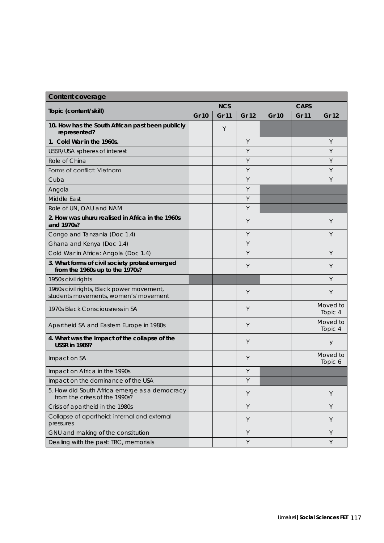| <b>Content coverage</b>                                                            |              |              |              |              |              |                     |
|------------------------------------------------------------------------------------|--------------|--------------|--------------|--------------|--------------|---------------------|
|                                                                                    |              | <b>NCS</b>   |              | <b>CAPS</b>  |              |                     |
| Topic (content/skill)                                                              | <b>Gr 10</b> | <b>Gr 11</b> | <b>Gr 12</b> | <b>Gr 10</b> | <b>Gr 11</b> | <b>Gr 12</b>        |
| 10. How has the South African past been publicly<br>represented?                   |              | Y            |              |              |              |                     |
| 1. Cold War in the 1960s.                                                          |              |              | Y            |              |              | Y                   |
| USSR/USA spheres of interest                                                       |              |              | Y            |              |              | Y                   |
| Role of China                                                                      |              |              | Y            |              |              | Y                   |
| Forms of conflict: Vietnam                                                         |              |              | Y            |              |              | Y                   |
| Cuba                                                                               |              |              | Y            |              |              | Y                   |
| Angola                                                                             |              |              | Y            |              |              |                     |
| Middle East                                                                        |              |              | Y            |              |              |                     |
| Role of UN, OAU and NAM                                                            |              |              | Y            |              |              |                     |
| 2. How was uhuru realised in Africa in the 1960s<br>and 1970s?                     |              |              | Y            |              |              | Y                   |
| Congo and Tanzania (Doc 1.4)                                                       |              |              | Y            |              |              | Y                   |
| Ghana and Kenya (Doc 1.4)                                                          |              |              | Y            |              |              |                     |
| Cold War in Africa: Angola (Doc 1.4)                                               |              |              | Y            |              |              | Y                   |
| 3. What forms of civil society protest emerged<br>from the 1960s up to the 1970s?  |              |              | Y            |              |              | Y                   |
| 1950s civil rights                                                                 |              |              |              |              |              | Y                   |
| 1960s civil rights, Black power movement,<br>students movements, women's' movement |              |              | Y            |              |              | Y                   |
| 1970s Black Consciousness in SA                                                    |              |              | Y            |              |              | Moved to<br>Topic 4 |
| Apartheid SA and Eastern Europe in 1980s                                           |              |              | Y            |              |              | Moved to<br>Topic 4 |
| 4. What was the impact of the collapse of the<br><b>USSR in 1989?</b>              |              |              | Y            |              |              | У                   |
| Impact on SA                                                                       |              |              | Y            |              |              | Moved to<br>Topic 6 |
| Impact on Africa in the 1990s                                                      |              |              | Y            |              |              |                     |
| Impact on the dominance of the USA                                                 |              |              | Υ            |              |              |                     |
| 5. How did South Africa emerge as a democracy<br>from the crises of the 1990s?     |              |              | Y            |              |              | Y                   |
| Crisis of apartheid in the 1980s                                                   |              |              | Y            |              |              | Y                   |
| Collapse of apartheid: internal and external<br>pressures                          |              |              | Y            |              |              | Y                   |
| GNU and making of the constitution                                                 |              |              | Y            |              |              | Y                   |
| Dealing with the past: TRC, memorials                                              |              |              | Y            |              |              | Y                   |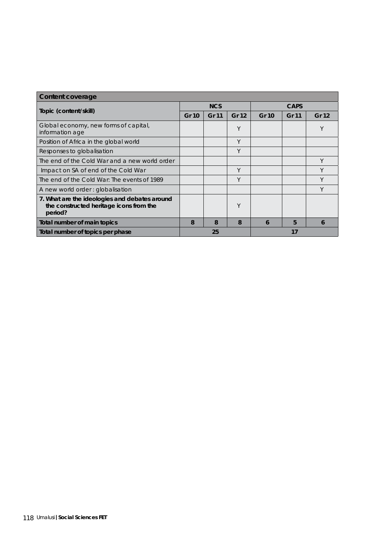| Content coverage                                                                                    |              |              |       |              |       |       |  |
|-----------------------------------------------------------------------------------------------------|--------------|--------------|-------|--------------|-------|-------|--|
|                                                                                                     | <b>NCS</b>   |              |       | CAPS         |       |       |  |
| Topic (content/skill)                                                                               | <b>Gr 10</b> | <b>Gr 11</b> | Gr 12 | <b>Gr 10</b> | Gr 11 | Gr 12 |  |
| Global economy, new forms of capital,<br>information age                                            |              |              | Υ     |              |       | Υ     |  |
| Position of Africa in the global world                                                              |              |              | Y     |              |       |       |  |
| Responses to globalisation                                                                          |              |              | Υ     |              |       |       |  |
| The end of the Cold War and a new world order                                                       |              |              |       |              |       | Y     |  |
| Impact on SA of end of the Cold War                                                                 |              |              | Υ     |              |       | Y     |  |
| The end of the Cold War: The events of 1989                                                         |              |              | Υ     |              |       | Υ     |  |
| A new world order: globalisation                                                                    |              |              |       |              |       | Y     |  |
| 7. What are the ideologies and debates around<br>the constructed heritage icons from the<br>period? |              |              | Υ     |              |       |       |  |
| Total number of main topics                                                                         | 8            | 8            | 8     | 6            | 5     | 6     |  |
| Total number of topics per phase                                                                    | 25<br>17     |              |       |              |       |       |  |